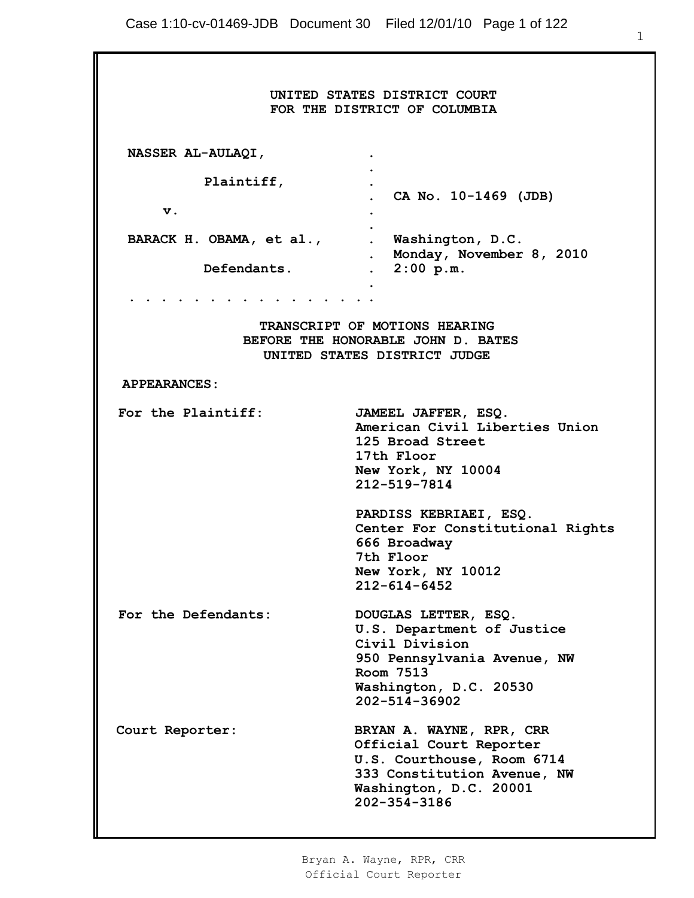|                                                                                                                                                                                                                               | UNITED STATES DISTRICT COURT<br>FOR THE DISTRICT OF COLUMBIA                                                                                                |  |
|-------------------------------------------------------------------------------------------------------------------------------------------------------------------------------------------------------------------------------|-------------------------------------------------------------------------------------------------------------------------------------------------------------|--|
| NASSER AL-AULAQI,                                                                                                                                                                                                             |                                                                                                                                                             |  |
| Plaintiff,                                                                                                                                                                                                                    | CA No. 10-1469 (JDB)                                                                                                                                        |  |
| v.                                                                                                                                                                                                                            | $\bullet$                                                                                                                                                   |  |
| BARACK H. OBAMA, et al., Washington, D.C.                                                                                                                                                                                     | . Monday, November 8, 2010                                                                                                                                  |  |
| Defendants.                                                                                                                                                                                                                   | $2:00$ p.m.<br>$\ddot{\phantom{0}}$                                                                                                                         |  |
| the company of the company of the company of the company of the company of the company of the company of the company of the company of the company of the company of the company of the company of the company of the company |                                                                                                                                                             |  |
| TRANSCRIPT OF MOTIONS HEARING<br>BEFORE THE HONORABLE JOHN D. BATES<br>UNITED STATES DISTRICT JUDGE                                                                                                                           |                                                                                                                                                             |  |
| <b>APPEARANCES:</b>                                                                                                                                                                                                           |                                                                                                                                                             |  |
| For the Plaintiff:                                                                                                                                                                                                            | JAMEEL JAFFER, ESQ.<br>American Civil Liberties Union<br>125 Broad Street<br>17th Floor<br>New York, NY 10004<br>212-519-7814                               |  |
|                                                                                                                                                                                                                               | PARDISS KEBRIAEI, ESQ.<br>Center For Constitutional Rights<br>666 Broadway<br>7th Floor<br>New York, NY 10012<br>$212 - 614 - 6452$                         |  |
| For the Defendants:                                                                                                                                                                                                           | DOUGLAS LETTER, ESQ.<br>U.S. Department of Justice<br>Civil Division<br>950 Pennsylvania Avenue, NW<br>Room 7513<br>Washington, D.C. 20530<br>202-514-36902 |  |
| Court Reporter:                                                                                                                                                                                                               | BRYAN A. WAYNE, RPR, CRR<br>Official Court Reporter<br>U.S. Courthouse, Room 6714<br>333 Constitution Avenue, NW<br>Washington, D.C. 20001<br>202-354-3186  |  |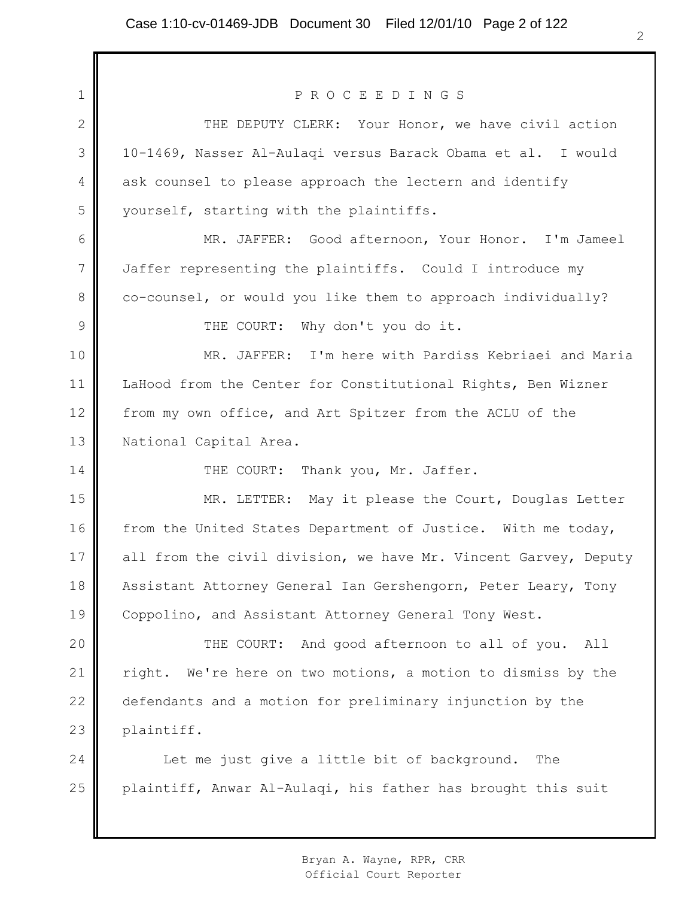| $1\,$          | PROCEEDINGS                                                     |
|----------------|-----------------------------------------------------------------|
| $\mathbf{2}$   | THE DEPUTY CLERK: Your Honor, we have civil action              |
| 3              | 10-1469, Nasser Al-Aulaqi versus Barack Obama et al. I would    |
| $\overline{4}$ | ask counsel to please approach the lectern and identify         |
| 5              | yourself, starting with the plaintiffs.                         |
| 6              | MR. JAFFER: Good afternoon, Your Honor. I'm Jameel              |
| $\overline{7}$ | Jaffer representing the plaintiffs. Could I introduce my        |
| 8              | co-counsel, or would you like them to approach individually?    |
| 9              | THE COURT: Why don't you do it.                                 |
| 10             | MR. JAFFER: I'm here with Pardiss Kebriaei and Maria            |
| 11             | LaHood from the Center for Constitutional Rights, Ben Wizner    |
| 12             | from my own office, and Art Spitzer from the ACLU of the        |
| 13             | National Capital Area.                                          |
| 14             | THE COURT: Thank you, Mr. Jaffer.                               |
| 15             | MR. LETTER: May it please the Court, Douglas Letter             |
| 16             | from the United States Department of Justice. With me today,    |
| 17             | all from the civil division, we have Mr. Vincent Garvey, Deputy |
| 18             | Assistant Attorney General Ian Gershengorn, Peter Leary, Tony   |
| 19             | Coppolino, and Assistant Attorney General Tony West.            |
| 20             | THE COURT: And good afternoon to all of you.<br>All             |
| 21             | We're here on two motions, a motion to dismiss by the<br>right. |
| 22             | defendants and a motion for preliminary injunction by the       |
| 23             | plaintiff.                                                      |
| 24             | Let me just give a little bit of background.<br>The             |
| 25             | plaintiff, Anwar Al-Aulaqi, his father has brought this suit    |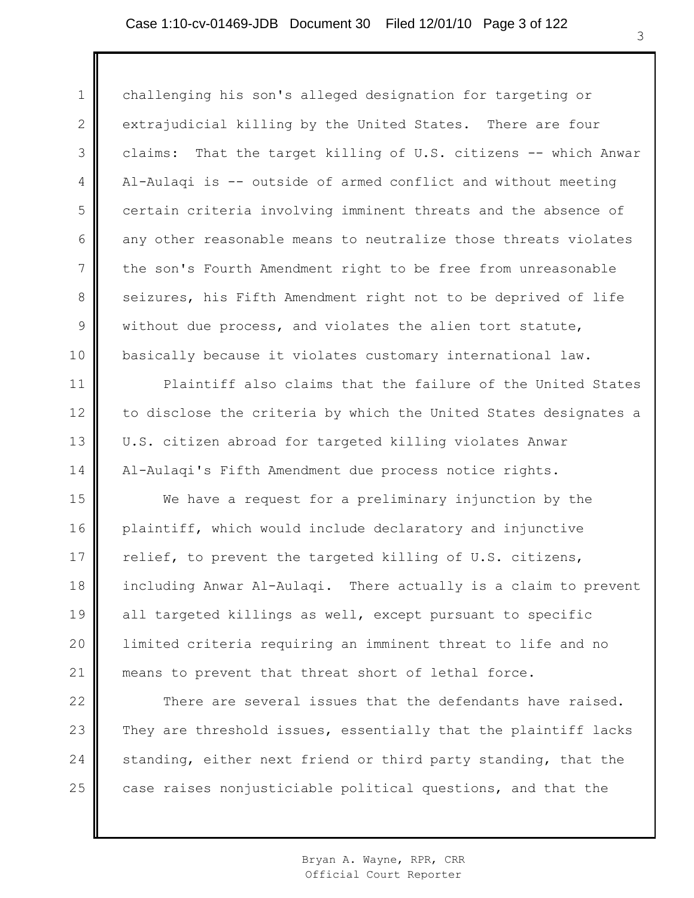1 2 3 4 5 6 7 8 9 10 challenging his son's alleged designation for targeting or extrajudicial killing by the United States. There are four claims: That the target killing of U.S. citizens -- which Anwar Al-Aulaqi is -- outside of armed conflict and without meeting certain criteria involving imminent threats and the absence of any other reasonable means to neutralize those threats violates the son's Fourth Amendment right to be free from unreasonable seizures, his Fifth Amendment right not to be deprived of life without due process, and violates the alien tort statute, basically because it violates customary international law.

Plaintiff also claims that the failure of the United States to disclose the criteria by which the United States designates a U.S. citizen abroad for targeted killing violates Anwar Al-Aulaqi's Fifth Amendment due process notice rights.

11

12

13

14

15 16 17 18 19 20 21 We have a request for a preliminary injunction by the plaintiff, which would include declaratory and injunctive relief, to prevent the targeted killing of U.S. citizens, including Anwar Al-Aulaqi. There actually is a claim to prevent all targeted killings as well, except pursuant to specific limited criteria requiring an imminent threat to life and no means to prevent that threat short of lethal force.

22 23 24 25 There are several issues that the defendants have raised. They are threshold issues, essentially that the plaintiff lacks standing, either next friend or third party standing, that the case raises nonjusticiable political questions, and that the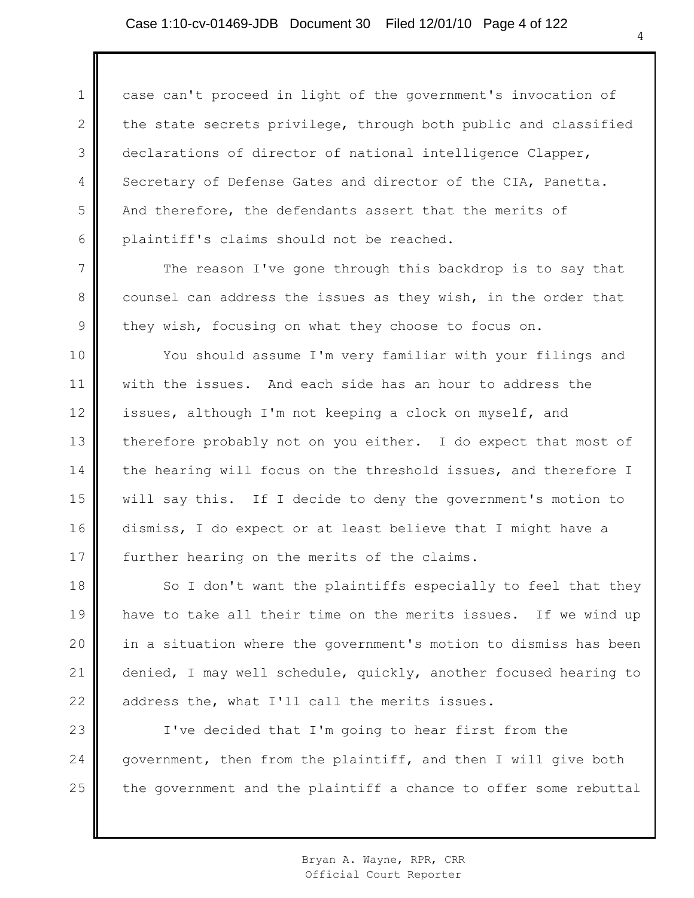1 2 3 4 5 6 case can't proceed in light of the government's invocation of the state secrets privilege, through both public and classified declarations of director of national intelligence Clapper, Secretary of Defense Gates and director of the CIA, Panetta. And therefore, the defendants assert that the merits of plaintiff's claims should not be reached.

The reason I've gone through this backdrop is to say that counsel can address the issues as they wish, in the order that they wish, focusing on what they choose to focus on.

7

8

9

10 11 12 13 14 15 16 17 You should assume I'm very familiar with your filings and with the issues. And each side has an hour to address the issues, although I'm not keeping a clock on myself, and therefore probably not on you either. I do expect that most of the hearing will focus on the threshold issues, and therefore I will say this. If I decide to deny the government's motion to dismiss, I do expect or at least believe that I might have a further hearing on the merits of the claims.

18 19 20 21 22 So I don't want the plaintiffs especially to feel that they have to take all their time on the merits issues. If we wind up in a situation where the government's motion to dismiss has been denied, I may well schedule, quickly, another focused hearing to address the, what I'll call the merits issues.

23 24 25 I've decided that I'm going to hear first from the government, then from the plaintiff, and then I will give both the government and the plaintiff a chance to offer some rebuttal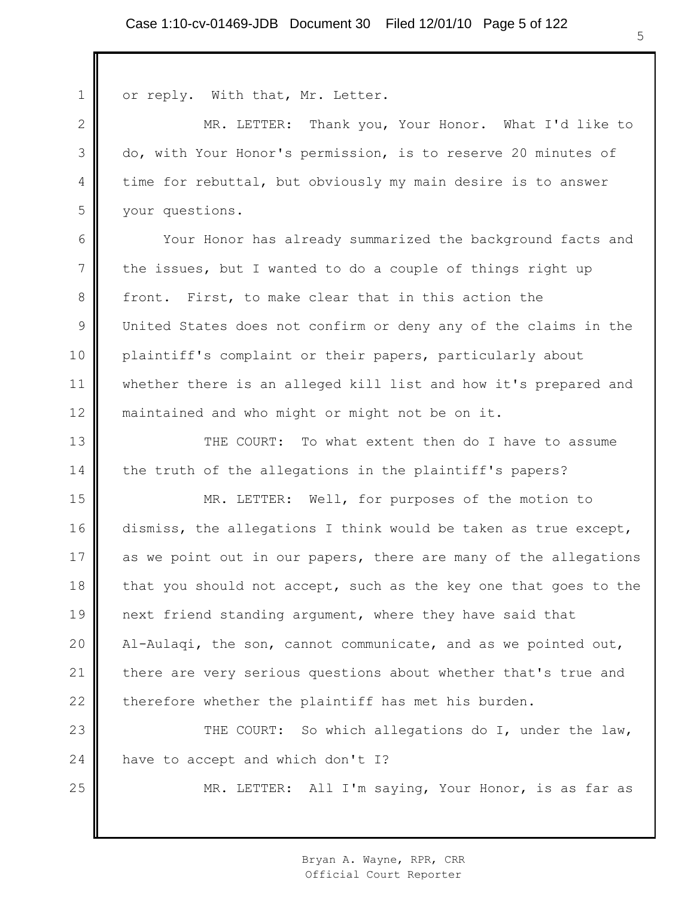| $\mathbf 1$    | or reply. With that, Mr. Letter.                                 |
|----------------|------------------------------------------------------------------|
| $\mathbf{2}$   | MR. LETTER: Thank you, Your Honor. What I'd like to              |
| 3              | do, with Your Honor's permission, is to reserve 20 minutes of    |
| 4              | time for rebuttal, but obviously my main desire is to answer     |
| 5              | your questions.                                                  |
| 6              | Your Honor has already summarized the background facts and       |
| $7\phantom{.}$ | the issues, but I wanted to do a couple of things right up       |
| 8              | front. First, to make clear that in this action the              |
| 9              | United States does not confirm or deny any of the claims in the  |
| 10             | plaintiff's complaint or their papers, particularly about        |
| 11             | whether there is an alleged kill list and how it's prepared and  |
| 12             | maintained and who might or might not be on it.                  |
| 13             | THE COURT: To what extent then do I have to assume               |
| 14             | the truth of the allegations in the plaintiff's papers?          |
| 15             | MR. LETTER: Well, for purposes of the motion to                  |
| 16             | dismiss, the allegations I think would be taken as true except,  |
| 17             | as we point out in our papers, there are many of the allegations |
| 18             | that you should not accept, such as the key one that goes to the |
| 19             | next friend standing argument, where they have said that         |
| 20             | Al-Aulaqi, the son, cannot communicate, and as we pointed out,   |
| 21             | there are very serious questions about whether that's true and   |
| 22             | therefore whether the plaintiff has met his burden.              |
| 23             | So which allegations do I, under the law,<br>THE COURT:          |
| 24             | have to accept and which don't I?                                |
| 25             | MR. LETTER: All I'm saying, Your Honor, is as far as             |
|                |                                                                  |

║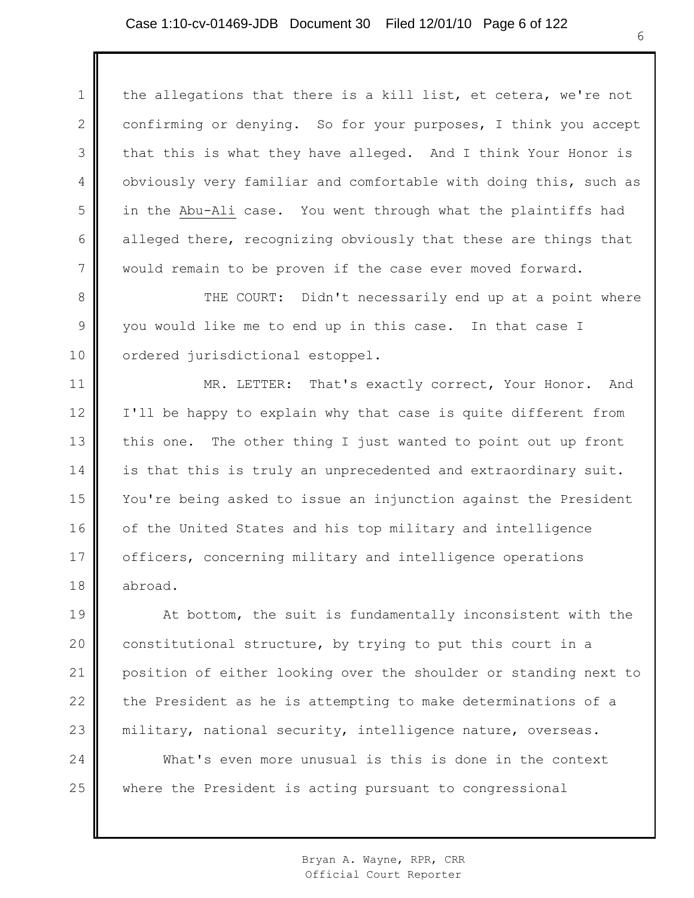1 2 3 4 5 6 7 the allegations that there is a kill list, et cetera, we're not confirming or denying. So for your purposes, I think you accept that this is what they have alleged. And I think Your Honor is obviously very familiar and comfortable with doing this, such as in the Abu-Ali case. You went through what the plaintiffs had alleged there, recognizing obviously that these are things that would remain to be proven if the case ever moved forward.

8 9 10 THE COURT: Didn't necessarily end up at a point where you would like me to end up in this case. In that case I ordered jurisdictional estoppel.

11 12 13 14 15 16 17 18 MR. LETTER: That's exactly correct, Your Honor. And I'll be happy to explain why that case is quite different from this one. The other thing I just wanted to point out up front is that this is truly an unprecedented and extraordinary suit. You're being asked to issue an injunction against the President of the United States and his top military and intelligence officers, concerning military and intelligence operations abroad.

19 20 21 22 23 At bottom, the suit is fundamentally inconsistent with the constitutional structure, by trying to put this court in a position of either looking over the shoulder or standing next to the President as he is attempting to make determinations of a military, national security, intelligence nature, overseas.

24 25 What's even more unusual is this is done in the context where the President is acting pursuant to congressional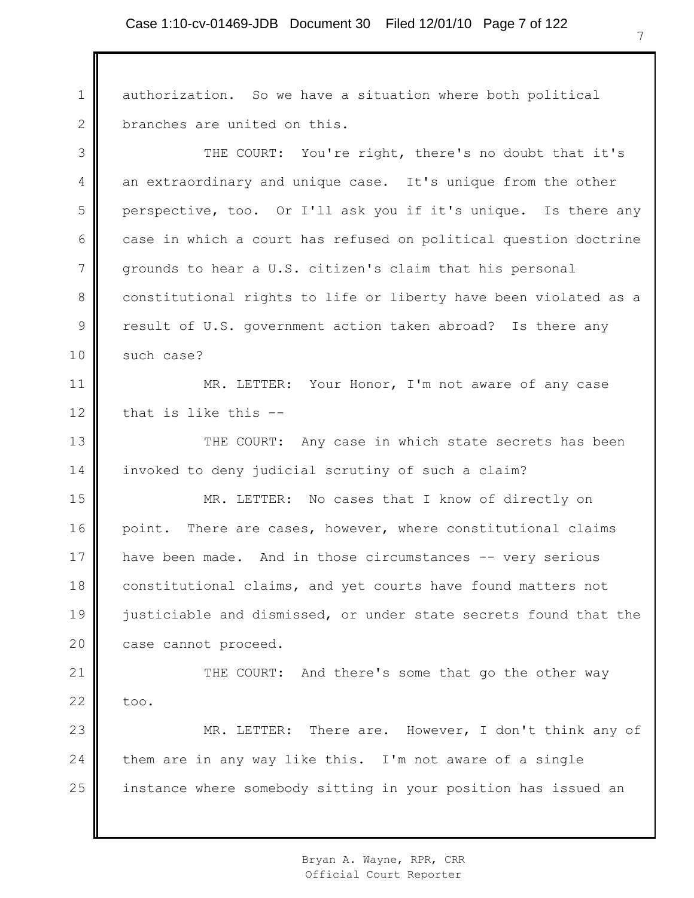1 2 3 4 5 6 7 8 9 10 11 12 13 14 15 16 17 18 19 20 21 22 23 24 25 authorization. So we have a situation where both political branches are united on this. THE COURT: You're right, there's no doubt that it's an extraordinary and unique case. It's unique from the other perspective, too. Or I'll ask you if it's unique. Is there any case in which a court has refused on political question doctrine grounds to hear a U.S. citizen's claim that his personal constitutional rights to life or liberty have been violated as a result of U.S. government action taken abroad? Is there any such case? MR. LETTER: Your Honor, I'm not aware of any case that is like this -- THE COURT: Any case in which state secrets has been invoked to deny judicial scrutiny of such a claim? MR. LETTER: No cases that I know of directly on point. There are cases, however, where constitutional claims have been made. And in those circumstances -- very serious constitutional claims, and yet courts have found matters not justiciable and dismissed, or under state secrets found that the case cannot proceed. THE COURT: And there's some that go the other way too. MR. LETTER: There are. However, I don't think any of them are in any way like this. I'm not aware of a single instance where somebody sitting in your position has issued an

> Bryan A. Wayne, RPR, CRR Official Court Reporter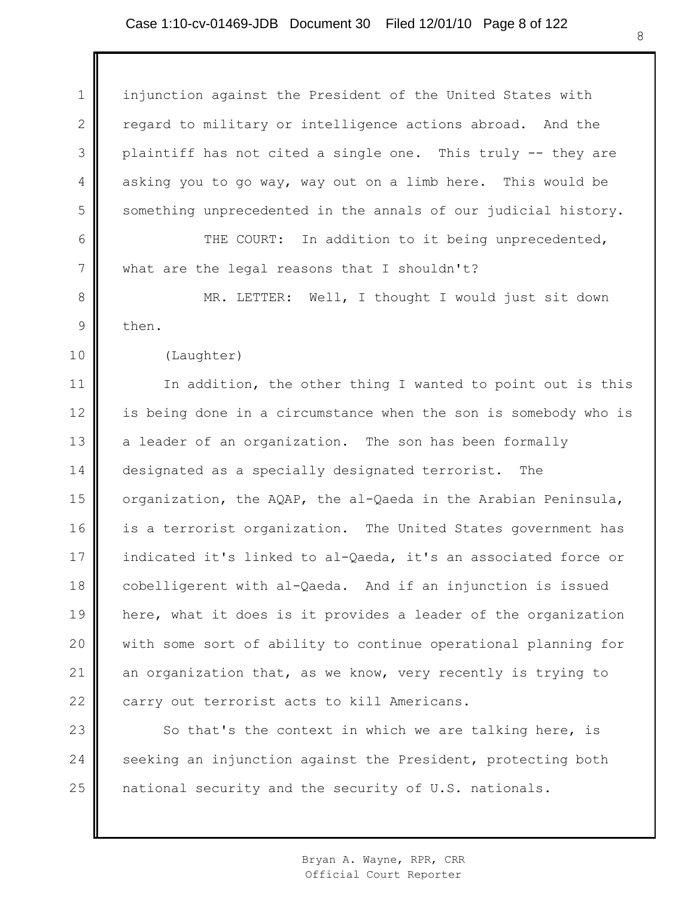## Case 1:10-cv-01469-JDB Document 30 Filed 12/01/10 Page 8 of 122

1 2 3 4 5 6 7 8 9 10 11 12 13 14 15 16 17 18 19 20 21 22 23 24 25 injunction against the President of the United States with regard to military or intelligence actions abroad. And the plaintiff has not cited a single one. This truly -- they are asking you to go way, way out on a limb here. This would be something unprecedented in the annals of our judicial history. THE COURT: In addition to it being unprecedented, what are the legal reasons that I shouldn't? MR. LETTER: Well, I thought I would just sit down then. (Laughter) In addition, the other thing I wanted to point out is this is being done in a circumstance when the son is somebody who is a leader of an organization. The son has been formally designated as a specially designated terrorist. The organization, the AQAP, the al-Qaeda in the Arabian Peninsula, is a terrorist organization. The United States government has indicated it's linked to al-Qaeda, it's an associated force or cobelligerent with al-Qaeda. And if an injunction is issued here, what it does is it provides a leader of the organization with some sort of ability to continue operational planning for an organization that, as we know, very recently is trying to carry out terrorist acts to kill Americans. So that's the context in which we are talking here, is seeking an injunction against the President, protecting both national security and the security of U.S. nationals.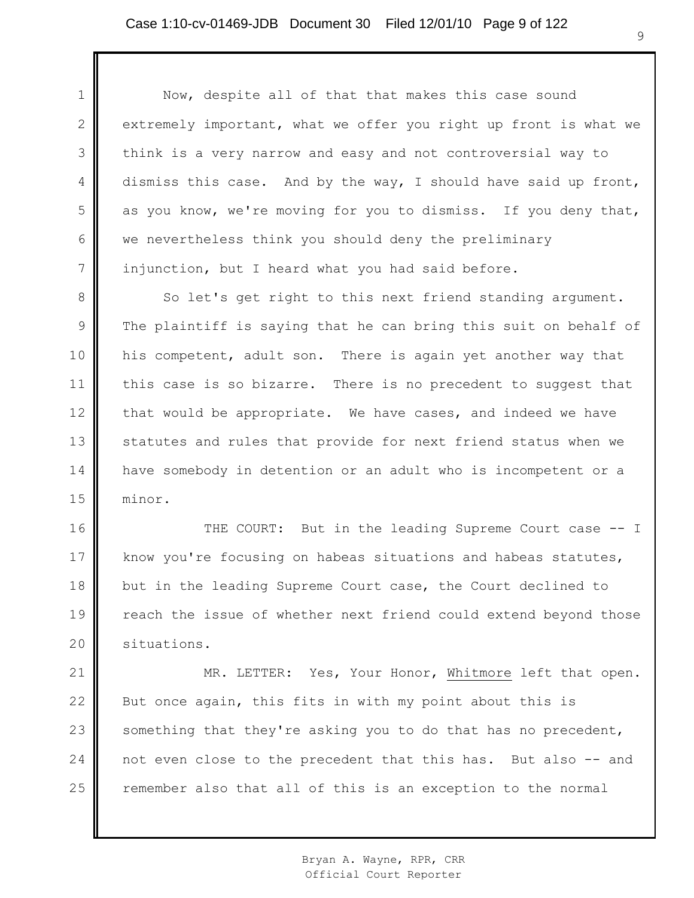1

2

3

4

5

6

7

Now, despite all of that that makes this case sound extremely important, what we offer you right up front is what we think is a very narrow and easy and not controversial way to dismiss this case. And by the way, I should have said up front, as you know, we're moving for you to dismiss. If you deny that, we nevertheless think you should deny the preliminary injunction, but I heard what you had said before.

8 9 10 11 12 13 14 15 So let's get right to this next friend standing argument. The plaintiff is saying that he can bring this suit on behalf of his competent, adult son. There is again yet another way that this case is so bizarre. There is no precedent to suggest that that would be appropriate. We have cases, and indeed we have statutes and rules that provide for next friend status when we have somebody in detention or an adult who is incompetent or a minor.

16 17 18 19 20 THE COURT: But in the leading Supreme Court case -- I know you're focusing on habeas situations and habeas statutes, but in the leading Supreme Court case, the Court declined to reach the issue of whether next friend could extend beyond those situations.

21 22 23 24 25 MR. LETTER: Yes, Your Honor, Whitmore left that open. But once again, this fits in with my point about this is something that they're asking you to do that has no precedent, not even close to the precedent that this has. But also -- and remember also that all of this is an exception to the normal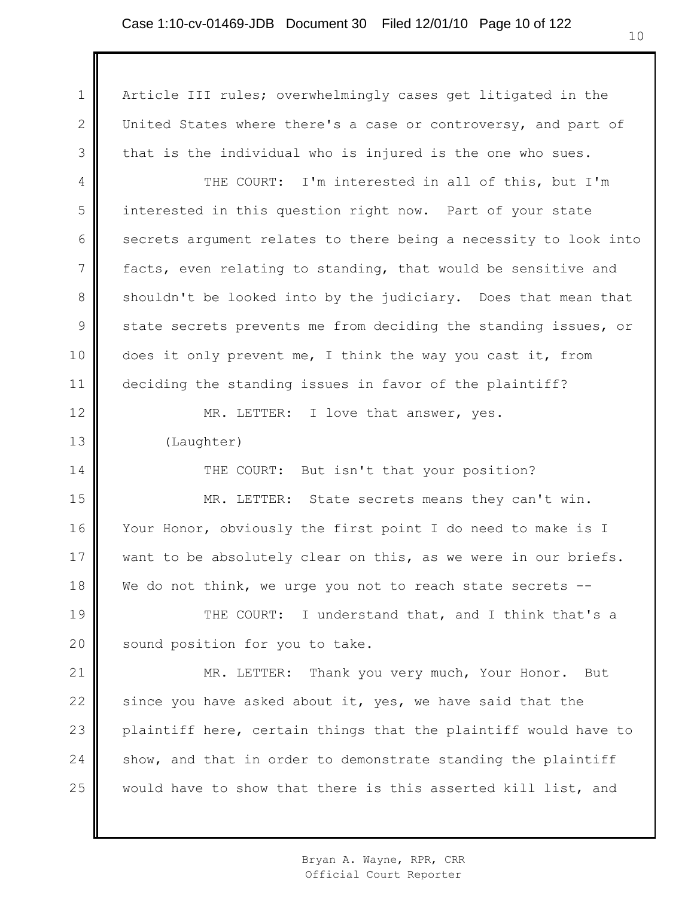1 2 3 4 5 6 7 8 9 10 11 12 13 14 15 16 17 18 19 20 21 22 23 24 25 Article III rules; overwhelmingly cases get litigated in the United States where there's a case or controversy, and part of that is the individual who is injured is the one who sues. THE COURT: I'm interested in all of this, but I'm interested in this question right now. Part of your state secrets argument relates to there being a necessity to look into facts, even relating to standing, that would be sensitive and shouldn't be looked into by the judiciary. Does that mean that state secrets prevents me from deciding the standing issues, or does it only prevent me, I think the way you cast it, from deciding the standing issues in favor of the plaintiff? MR. LETTER: I love that answer, yes. (Laughter) THE COURT: But isn't that your position? MR. LETTER: State secrets means they can't win. Your Honor, obviously the first point I do need to make is I want to be absolutely clear on this, as we were in our briefs. We do not think, we urge you not to reach state secrets --THE COURT: I understand that, and I think that's a sound position for you to take. MR. LETTER: Thank you very much, Your Honor. But since you have asked about it, yes, we have said that the plaintiff here, certain things that the plaintiff would have to show, and that in order to demonstrate standing the plaintiff would have to show that there is this asserted kill list, and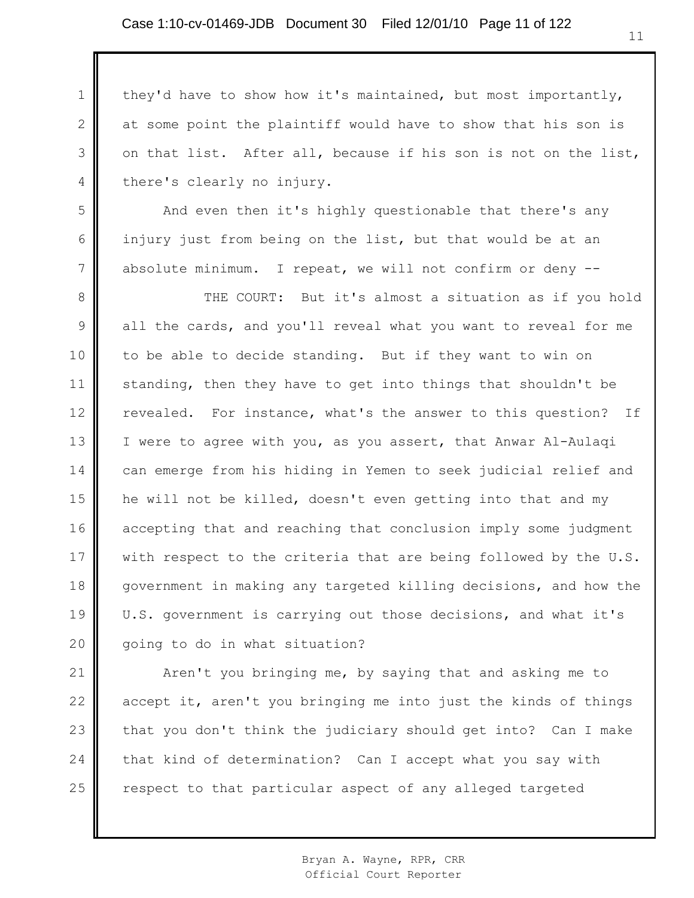1

2

3

4

5

6

7

they'd have to show how it's maintained, but most importantly, at some point the plaintiff would have to show that his son is on that list. After all, because if his son is not on the list, there's clearly no injury.

And even then it's highly questionable that there's any injury just from being on the list, but that would be at an absolute minimum. I repeat, we will not confirm or deny --

8 9 10 11 12 13 14 15 16 17 18 19 20 THE COURT: But it's almost a situation as if you hold all the cards, and you'll reveal what you want to reveal for me to be able to decide standing. But if they want to win on standing, then they have to get into things that shouldn't be revealed. For instance, what's the answer to this question? If I were to agree with you, as you assert, that Anwar Al-Aulaqi can emerge from his hiding in Yemen to seek judicial relief and he will not be killed, doesn't even getting into that and my accepting that and reaching that conclusion imply some judgment with respect to the criteria that are being followed by the U.S. government in making any targeted killing decisions, and how the U.S. government is carrying out those decisions, and what it's going to do in what situation?

21 22 23 24 25 Aren't you bringing me, by saying that and asking me to accept it, aren't you bringing me into just the kinds of things that you don't think the judiciary should get into? Can I make that kind of determination? Can I accept what you say with respect to that particular aspect of any alleged targeted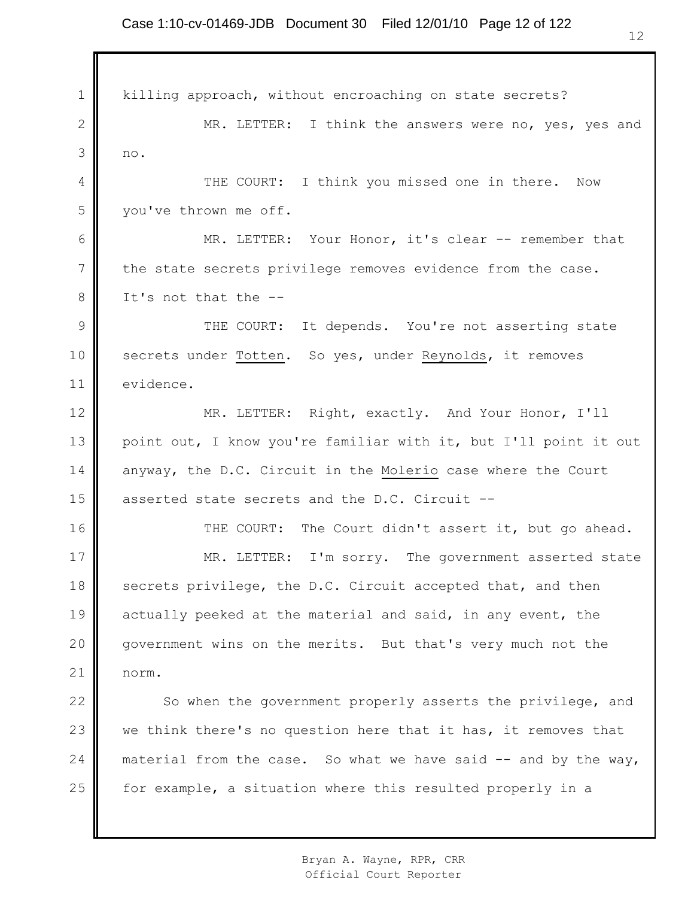1 2 3 4 5 6 7 8 9 10 11 12 13 14 15 16 17 18 19 20 21 22 23 24 25 killing approach, without encroaching on state secrets? MR. LETTER: I think the answers were no, yes, yes and no. THE COURT: I think you missed one in there. Now you've thrown me off. MR. LETTER: Your Honor, it's clear -- remember that the state secrets privilege removes evidence from the case. It's not that the -- THE COURT: It depends. You're not asserting state secrets under Totten. So yes, under Reynolds, it removes evidence. MR. LETTER: Right, exactly. And Your Honor, I'll point out, I know you're familiar with it, but I'll point it out anyway, the D.C. Circuit in the Molerio case where the Court asserted state secrets and the D.C. Circuit -- THE COURT: The Court didn't assert it, but go ahead. MR. LETTER: I'm sorry. The government asserted state secrets privilege, the D.C. Circuit accepted that, and then actually peeked at the material and said, in any event, the government wins on the merits. But that's very much not the norm. So when the government properly asserts the privilege, and we think there's no question here that it has, it removes that material from the case. So what we have said  $-$  and by the way, for example, a situation where this resulted properly in a

> Bryan A. Wayne, RPR, CRR Official Court Reporter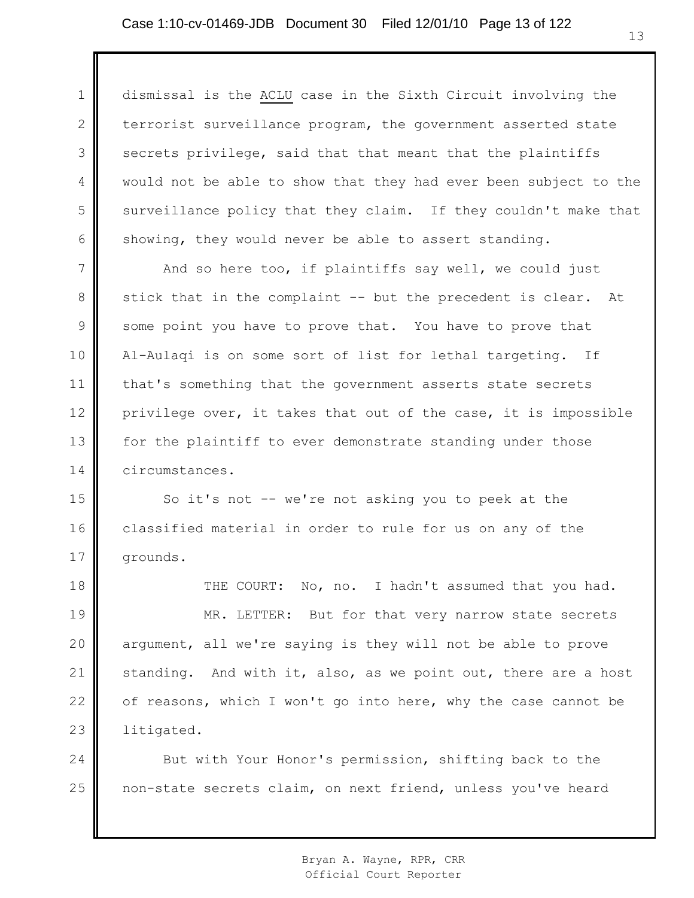1 2 3 4 5 6 dismissal is the ACLU case in the Sixth Circuit involving the terrorist surveillance program, the government asserted state secrets privilege, said that that meant that the plaintiffs would not be able to show that they had ever been subject to the surveillance policy that they claim. If they couldn't make that showing, they would never be able to assert standing.

7 8 9 10 11 12 13 14 And so here too, if plaintiffs say well, we could just stick that in the complaint -- but the precedent is clear. At some point you have to prove that. You have to prove that Al-Aulaqi is on some sort of list for lethal targeting. If that's something that the government asserts state secrets privilege over, it takes that out of the case, it is impossible for the plaintiff to ever demonstrate standing under those circumstances.

15 16 17 So it's not -- we're not asking you to peek at the classified material in order to rule for us on any of the grounds.

18 19 20 21 22 23 THE COURT: No, no. I hadn't assumed that you had. MR. LETTER: But for that very narrow state secrets argument, all we're saying is they will not be able to prove standing. And with it, also, as we point out, there are a host of reasons, which I won't go into here, why the case cannot be litigated.

24 25 But with Your Honor's permission, shifting back to the non-state secrets claim, on next friend, unless you've heard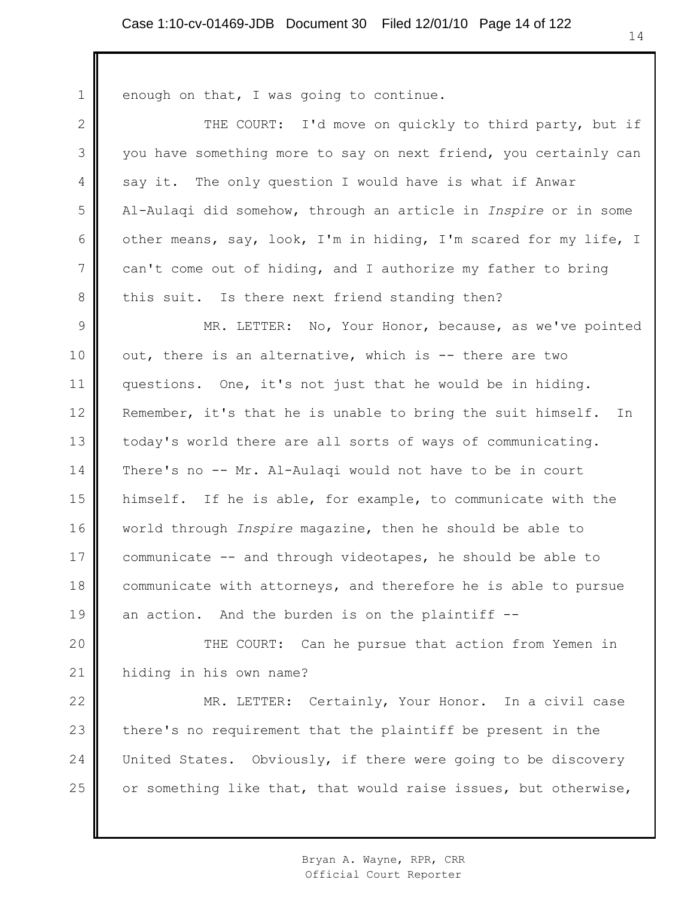∥

| $\mathbf{1}$   | enough on that, I was going to continue.                         |
|----------------|------------------------------------------------------------------|
| $\mathbf{2}$   | THE COURT: I'd move on quickly to third party, but if            |
| 3              | you have something more to say on next friend, you certainly can |
| 4              | say it. The only question I would have is what if Anwar          |
| 5              | Al-Aulagi did somehow, through an article in Inspire or in some  |
| 6              | other means, say, look, I'm in hiding, I'm scared for my life, I |
| $\overline{7}$ | can't come out of hiding, and I authorize my father to bring     |
| 8              | this suit. Is there next friend standing then?                   |
| $\mathsf 9$    | MR. LETTER: No, Your Honor, because, as we've pointed            |
| 10             | out, there is an alternative, which is -- there are two          |
| 11             | questions. One, it's not just that he would be in hiding.        |
| 12             | Remember, it's that he is unable to bring the suit himself. In   |
| 13             | today's world there are all sorts of ways of communicating.      |
| 14             | There's no -- Mr. Al-Aulaqi would not have to be in court        |
| 15             | himself. If he is able, for example, to communicate with the     |
| 16             | world through <i>Inspire</i> magazine, then he should be able to |
| 17             | communicate -- and through videotapes, he should be able to      |
| $18$           | communicate with attorneys, and therefore he is able to pursue   |
| 19             | an action. And the burden is on the plaintiff --                 |
| 20             | THE COURT: Can he pursue that action from Yemen in               |
| 21             | hiding in his own name?                                          |
| 22             | MR. LETTER: Certainly, Your Honor. In a civil case               |
| 23             | there's no requirement that the plaintiff be present in the      |
| 24             | United States. Obviously, if there were going to be discovery    |
| 25             | or something like that, that would raise issues, but otherwise,  |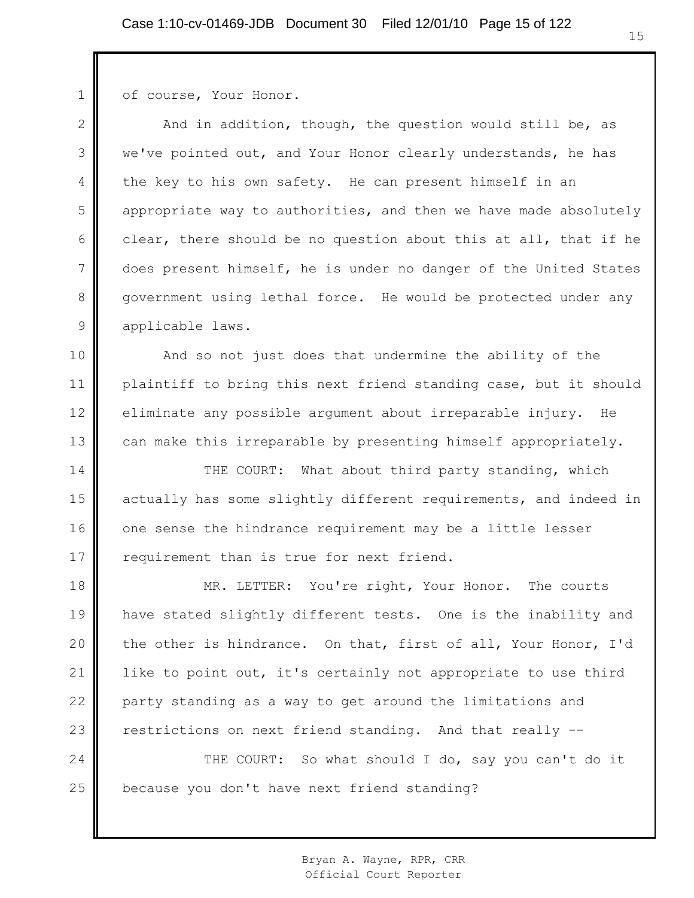of course, Your Honor.

1

2 3 4 5 6 7 8 9 And in addition, though, the question would still be, as we've pointed out, and Your Honor clearly understands, he has the key to his own safety. He can present himself in an appropriate way to authorities, and then we have made absolutely clear, there should be no question about this at all, that if he does present himself, he is under no danger of the United States government using lethal force. He would be protected under any applicable laws.

10 11 12 13 And so not just does that undermine the ability of the plaintiff to bring this next friend standing case, but it should eliminate any possible argument about irreparable injury. He can make this irreparable by presenting himself appropriately.

14 15 16 17 THE COURT: What about third party standing, which actually has some slightly different requirements, and indeed in one sense the hindrance requirement may be a little lesser requirement than is true for next friend.

18 19 20 21 22 23 MR. LETTER: You're right, Your Honor. The courts have stated slightly different tests. One is the inability and the other is hindrance. On that, first of all, Your Honor, I'd like to point out, it's certainly not appropriate to use third party standing as a way to get around the limitations and restrictions on next friend standing. And that really --

24 25 THE COURT: So what should I do, say you can't do it because you don't have next friend standing?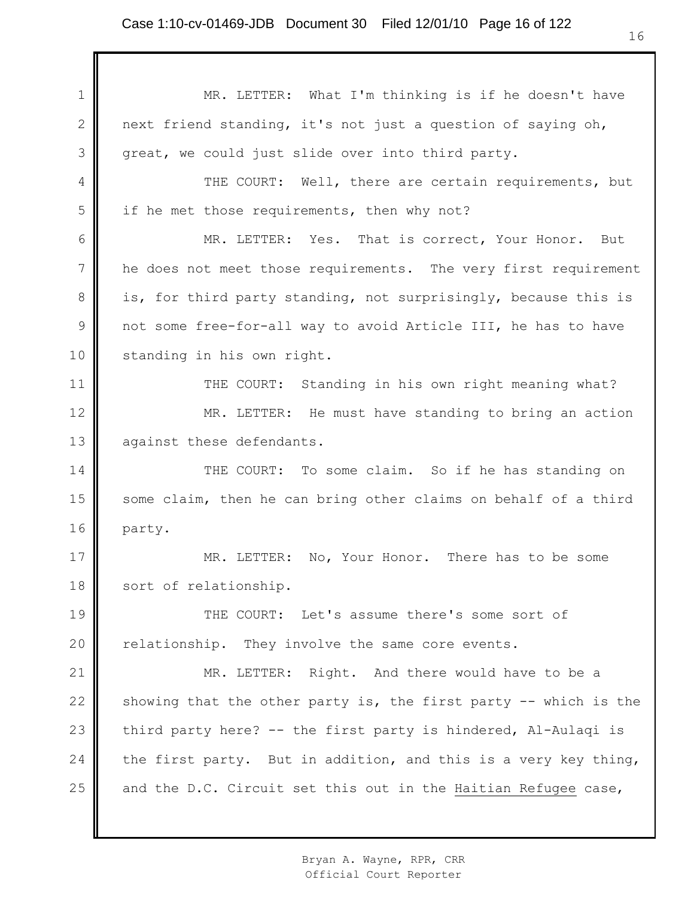1 2 3 4 5 6 7 8 9 10 11 12 13 14 15 16 17 18 19 20 21 22 23 24 25 MR. LETTER: What I'm thinking is if he doesn't have next friend standing, it's not just a question of saying oh, great, we could just slide over into third party. THE COURT: Well, there are certain requirements, but if he met those requirements, then why not? MR. LETTER: Yes. That is correct, Your Honor. But he does not meet those requirements. The very first requirement is, for third party standing, not surprisingly, because this is not some free-for-all way to avoid Article III, he has to have standing in his own right. THE COURT: Standing in his own right meaning what? MR. LETTER: He must have standing to bring an action against these defendants. THE COURT: To some claim. So if he has standing on some claim, then he can bring other claims on behalf of a third party. MR. LETTER: No, Your Honor. There has to be some sort of relationship. THE COURT: Let's assume there's some sort of relationship. They involve the same core events. MR. LETTER: Right. And there would have to be a showing that the other party is, the first party  $-$ - which is the third party here? -- the first party is hindered, Al-Aulaqi is the first party. But in addition, and this is a very key thing, and the D.C. Circuit set this out in the Haitian Refugee case,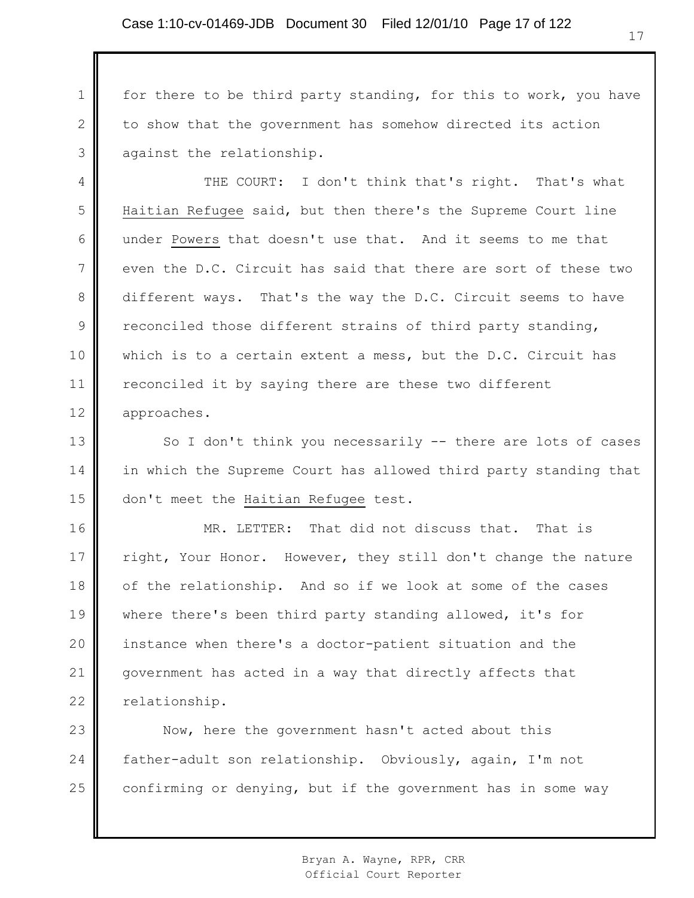1 2 3 for there to be third party standing, for this to work, you have to show that the government has somehow directed its action against the relationship.

4 5 6 7 8 9 10 11 12 THE COURT: I don't think that's right. That's what Haitian Refugee said, but then there's the Supreme Court line under Powers that doesn't use that. And it seems to me that even the D.C. Circuit has said that there are sort of these two different ways. That's the way the D.C. Circuit seems to have reconciled those different strains of third party standing, which is to a certain extent a mess, but the D.C. Circuit has reconciled it by saying there are these two different approaches.

13 14 15 So I don't think you necessarily -- there are lots of cases in which the Supreme Court has allowed third party standing that don't meet the Haitian Refugee test.

16 17 18 19 20 21 22 MR. LETTER: That did not discuss that. That is right, Your Honor. However, they still don't change the nature of the relationship. And so if we look at some of the cases where there's been third party standing allowed, it's for instance when there's a doctor-patient situation and the government has acted in a way that directly affects that relationship.

23 24 25 Now, here the government hasn't acted about this father-adult son relationship. Obviously, again, I'm not confirming or denying, but if the government has in some way

> Bryan A. Wayne, RPR, CRR Official Court Reporter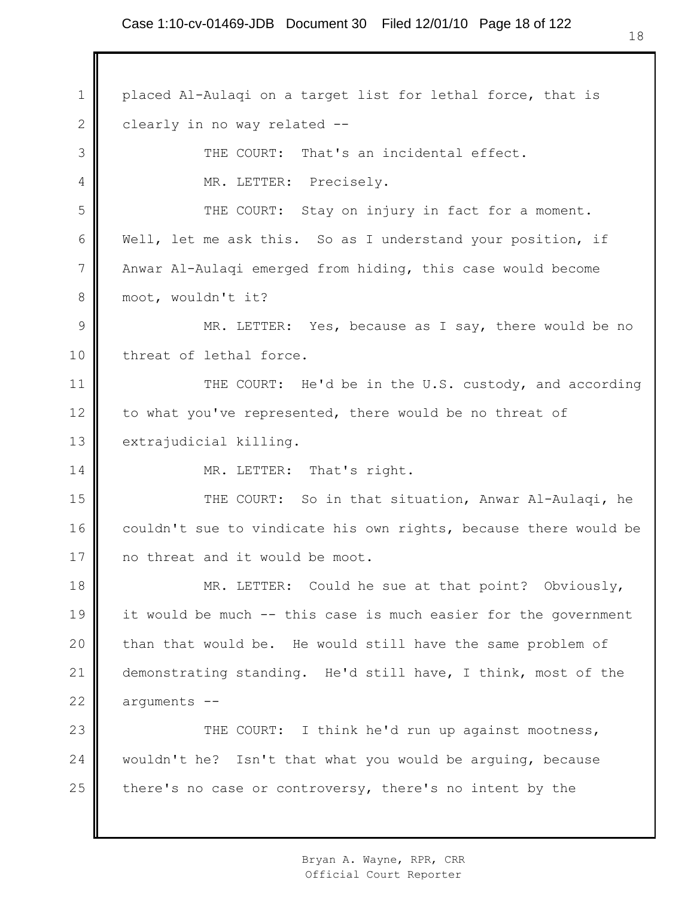1 2 3 4 5 6 7 8 9 10 11 12 13 14 15 16 17 18 19 20 21 22 23 24 25 placed Al-Aulaqi on a target list for lethal force, that is clearly in no way related -- THE COURT: That's an incidental effect. MR. LETTER: Precisely. THE COURT: Stay on injury in fact for a moment. Well, let me ask this. So as I understand your position, if Anwar Al-Aulaqi emerged from hiding, this case would become moot, wouldn't it? MR. LETTER: Yes, because as I say, there would be no threat of lethal force. THE COURT: He'd be in the U.S. custody, and according to what you've represented, there would be no threat of extrajudicial killing. MR. LETTER: That's right. THE COURT: So in that situation, Anwar Al-Aulaqi, he couldn't sue to vindicate his own rights, because there would be no threat and it would be moot. MR. LETTER: Could he sue at that point? Obviously, it would be much -- this case is much easier for the government than that would be. He would still have the same problem of demonstrating standing. He'd still have, I think, most of the arguments -- THE COURT: I think he'd run up against mootness, wouldn't he? Isn't that what you would be arguing, because there's no case or controversy, there's no intent by the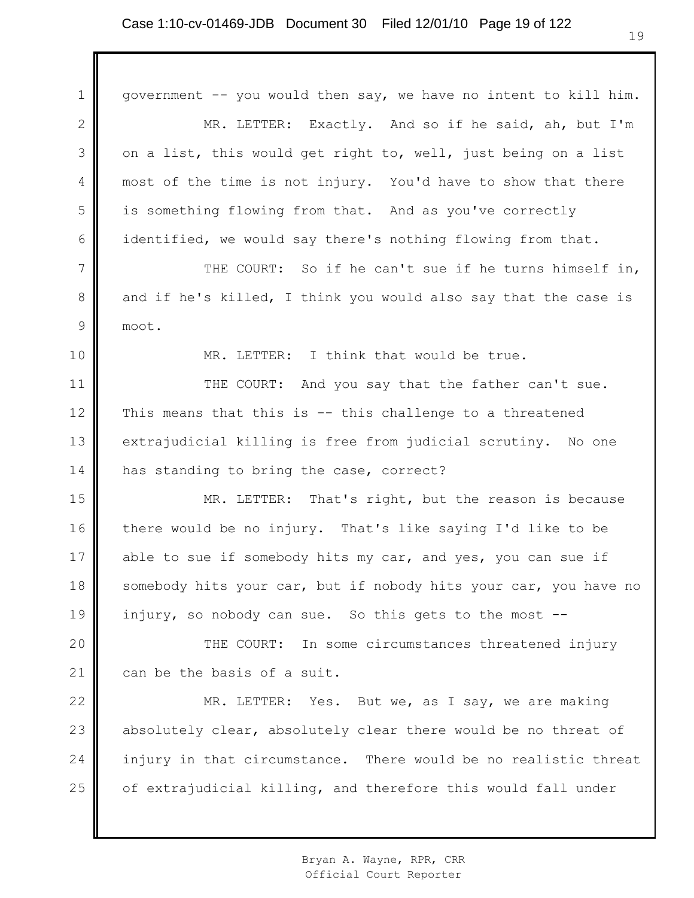1 2 3 4 5 6 7 8 9 10 11 12 13 14 15 16 17 18 19 20 21 22 23 24 25 government -- you would then say, we have no intent to kill him. MR. LETTER: Exactly. And so if he said, ah, but I'm on a list, this would get right to, well, just being on a list most of the time is not injury. You'd have to show that there is something flowing from that. And as you've correctly identified, we would say there's nothing flowing from that. THE COURT: So if he can't sue if he turns himself in, and if he's killed, I think you would also say that the case is moot. MR. LETTER: I think that would be true. THE COURT: And you say that the father can't sue. This means that this is -- this challenge to a threatened extrajudicial killing is free from judicial scrutiny. No one has standing to bring the case, correct? MR. LETTER: That's right, but the reason is because there would be no injury. That's like saying I'd like to be able to sue if somebody hits my car, and yes, you can sue if somebody hits your car, but if nobody hits your car, you have no injury, so nobody can sue. So this gets to the most -- THE COURT: In some circumstances threatened injury can be the basis of a suit. MR. LETTER: Yes. But we, as I say, we are making absolutely clear, absolutely clear there would be no threat of injury in that circumstance. There would be no realistic threat of extrajudicial killing, and therefore this would fall under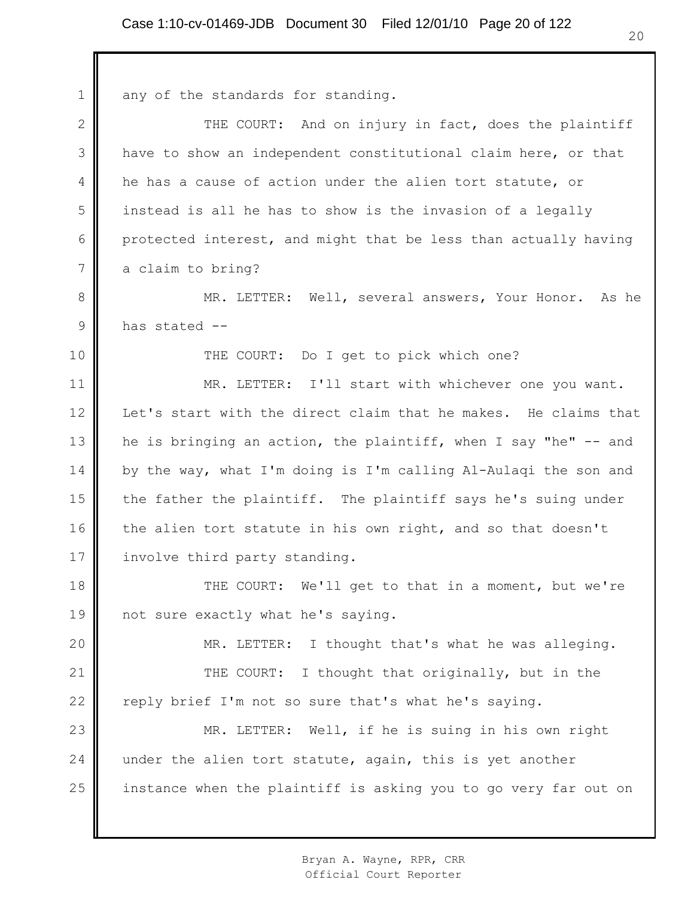1 2 3 4 5 6 7 8 9 10 11 12 13 14 15 16 17 18 19 20 21 22 23 24 25 any of the standards for standing. THE COURT: And on injury in fact, does the plaintiff have to show an independent constitutional claim here, or that he has a cause of action under the alien tort statute, or instead is all he has to show is the invasion of a legally protected interest, and might that be less than actually having a claim to bring? MR. LETTER: Well, several answers, Your Honor. As he has stated -- THE COURT: Do I get to pick which one? MR. LETTER: I'll start with whichever one you want. Let's start with the direct claim that he makes. He claims that he is bringing an action, the plaintiff, when I say "he" -- and by the way, what I'm doing is I'm calling Al-Aulaqi the son and the father the plaintiff. The plaintiff says he's suing under the alien tort statute in his own right, and so that doesn't involve third party standing. THE COURT: We'll get to that in a moment, but we're not sure exactly what he's saying. MR. LETTER: I thought that's what he was alleging. THE COURT: I thought that originally, but in the reply brief I'm not so sure that's what he's saying. MR. LETTER: Well, if he is suing in his own right under the alien tort statute, again, this is yet another instance when the plaintiff is asking you to go very far out on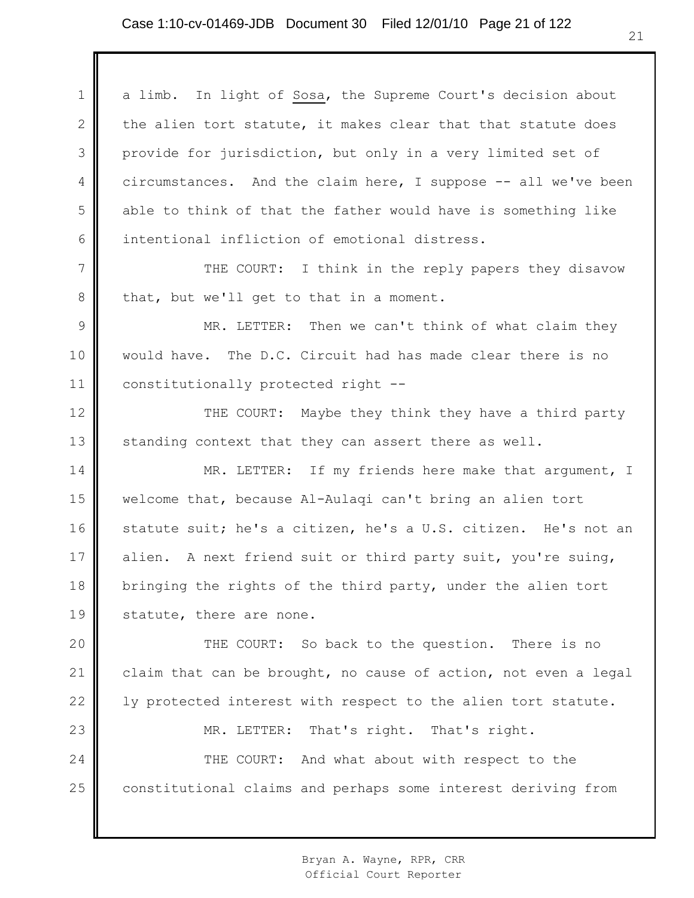1 2 3 4 5 6 7 8 9 10 11 12 13 14 15 16 17 18 19 20 21 22 23 24 25 a limb. In light of Sosa, the Supreme Court's decision about the alien tort statute, it makes clear that that statute does provide for jurisdiction, but only in a very limited set of circumstances. And the claim here, I suppose -- all we've been able to think of that the father would have is something like intentional infliction of emotional distress. THE COURT: I think in the reply papers they disavow that, but we'll get to that in a moment. MR. LETTER: Then we can't think of what claim they would have. The D.C. Circuit had has made clear there is no constitutionally protected right -- THE COURT: Maybe they think they have a third party standing context that they can assert there as well. MR. LETTER: If my friends here make that argument, I welcome that, because Al-Aulaqi can't bring an alien tort statute suit; he's a citizen, he's a U.S. citizen. He's not an alien. A next friend suit or third party suit, you're suing, bringing the rights of the third party, under the alien tort statute, there are none. THE COURT: So back to the question. There is no claim that can be brought, no cause of action, not even a legal ly protected interest with respect to the alien tort statute. MR. LETTER: That's right. That's right. THE COURT: And what about with respect to the constitutional claims and perhaps some interest deriving from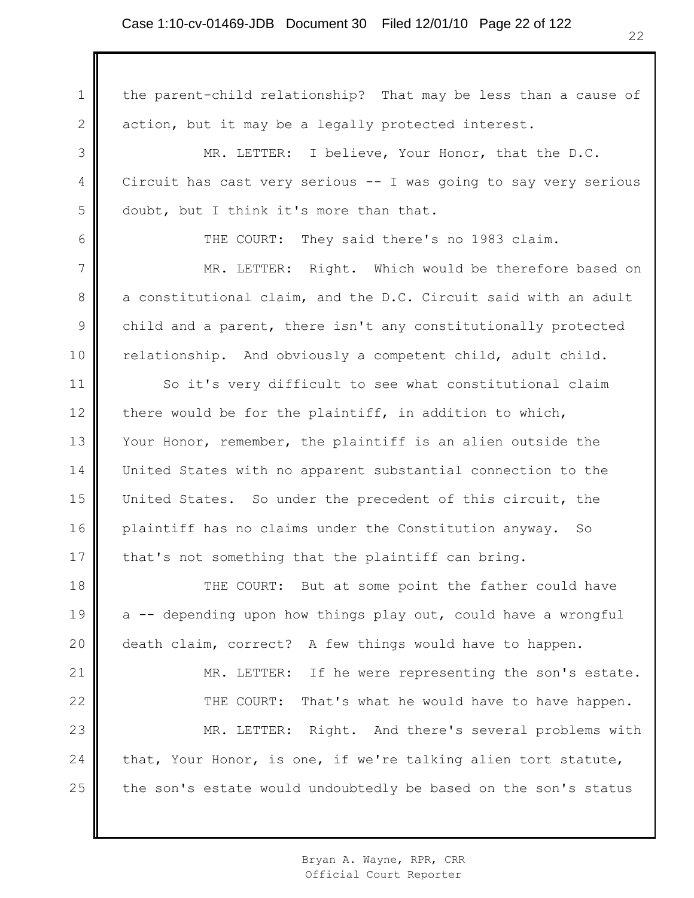1 2 3 4 5 6 7 8 9 10 11 12 13 14 15 16 17 18 19 20 21 22 23 24 25 the parent-child relationship? That may be less than a cause of action, but it may be a legally protected interest. MR. LETTER: I believe, Your Honor, that the D.C. Circuit has cast very serious -- I was going to say very serious doubt, but I think it's more than that. THE COURT: They said there's no 1983 claim. MR. LETTER: Right. Which would be therefore based on a constitutional claim, and the D.C. Circuit said with an adult child and a parent, there isn't any constitutionally protected relationship. And obviously a competent child, adult child. So it's very difficult to see what constitutional claim there would be for the plaintiff, in addition to which, Your Honor, remember, the plaintiff is an alien outside the United States with no apparent substantial connection to the United States. So under the precedent of this circuit, the plaintiff has no claims under the Constitution anyway. So that's not something that the plaintiff can bring. THE COURT: But at some point the father could have a -- depending upon how things play out, could have a wrongful death claim, correct? A few things would have to happen. MR. LETTER: If he were representing the son's estate. THE COURT: That's what he would have to have happen. MR. LETTER: Right. And there's several problems with that, Your Honor, is one, if we're talking alien tort statute, the son's estate would undoubtedly be based on the son's status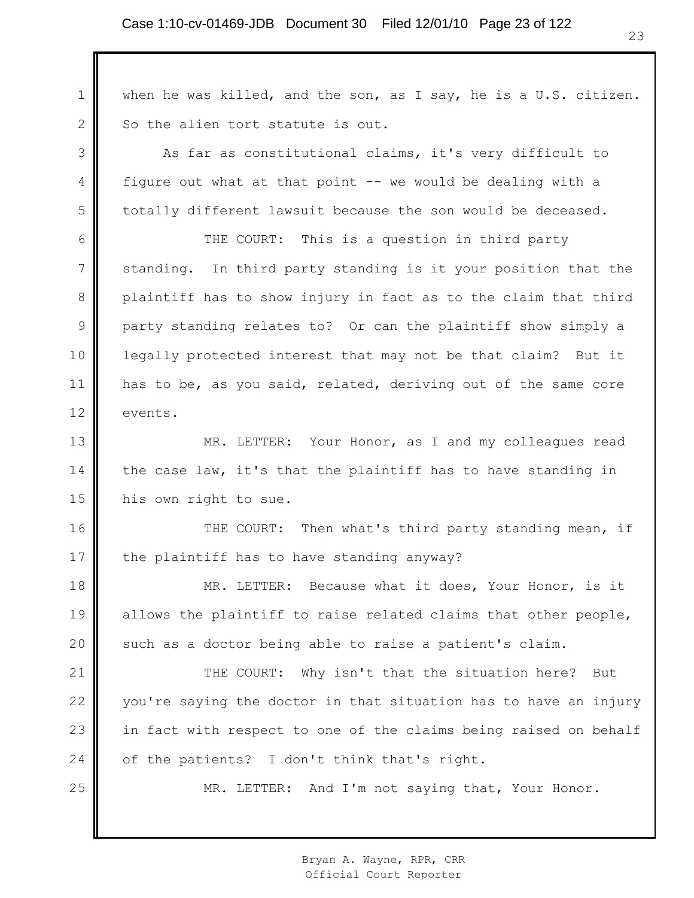1 2 when he was killed, and the son, as I say, he is a U.S. citizen. So the alien tort statute is out.

As far as constitutional claims, it's very difficult to figure out what at that point -- we would be dealing with a totally different lawsuit because the son would be deceased.

3

4

5

25

6 7 8 9 10 11 12 THE COURT: This is a question in third party standing. In third party standing is it your position that the plaintiff has to show injury in fact as to the claim that third party standing relates to? Or can the plaintiff show simply a legally protected interest that may not be that claim? But it has to be, as you said, related, deriving out of the same core events.

13 14 15 MR. LETTER: Your Honor, as I and my colleagues read the case law, it's that the plaintiff has to have standing in his own right to sue.

16 17 THE COURT: Then what's third party standing mean, if the plaintiff has to have standing anyway?

18 19 20 MR. LETTER: Because what it does, Your Honor, is it allows the plaintiff to raise related claims that other people, such as a doctor being able to raise a patient's claim.

21 22 23 24 THE COURT: Why isn't that the situation here? But you're saying the doctor in that situation has to have an injury in fact with respect to one of the claims being raised on behalf of the patients? I don't think that's right.

MR. LETTER: And I'm not saying that, Your Honor.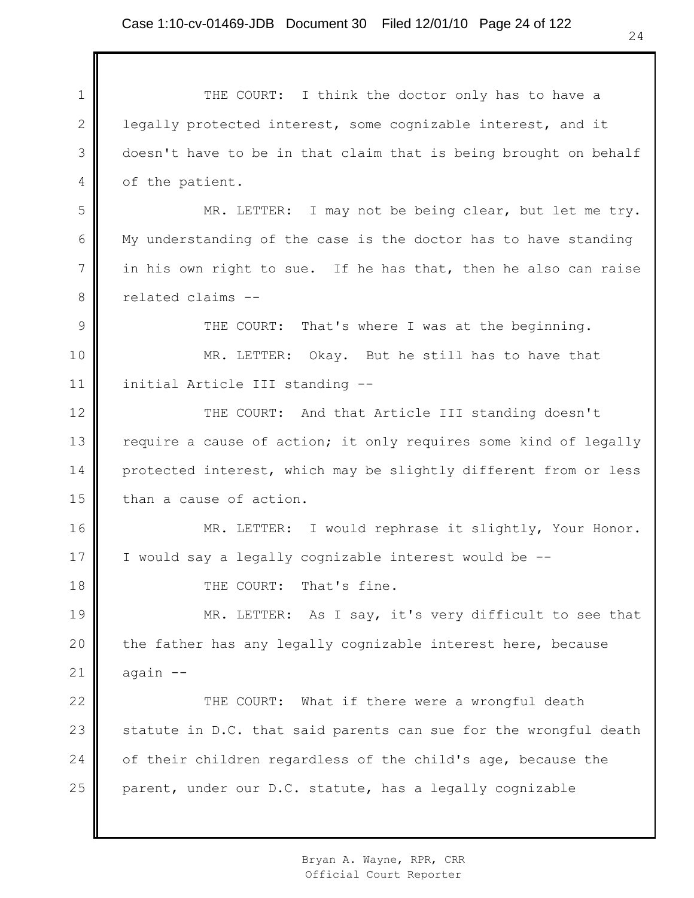1 2 3 4 5 6 7 8 9 10 11 12 13 14 15 16 17 18 19 20 21 22 23 24 25 THE COURT: I think the doctor only has to have a legally protected interest, some cognizable interest, and it doesn't have to be in that claim that is being brought on behalf of the patient. MR. LETTER: I may not be being clear, but let me try. My understanding of the case is the doctor has to have standing in his own right to sue. If he has that, then he also can raise related claims -- THE COURT: That's where I was at the beginning. MR. LETTER: Okay. But he still has to have that initial Article III standing -- THE COURT: And that Article III standing doesn't require a cause of action; it only requires some kind of legally protected interest, which may be slightly different from or less than a cause of action. MR. LETTER: I would rephrase it slightly, Your Honor. I would say a legally cognizable interest would be -- THE COURT: That's fine. MR. LETTER: As I say, it's very difficult to see that the father has any legally cognizable interest here, because again -- THE COURT: What if there were a wrongful death statute in D.C. that said parents can sue for the wrongful death of their children regardless of the child's age, because the parent, under our D.C. statute, has a legally cognizable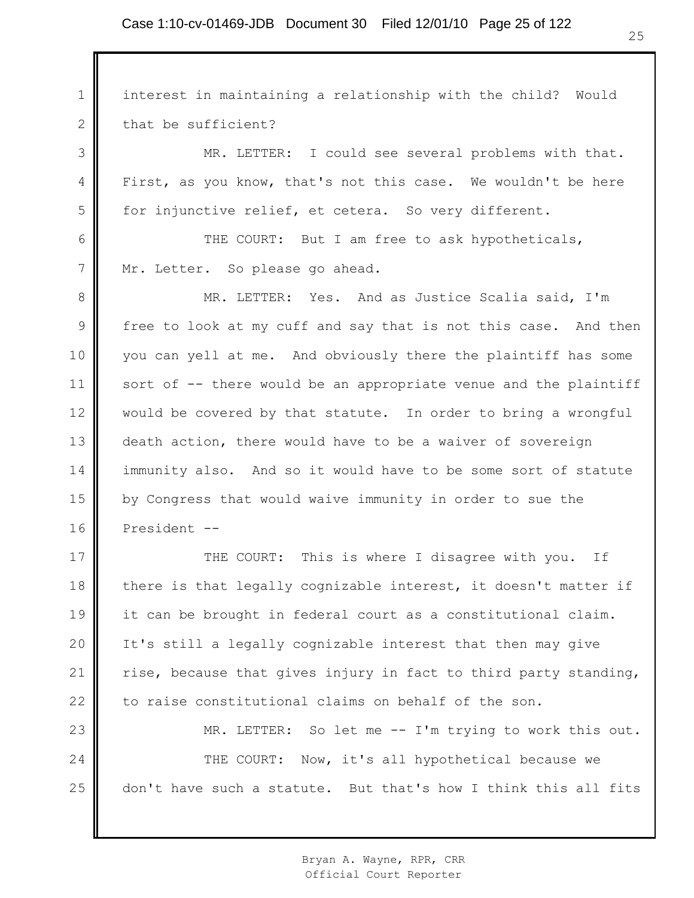1 2 interest in maintaining a relationship with the child? Would that be sufficient?

MR. LETTER: I could see several problems with that. First, as you know, that's not this case. We wouldn't be here for injunctive relief, et cetera. So very different.

THE COURT: But I am free to ask hypotheticals, Mr. Letter. So please go ahead.

3

4

5

6

7

8 9 10 11 12 13 14 15 16 MR. LETTER: Yes. And as Justice Scalia said, I'm free to look at my cuff and say that is not this case. And then you can yell at me. And obviously there the plaintiff has some sort of -- there would be an appropriate venue and the plaintiff would be covered by that statute. In order to bring a wrongful death action, there would have to be a waiver of sovereign immunity also. And so it would have to be some sort of statute by Congress that would waive immunity in order to sue the President --

17 18 19 20 21 22 THE COURT: This is where I disagree with you. If there is that legally cognizable interest, it doesn't matter if it can be brought in federal court as a constitutional claim. It's still a legally cognizable interest that then may give rise, because that gives injury in fact to third party standing, to raise constitutional claims on behalf of the son.

23 24 25 MR. LETTER: So let me -- I'm trying to work this out. THE COURT: Now, it's all hypothetical because we don't have such a statute. But that's how I think this all fits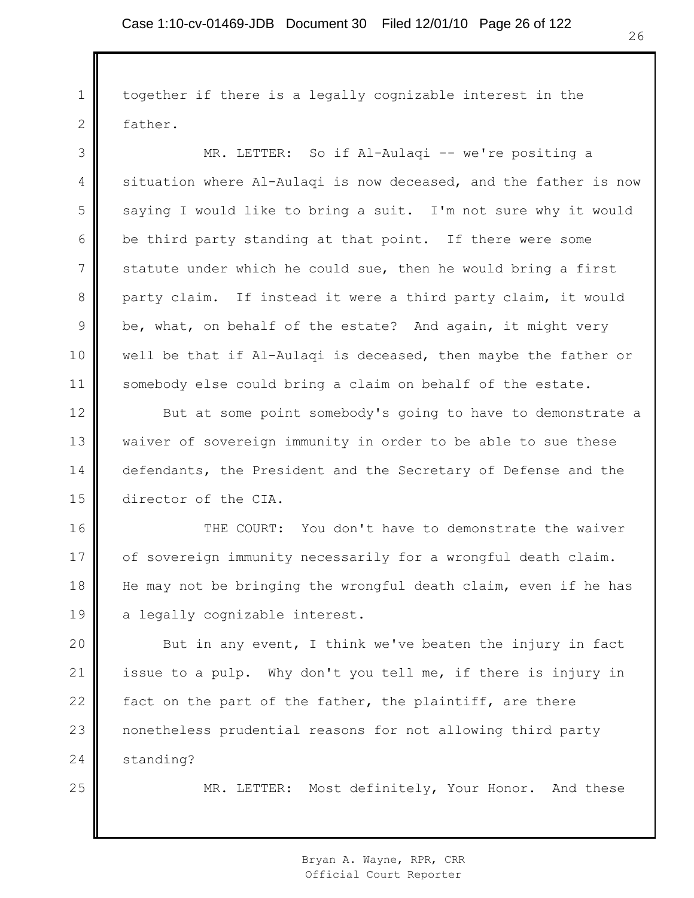1 2 3 4 5 6 7 8 9 10 11 12 13 14 15 16 17 18 19 20 21 22 23 24 25 together if there is a legally cognizable interest in the father. MR. LETTER: So if Al-Aulaqi -- we're positing a situation where Al-Aulaqi is now deceased, and the father is now saying I would like to bring a suit. I'm not sure why it would be third party standing at that point. If there were some statute under which he could sue, then he would bring a first party claim. If instead it were a third party claim, it would be, what, on behalf of the estate? And again, it might very well be that if Al-Aulaqi is deceased, then maybe the father or somebody else could bring a claim on behalf of the estate. But at some point somebody's going to have to demonstrate a waiver of sovereign immunity in order to be able to sue these defendants, the President and the Secretary of Defense and the director of the CIA. THE COURT: You don't have to demonstrate the waiver of sovereign immunity necessarily for a wrongful death claim. He may not be bringing the wrongful death claim, even if he has a legally cognizable interest. But in any event, I think we've beaten the injury in fact issue to a pulp. Why don't you tell me, if there is injury in fact on the part of the father, the plaintiff, are there nonetheless prudential reasons for not allowing third party standing? MR. LETTER: Most definitely, Your Honor. And these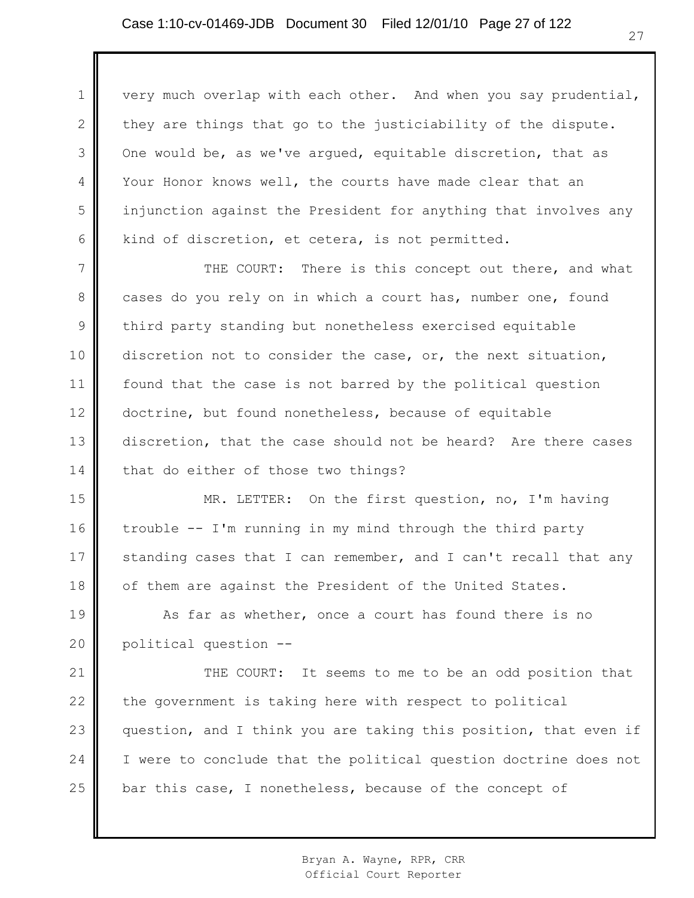1 2 3 4 5 6 very much overlap with each other. And when you say prudential, they are things that go to the justiciability of the dispute. One would be, as we've argued, equitable discretion, that as Your Honor knows well, the courts have made clear that an injunction against the President for anything that involves any kind of discretion, et cetera, is not permitted.

7 8 9 10 11 12 13 14 THE COURT: There is this concept out there, and what cases do you rely on in which a court has, number one, found third party standing but nonetheless exercised equitable discretion not to consider the case, or, the next situation, found that the case is not barred by the political question doctrine, but found nonetheless, because of equitable discretion, that the case should not be heard? Are there cases that do either of those two things?

15 16 17 18 MR. LETTER: On the first question, no, I'm having trouble -- I'm running in my mind through the third party standing cases that I can remember, and I can't recall that any of them are against the President of the United States.

19 20 As far as whether, once a court has found there is no political question --

21 22 23 24 25 THE COURT: It seems to me to be an odd position that the government is taking here with respect to political question, and I think you are taking this position, that even if I were to conclude that the political question doctrine does not bar this case, I nonetheless, because of the concept of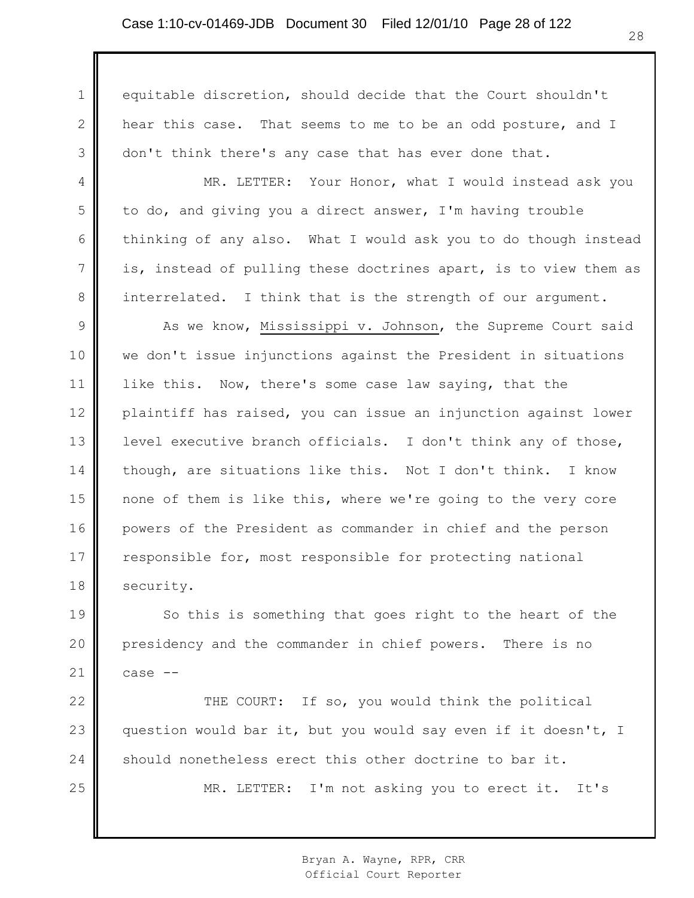1

2

3

4

5

6

7

8

equitable discretion, should decide that the Court shouldn't hear this case. That seems to me to be an odd posture, and I don't think there's any case that has ever done that.

MR. LETTER: Your Honor, what I would instead ask you to do, and giving you a direct answer, I'm having trouble thinking of any also. What I would ask you to do though instead is, instead of pulling these doctrines apart, is to view them as interrelated. I think that is the strength of our argument.

9 10 11 12 13 14 15 16 17 18 As we know, Mississippi v. Johnson, the Supreme Court said we don't issue injunctions against the President in situations like this. Now, there's some case law saying, that the plaintiff has raised, you can issue an injunction against lower level executive branch officials. I don't think any of those, though, are situations like this. Not I don't think. I know none of them is like this, where we're going to the very core powers of the President as commander in chief and the person responsible for, most responsible for protecting national security.

19 20 21 So this is something that goes right to the heart of the presidency and the commander in chief powers. There is no case --

22 23 24 25 THE COURT: If so, you would think the political question would bar it, but you would say even if it doesn't, I should nonetheless erect this other doctrine to bar it. MR. LETTER: I'm not asking you to erect it. It's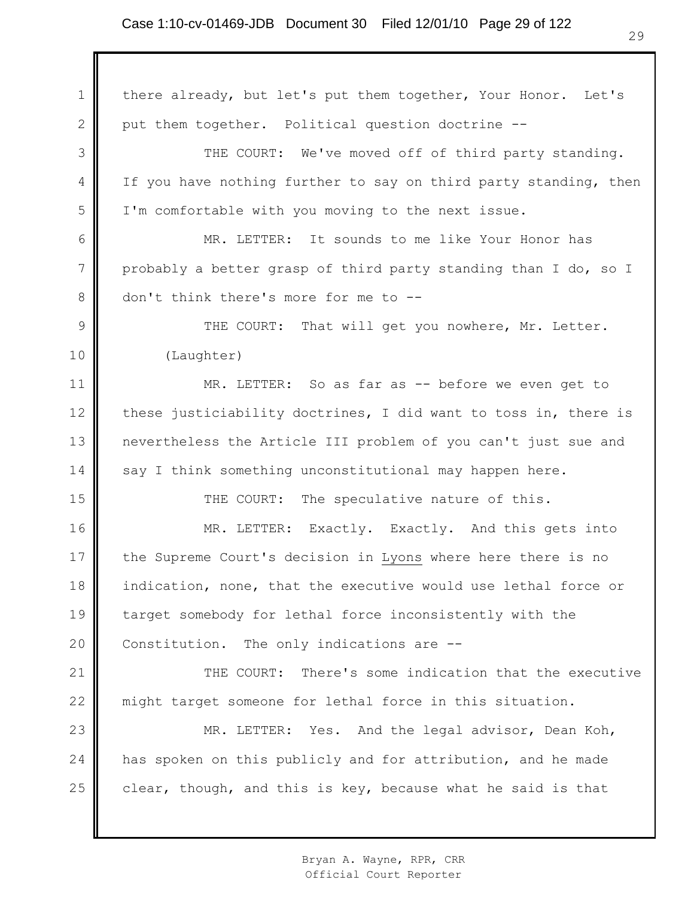1 2 3 4 5 6 7 8 9 10 11 12 13 14 15 16 17 18 19 20 21 22 23 24 25 there already, but let's put them together, Your Honor. Let's put them together. Political question doctrine -- THE COURT: We've moved off of third party standing. If you have nothing further to say on third party standing, then I'm comfortable with you moving to the next issue. MR. LETTER: It sounds to me like Your Honor has probably a better grasp of third party standing than I do, so I don't think there's more for me to -- THE COURT: That will get you nowhere, Mr. Letter. (Laughter) MR. LETTER: So as far as -- before we even get to these justiciability doctrines, I did want to toss in, there is nevertheless the Article III problem of you can't just sue and say I think something unconstitutional may happen here. THE COURT: The speculative nature of this. MR. LETTER: Exactly. Exactly. And this gets into the Supreme Court's decision in Lyons where here there is no indication, none, that the executive would use lethal force or target somebody for lethal force inconsistently with the Constitution. The only indications are -- THE COURT: There's some indication that the executive might target someone for lethal force in this situation. MR. LETTER: Yes. And the legal advisor, Dean Koh, has spoken on this publicly and for attribution, and he made clear, though, and this is key, because what he said is that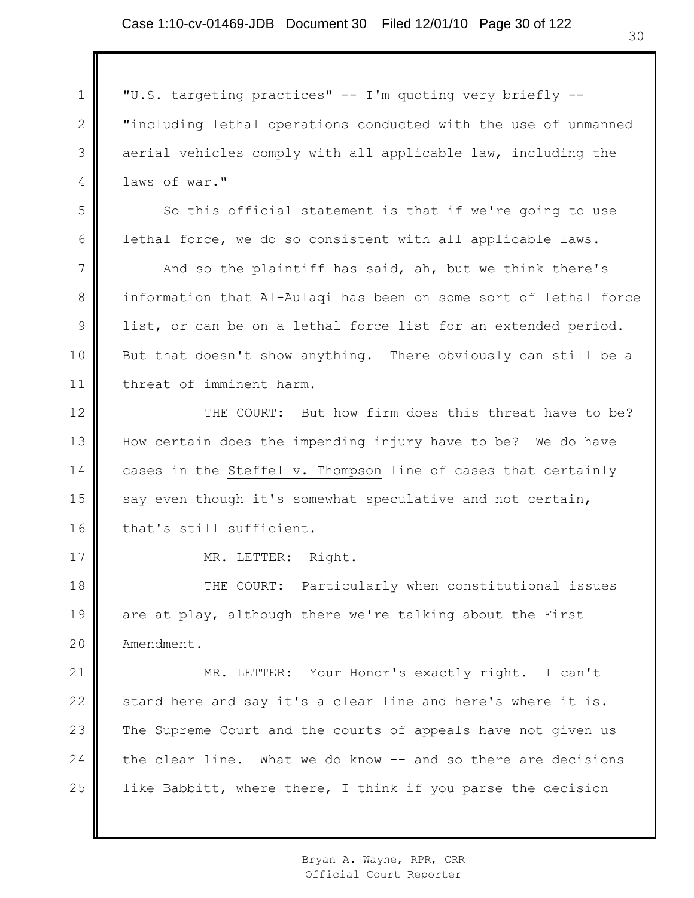## Case 1:10-cv-01469-JDB Document 30 Filed 12/01/10 Page 30 of 122

1 2 3 4 5 6 7 8 9 10 11 12 13 14 15 16 17 18 19 20 21 22 23 24 25 "U.S. targeting practices" -- I'm quoting very briefly -- "including lethal operations conducted with the use of unmanned aerial vehicles comply with all applicable law, including the laws of war." So this official statement is that if we're going to use lethal force, we do so consistent with all applicable laws. And so the plaintiff has said, ah, but we think there's information that Al-Aulaqi has been on some sort of lethal force list, or can be on a lethal force list for an extended period. But that doesn't show anything. There obviously can still be a threat of imminent harm. THE COURT: But how firm does this threat have to be? How certain does the impending injury have to be? We do have cases in the Steffel v. Thompson line of cases that certainly say even though it's somewhat speculative and not certain, that's still sufficient. MR. LETTER: Right. THE COURT: Particularly when constitutional issues are at play, although there we're talking about the First Amendment. MR. LETTER: Your Honor's exactly right. I can't stand here and say it's a clear line and here's where it is. The Supreme Court and the courts of appeals have not given us the clear line. What we do know -- and so there are decisions like Babbitt, where there, I think if you parse the decision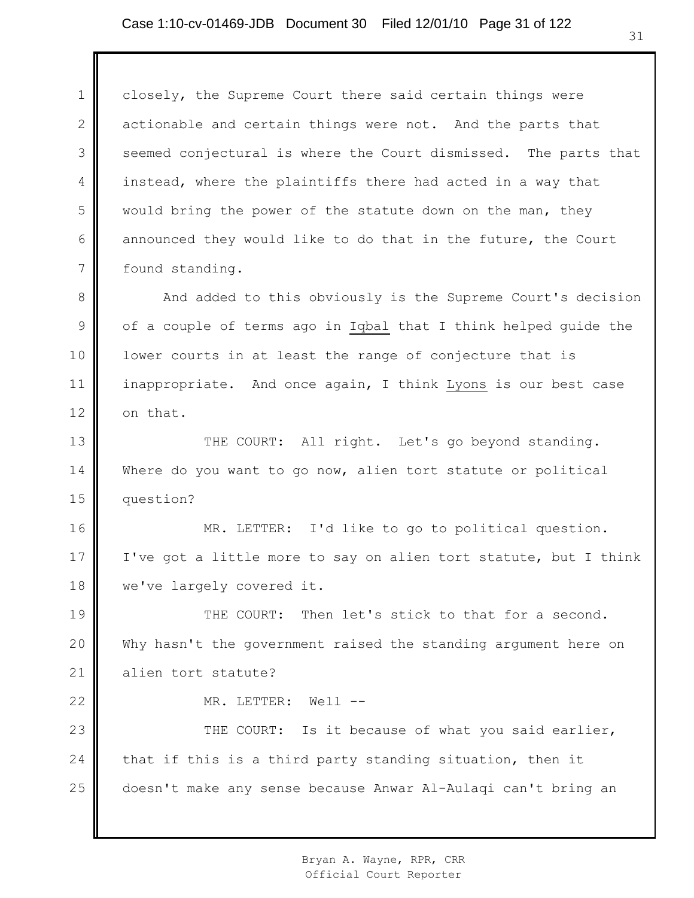1 2 3 4 5 6 7 closely, the Supreme Court there said certain things were actionable and certain things were not. And the parts that seemed conjectural is where the Court dismissed. The parts that instead, where the plaintiffs there had acted in a way that would bring the power of the statute down on the man, they announced they would like to do that in the future, the Court found standing.

8 9 10 11 12 And added to this obviously is the Supreme Court's decision of a couple of terms ago in Iqbal that I think helped guide the lower courts in at least the range of conjecture that is inappropriate. And once again, I think Lyons is our best case on that.

13 14 15 THE COURT: All right. Let's go beyond standing. Where do you want to go now, alien tort statute or political question?

16 17 18 MR. LETTER: I'd like to go to political question. I've got a little more to say on alien tort statute, but I think we've largely covered it.

19 20 21 THE COURT: Then let's stick to that for a second. Why hasn't the government raised the standing argument here on alien tort statute?

MR. LETTER: Well --

22

23 24 25 THE COURT: Is it because of what you said earlier, that if this is a third party standing situation, then it doesn't make any sense because Anwar Al-Aulaqi can't bring an

> Bryan A. Wayne, RPR, CRR Official Court Reporter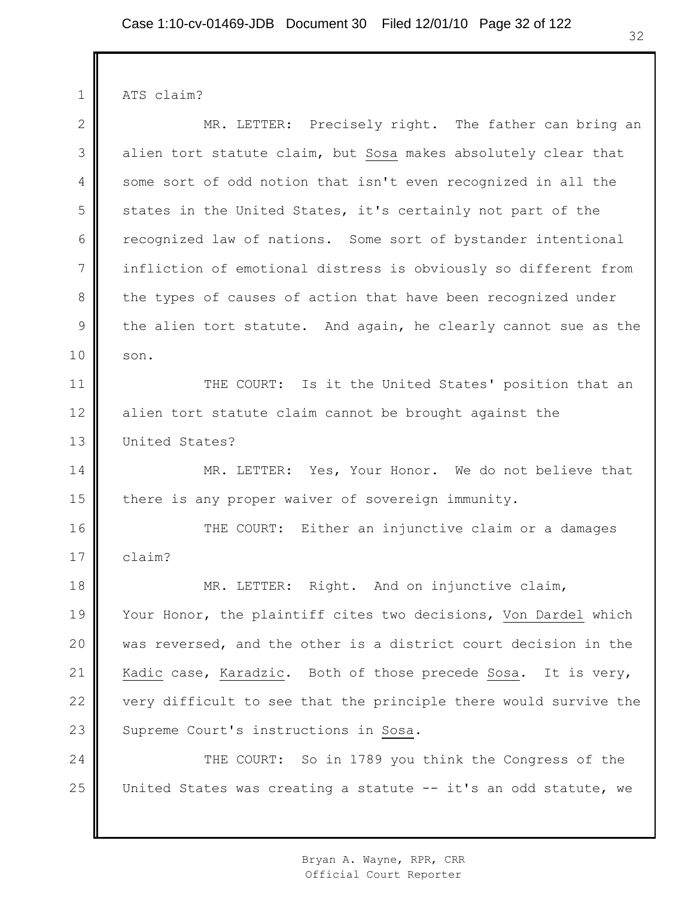ATS claim?

1

2 3 4 5 6 7 8 9 10 11 12 13 14 15 16 17 18 19 20 21 22 23 24 25 MR. LETTER: Precisely right. The father can bring an alien tort statute claim, but Sosa makes absolutely clear that some sort of odd notion that isn't even recognized in all the states in the United States, it's certainly not part of the recognized law of nations. Some sort of bystander intentional infliction of emotional distress is obviously so different from the types of causes of action that have been recognized under the alien tort statute. And again, he clearly cannot sue as the son. THE COURT: Is it the United States' position that an alien tort statute claim cannot be brought against the United States? MR. LETTER: Yes, Your Honor. We do not believe that there is any proper waiver of sovereign immunity. THE COURT: Either an injunctive claim or a damages claim? MR. LETTER: Right. And on injunctive claim, Your Honor, the plaintiff cites two decisions, Von Dardel which was reversed, and the other is a district court decision in the Kadic case, Karadzic. Both of those precede Sosa. It is very, very difficult to see that the principle there would survive the Supreme Court's instructions in Sosa. THE COURT: So in 1789 you think the Congress of the United States was creating a statute -- it's an odd statute, we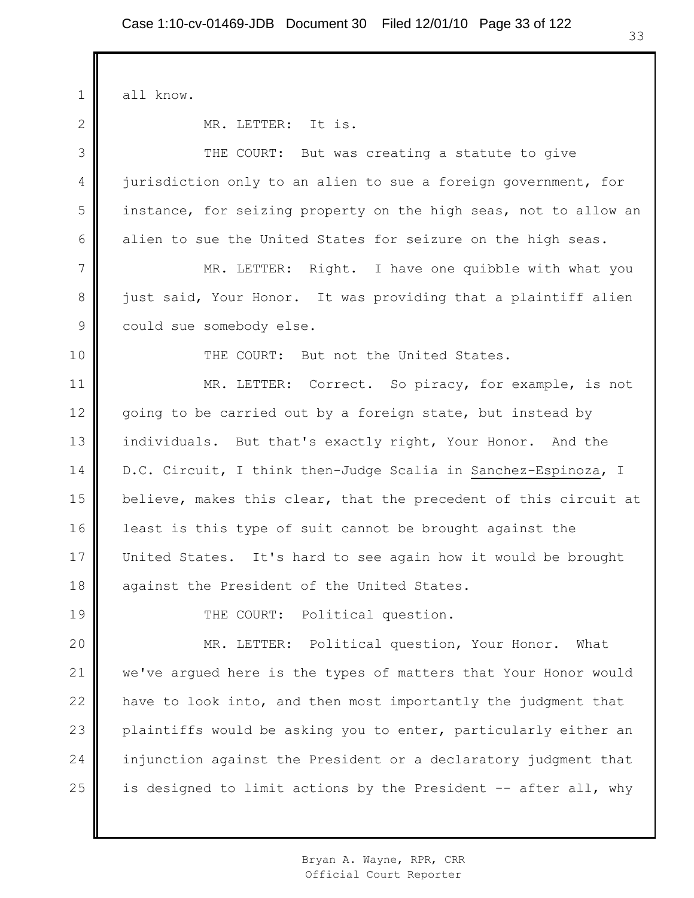1 2 3 4 5 6 7 8 9 10 11 12 13 14 15 16 17 18 19 20 21 22 23 24 25 all know. MR. LETTER: It is. THE COURT: But was creating a statute to give jurisdiction only to an alien to sue a foreign government, for instance, for seizing property on the high seas, not to allow an alien to sue the United States for seizure on the high seas. MR. LETTER: Right. I have one quibble with what you just said, Your Honor. It was providing that a plaintiff alien could sue somebody else. THE COURT: But not the United States. MR. LETTER: Correct. So piracy, for example, is not going to be carried out by a foreign state, but instead by individuals. But that's exactly right, Your Honor. And the D.C. Circuit, I think then-Judge Scalia in Sanchez-Espinoza, I believe, makes this clear, that the precedent of this circuit at least is this type of suit cannot be brought against the United States. It's hard to see again how it would be brought against the President of the United States. THE COURT: Political question. MR. LETTER: Political question, Your Honor. What we've argued here is the types of matters that Your Honor would have to look into, and then most importantly the judgment that plaintiffs would be asking you to enter, particularly either an injunction against the President or a declaratory judgment that is designed to limit actions by the President -- after all, why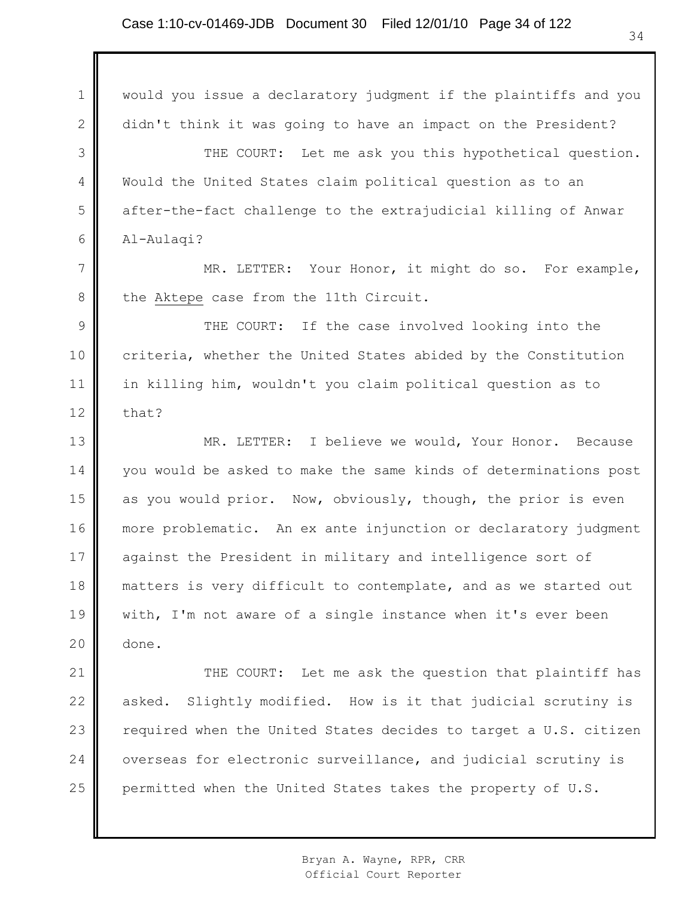1 2 3 4 5 6 7 8 9 10 11 12 13 14 15 16 17 18 19 20 21 22 23 24 25 would you issue a declaratory judgment if the plaintiffs and you didn't think it was going to have an impact on the President? THE COURT: Let me ask you this hypothetical question. Would the United States claim political question as to an after-the-fact challenge to the extrajudicial killing of Anwar Al-Aulaqi? MR. LETTER: Your Honor, it might do so. For example, the Aktepe case from the 11th Circuit. THE COURT: If the case involved looking into the criteria, whether the United States abided by the Constitution in killing him, wouldn't you claim political question as to that? MR. LETTER: I believe we would, Your Honor. Because you would be asked to make the same kinds of determinations post as you would prior. Now, obviously, though, the prior is even more problematic. An ex ante injunction or declaratory judgment against the President in military and intelligence sort of matters is very difficult to contemplate, and as we started out with, I'm not aware of a single instance when it's ever been done. THE COURT: Let me ask the question that plaintiff has asked. Slightly modified. How is it that judicial scrutiny is required when the United States decides to target a U.S. citizen overseas for electronic surveillance, and judicial scrutiny is permitted when the United States takes the property of U.S.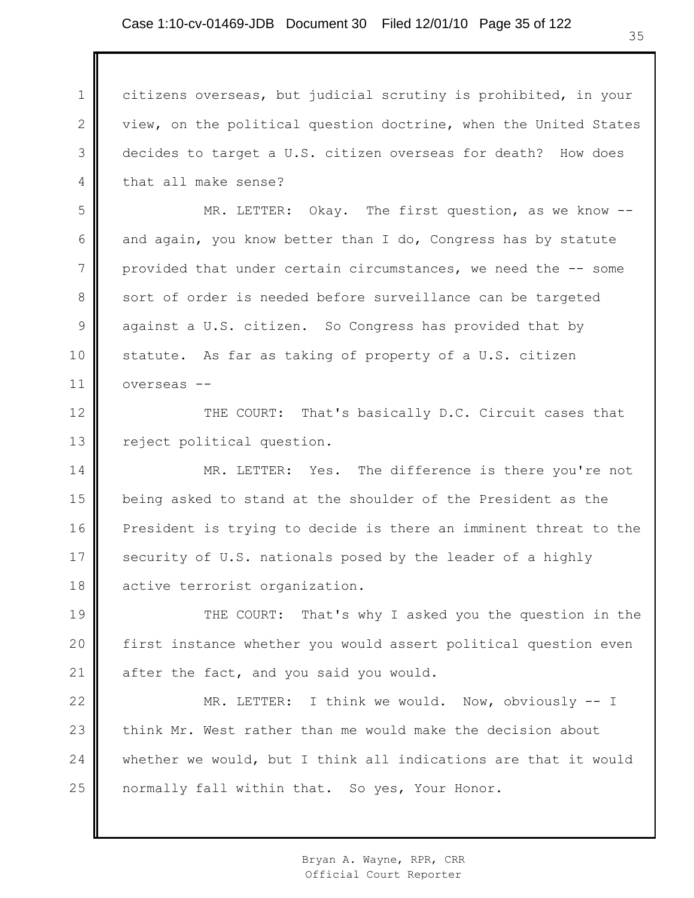1 2 3 4 citizens overseas, but judicial scrutiny is prohibited, in your view, on the political question doctrine, when the United States decides to target a U.S. citizen overseas for death? How does that all make sense?

5 6 7 8 9 10 11 MR. LETTER: Okay. The first question, as we know - and again, you know better than I do, Congress has by statute provided that under certain circumstances, we need the -- some sort of order is needed before surveillance can be targeted against a U.S. citizen. So Congress has provided that by statute. As far as taking of property of a U.S. citizen overseas --

12 13 THE COURT: That's basically D.C. Circuit cases that reject political question.

14 15 16 17 18 MR. LETTER: Yes. The difference is there you're not being asked to stand at the shoulder of the President as the President is trying to decide is there an imminent threat to the security of U.S. nationals posed by the leader of a highly active terrorist organization.

19 20 21 THE COURT: That's why I asked you the question in the first instance whether you would assert political question even after the fact, and you said you would.

22 23 24 25 MR. LETTER: I think we would. Now, obviously -- I think Mr. West rather than me would make the decision about whether we would, but I think all indications are that it would normally fall within that. So yes, Your Honor.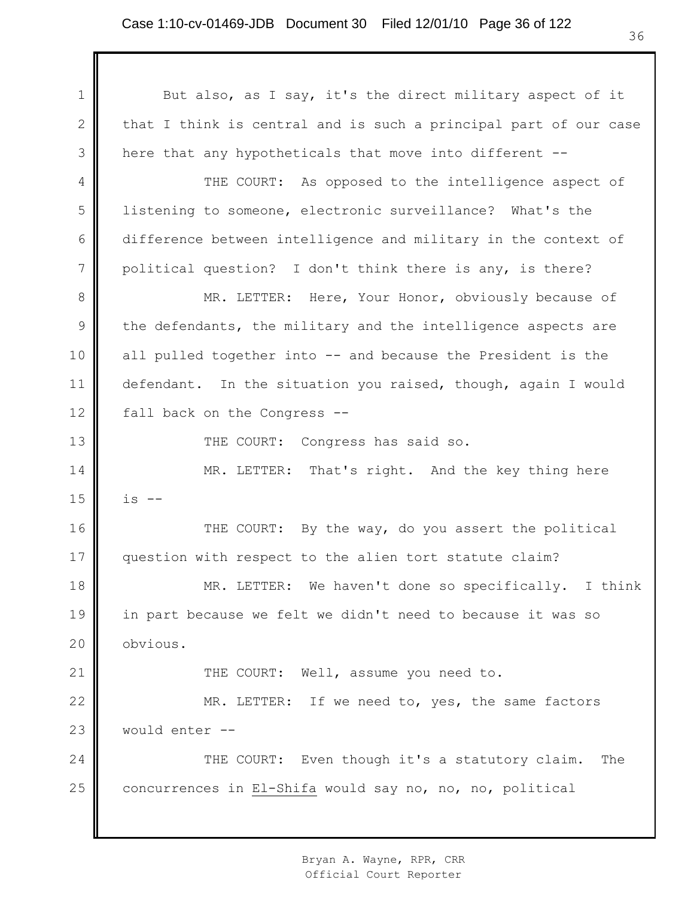1 2 3 4 5 6 7 8 9 10 11 12 13 14 15 16 17 18 19 20 21 22 23 24 25 But also, as I say, it's the direct military aspect of it that I think is central and is such a principal part of our case here that any hypotheticals that move into different -- THE COURT: As opposed to the intelligence aspect of listening to someone, electronic surveillance? What's the difference between intelligence and military in the context of political question? I don't think there is any, is there? MR. LETTER: Here, Your Honor, obviously because of the defendants, the military and the intelligence aspects are all pulled together into -- and because the President is the defendant. In the situation you raised, though, again I would fall back on the Congress -- THE COURT: Congress has said so. MR. LETTER: That's right. And the key thing here  $is$   $--$ THE COURT: By the way, do you assert the political question with respect to the alien tort statute claim? MR. LETTER: We haven't done so specifically. I think in part because we felt we didn't need to because it was so obvious. THE COURT: Well, assume you need to. MR. LETTER: If we need to, yes, the same factors would enter -- THE COURT: Even though it's a statutory claim. The concurrences in El-Shifa would say no, no, no, political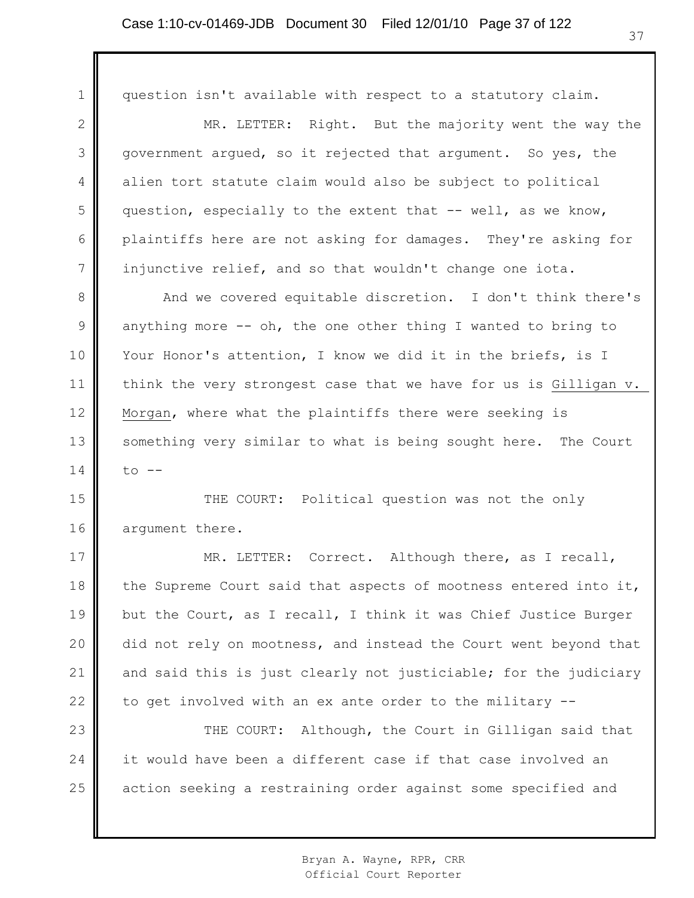1 2 3 4 5 6 7 8 9 10 11 12 13 14 15 16 17 18 19 20 21 22 23 24 25 question isn't available with respect to a statutory claim. MR. LETTER: Right. But the majority went the way the government argued, so it rejected that argument. So yes, the alien tort statute claim would also be subject to political question, especially to the extent that -- well, as we know, plaintiffs here are not asking for damages. They're asking for injunctive relief, and so that wouldn't change one iota. And we covered equitable discretion. I don't think there's anything more  $--$  oh, the one other thing I wanted to bring to Your Honor's attention, I know we did it in the briefs, is I think the very strongest case that we have for us is Gilligan v. Morgan, where what the plaintiffs there were seeking is something very similar to what is being sought here. The Court  $t \circ -$ THE COURT: Political question was not the only argument there. MR. LETTER: Correct. Although there, as I recall, the Supreme Court said that aspects of mootness entered into it, but the Court, as I recall, I think it was Chief Justice Burger did not rely on mootness, and instead the Court went beyond that and said this is just clearly not justiciable; for the judiciary to get involved with an ex ante order to the military -- THE COURT: Although, the Court in Gilligan said that it would have been a different case if that case involved an action seeking a restraining order against some specified and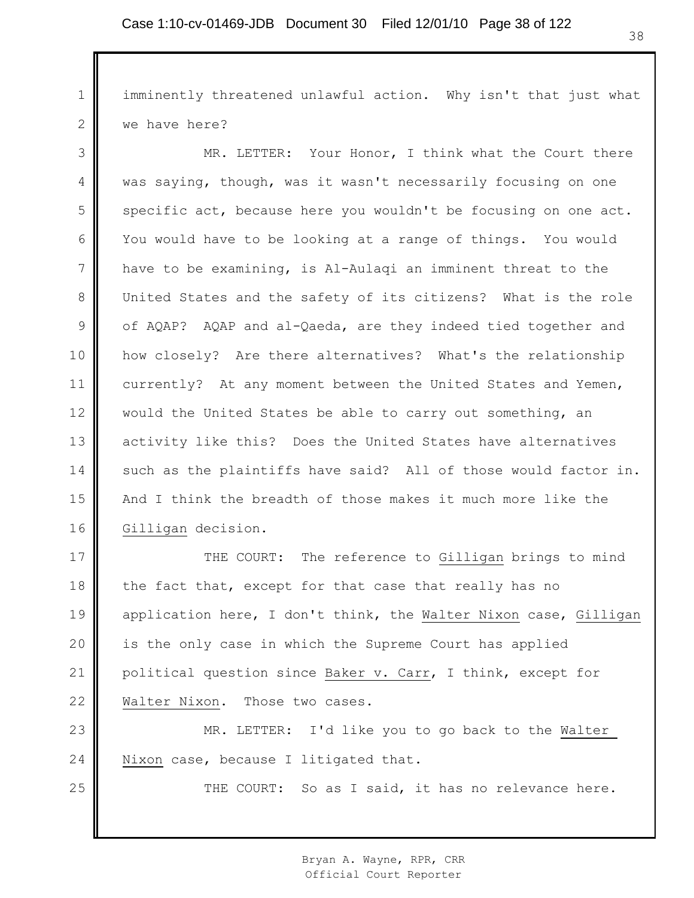1 2 imminently threatened unlawful action. Why isn't that just what we have here?

3 4 5 6 7 8 9 10 11 12 13 14 15 16 MR. LETTER: Your Honor, I think what the Court there was saying, though, was it wasn't necessarily focusing on one specific act, because here you wouldn't be focusing on one act. You would have to be looking at a range of things. You would have to be examining, is Al-Aulaqi an imminent threat to the United States and the safety of its citizens? What is the role of AQAP? AQAP and al-Qaeda, are they indeed tied together and how closely? Are there alternatives? What's the relationship currently? At any moment between the United States and Yemen, would the United States be able to carry out something, an activity like this? Does the United States have alternatives such as the plaintiffs have said? All of those would factor in. And I think the breadth of those makes it much more like the Gilligan decision.

17 18 19 20 21 22 THE COURT: The reference to Gilligan brings to mind the fact that, except for that case that really has no application here, I don't think, the Walter Nixon case, Gilligan is the only case in which the Supreme Court has applied political question since Baker v. Carr, I think, except for Walter Nixon. Those two cases.

23 24 MR. LETTER: I'd like you to go back to the Walter Nixon case, because I litigated that.

25

THE COURT: So as I said, it has no relevance here.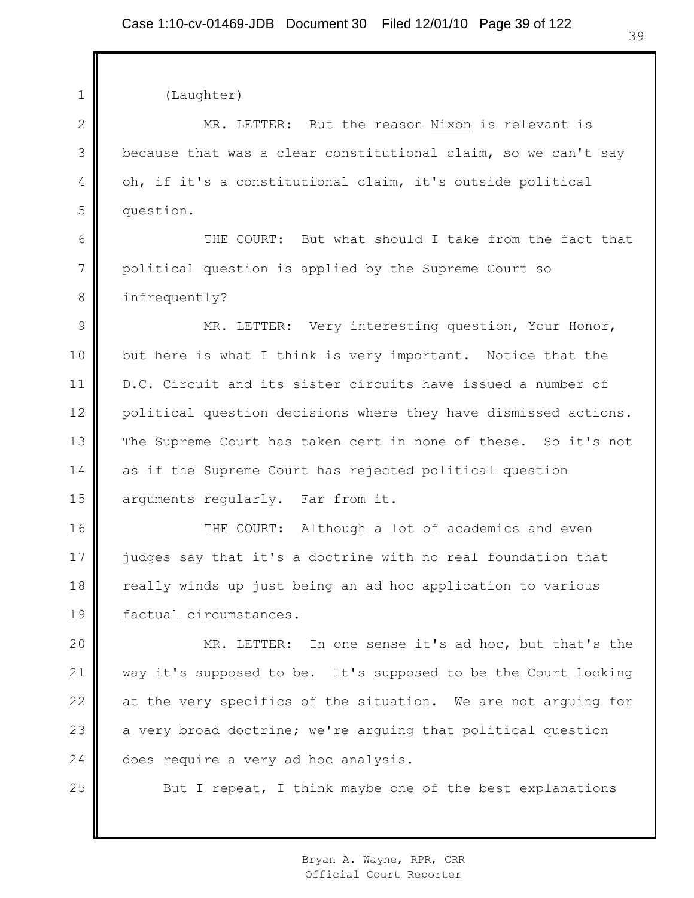1 2 3 4 5 6 7 8 9 10 11 12 13 14 15 16 17 18 19 20 21 22 23 24 25 (Laughter) MR. LETTER: But the reason Nixon is relevant is because that was a clear constitutional claim, so we can't say oh, if it's a constitutional claim, it's outside political question. THE COURT: But what should I take from the fact that political question is applied by the Supreme Court so infrequently? MR. LETTER: Very interesting question, Your Honor, but here is what I think is very important. Notice that the D.C. Circuit and its sister circuits have issued a number of political question decisions where they have dismissed actions. The Supreme Court has taken cert in none of these. So it's not as if the Supreme Court has rejected political question arguments regularly. Far from it. THE COURT: Although a lot of academics and even judges say that it's a doctrine with no real foundation that really winds up just being an ad hoc application to various factual circumstances. MR. LETTER: In one sense it's ad hoc, but that's the way it's supposed to be. It's supposed to be the Court looking at the very specifics of the situation. We are not arguing for a very broad doctrine; we're arguing that political question does require a very ad hoc analysis. But I repeat, I think maybe one of the best explanations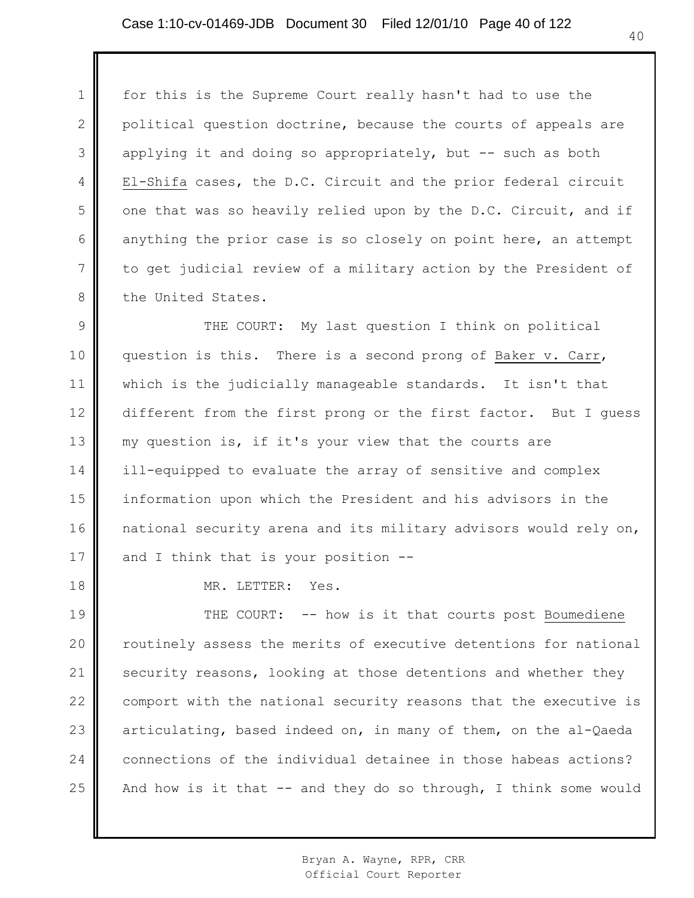1 2 3 4 5 6 7 8 for this is the Supreme Court really hasn't had to use the political question doctrine, because the courts of appeals are applying it and doing so appropriately, but -- such as both El-Shifa cases, the D.C. Circuit and the prior federal circuit one that was so heavily relied upon by the D.C. Circuit, and if anything the prior case is so closely on point here, an attempt to get judicial review of a military action by the President of the United States.

9 10 11 12 13 14 15 16 17 THE COURT: My last question I think on political question is this. There is a second prong of Baker v. Carr, which is the judicially manageable standards. It isn't that different from the first prong or the first factor. But I guess my question is, if it's your view that the courts are ill-equipped to evaluate the array of sensitive and complex information upon which the President and his advisors in the national security arena and its military advisors would rely on, and I think that is your position --

18

MR. LETTER: Yes.

19 20 21 22 23 24 25 THE COURT: -- how is it that courts post Boumediene routinely assess the merits of executive detentions for national security reasons, looking at those detentions and whether they comport with the national security reasons that the executive is articulating, based indeed on, in many of them, on the al-Qaeda connections of the individual detainee in those habeas actions? And how is it that  $--$  and they do so through, I think some would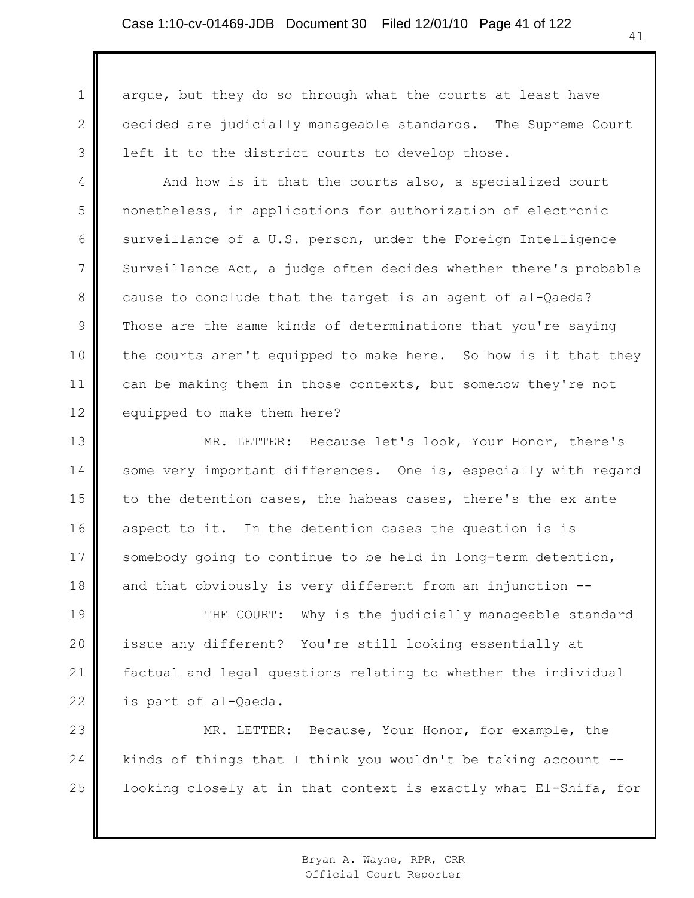1 2 3 argue, but they do so through what the courts at least have decided are judicially manageable standards. The Supreme Court left it to the district courts to develop those.

4 5 6 7 8 9 10 11 12 And how is it that the courts also, a specialized court nonetheless, in applications for authorization of electronic surveillance of a U.S. person, under the Foreign Intelligence Surveillance Act, a judge often decides whether there's probable cause to conclude that the target is an agent of al-Qaeda? Those are the same kinds of determinations that you're saying the courts aren't equipped to make here. So how is it that they can be making them in those contexts, but somehow they're not equipped to make them here?

13 14 15 16 17 18 MR. LETTER: Because let's look, Your Honor, there's some very important differences. One is, especially with regard to the detention cases, the habeas cases, there's the ex ante aspect to it. In the detention cases the question is is somebody going to continue to be held in long-term detention, and that obviously is very different from an injunction --

19 20 21 22 THE COURT: Why is the judicially manageable standard issue any different? You're still looking essentially at factual and legal questions relating to whether the individual is part of al-Qaeda.

23 24 25 MR. LETTER: Because, Your Honor, for example, the kinds of things that I think you wouldn't be taking account - looking closely at in that context is exactly what El-Shifa, for

> Bryan A. Wayne, RPR, CRR Official Court Reporter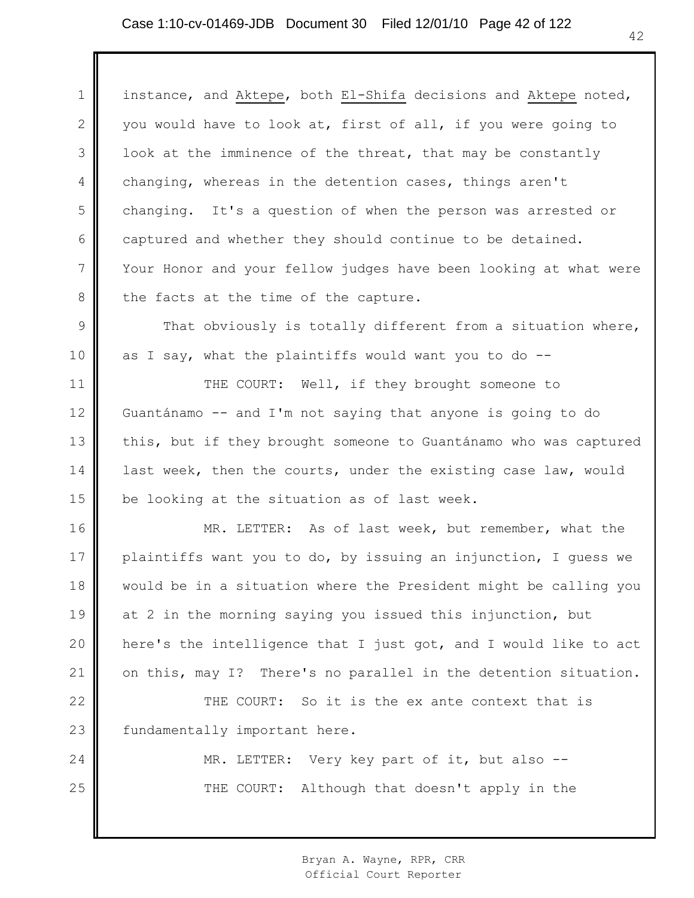1 2 3 4 5 6 7 8 9 10 11 12 13 14 15 16 17 18 19 20 21 22 23 24 25 instance, and Aktepe, both El-Shifa decisions and Aktepe noted, you would have to look at, first of all, if you were going to look at the imminence of the threat, that may be constantly changing, whereas in the detention cases, things aren't changing. It's a question of when the person was arrested or captured and whether they should continue to be detained. Your Honor and your fellow judges have been looking at what were the facts at the time of the capture. That obviously is totally different from a situation where, as I say, what the plaintiffs would want you to do  $-$ -THE COURT: Well, if they brought someone to Guantánamo -- and I'm not saying that anyone is going to do this, but if they brought someone to Guantánamo who was captured last week, then the courts, under the existing case law, would be looking at the situation as of last week. MR. LETTER: As of last week, but remember, what the plaintiffs want you to do, by issuing an injunction, I guess we would be in a situation where the President might be calling you at 2 in the morning saying you issued this injunction, but here's the intelligence that I just got, and I would like to act on this, may I? There's no parallel in the detention situation. THE COURT: So it is the ex ante context that is fundamentally important here. MR. LETTER: Very key part of it, but also --THE COURT: Although that doesn't apply in the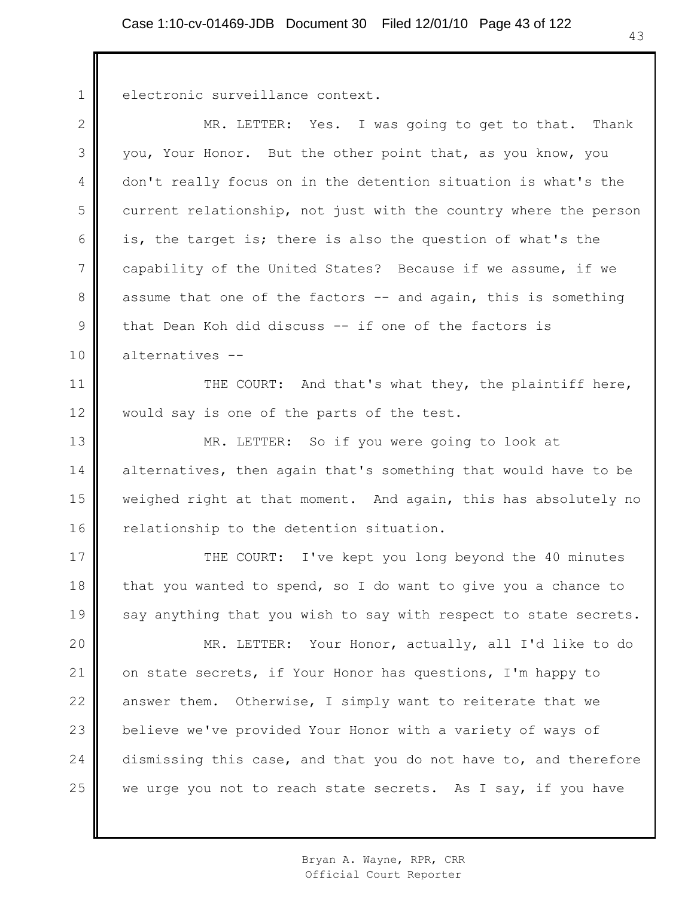electronic surveillance context.

1

2 3 4 5 6 7 8 9 10 MR. LETTER: Yes. I was going to get to that. Thank you, Your Honor. But the other point that, as you know, you don't really focus on in the detention situation is what's the current relationship, not just with the country where the person is, the target is; there is also the question of what's the capability of the United States? Because if we assume, if we assume that one of the factors -- and again, this is something that Dean Koh did discuss -- if one of the factors is alternatives --

11 12 THE COURT: And that's what they, the plaintiff here, would say is one of the parts of the test.

13 14 15 16 MR. LETTER: So if you were going to look at alternatives, then again that's something that would have to be weighed right at that moment. And again, this has absolutely no relationship to the detention situation.

17 18 19 THE COURT: I've kept you long beyond the 40 minutes that you wanted to spend, so I do want to give you a chance to say anything that you wish to say with respect to state secrets.

20 21 22 23 24 25 MR. LETTER: Your Honor, actually, all I'd like to do on state secrets, if Your Honor has questions, I'm happy to answer them. Otherwise, I simply want to reiterate that we believe we've provided Your Honor with a variety of ways of dismissing this case, and that you do not have to, and therefore we urge you not to reach state secrets. As I say, if you have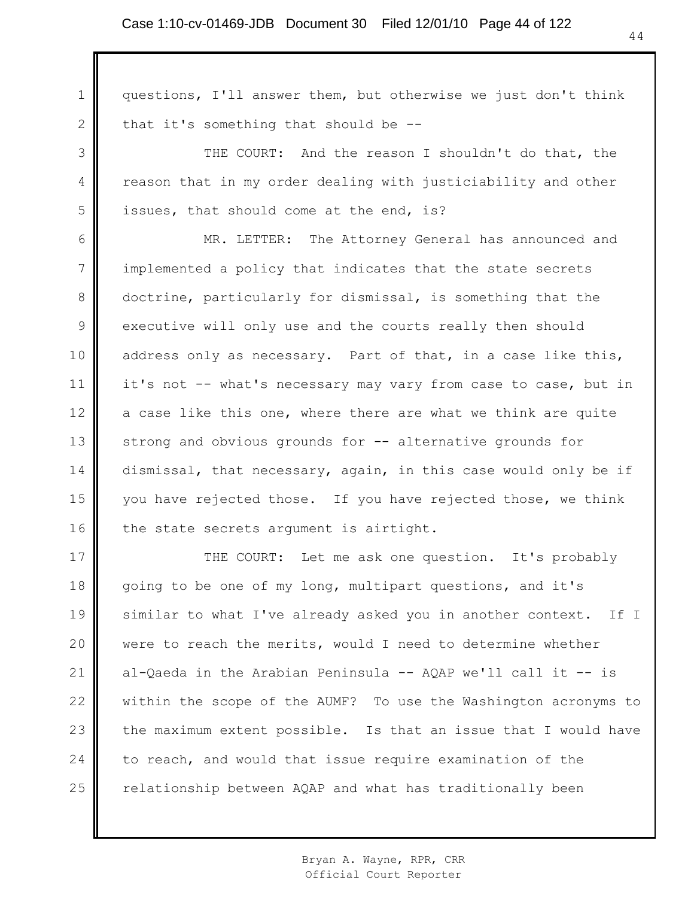1 2 3 4 5 6 7 8 9 10 11 12 13 14 15 16 17 18 19 20 21 22 23 questions, I'll answer them, but otherwise we just don't think that it's something that should be -- THE COURT: And the reason I shouldn't do that, the reason that in my order dealing with justiciability and other issues, that should come at the end, is? MR. LETTER: The Attorney General has announced and implemented a policy that indicates that the state secrets doctrine, particularly for dismissal, is something that the executive will only use and the courts really then should address only as necessary. Part of that, in a case like this, it's not -- what's necessary may vary from case to case, but in a case like this one, where there are what we think are quite strong and obvious grounds for -- alternative grounds for dismissal, that necessary, again, in this case would only be if you have rejected those. If you have rejected those, we think the state secrets argument is airtight. THE COURT: Let me ask one question. It's probably going to be one of my long, multipart questions, and it's similar to what I've already asked you in another context. If I were to reach the merits, would I need to determine whether al-Qaeda in the Arabian Peninsula -- AQAP we'll call it -- is within the scope of the AUMF? To use the Washington acronyms to the maximum extent possible. Is that an issue that I would have

relationship between AQAP and what has traditionally been

to reach, and would that issue require examination of the

24

25

Bryan A. Wayne, RPR, CRR Official Court Reporter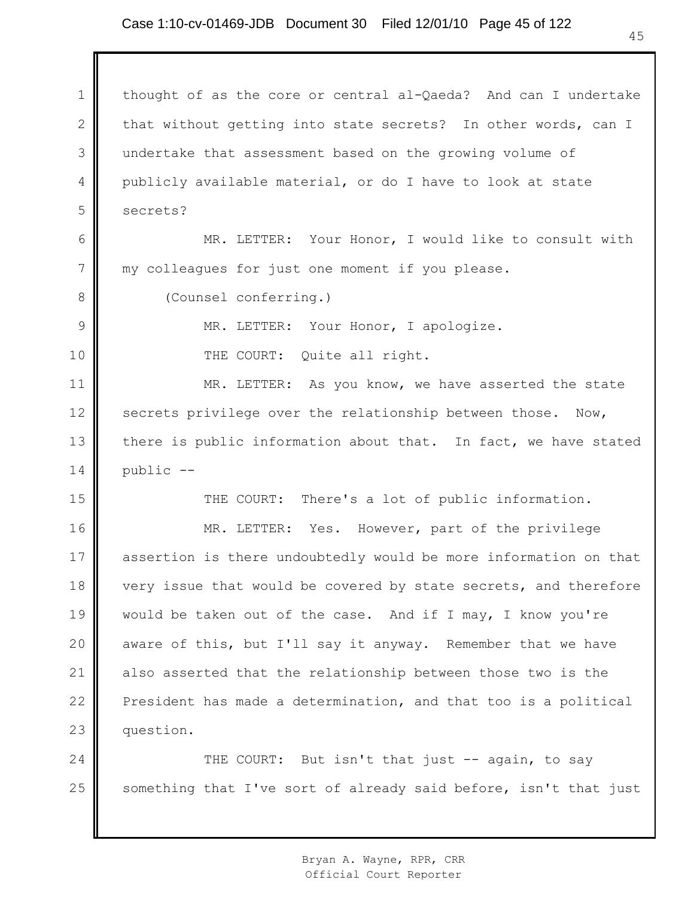### Case 1:10-cv-01469-JDB Document 30 Filed 12/01/10 Page 45 of 122

1 2 3 4 5 thought of as the core or central al-Qaeda? And can I undertake that without getting into state secrets? In other words, can I undertake that assessment based on the growing volume of publicly available material, or do I have to look at state secrets?

6 7 MR. LETTER: Your Honor, I would like to consult with my colleagues for just one moment if you please.

8

9

10

15

(Counsel conferring.)

MR. LETTER: Your Honor, I apologize.

THE COURT: Quite all right.

11 12 13 14 MR. LETTER: As you know, we have asserted the state secrets privilege over the relationship between those. Now, there is public information about that. In fact, we have stated public --

THE COURT: There's a lot of public information.

16 17 18 19 20 21 22 23 MR. LETTER: Yes. However, part of the privilege assertion is there undoubtedly would be more information on that very issue that would be covered by state secrets, and therefore would be taken out of the case. And if I may, I know you're aware of this, but I'll say it anyway. Remember that we have also asserted that the relationship between those two is the President has made a determination, and that too is a political question.

24 25 THE COURT: But isn't that just -- again, to say something that I've sort of already said before, isn't that just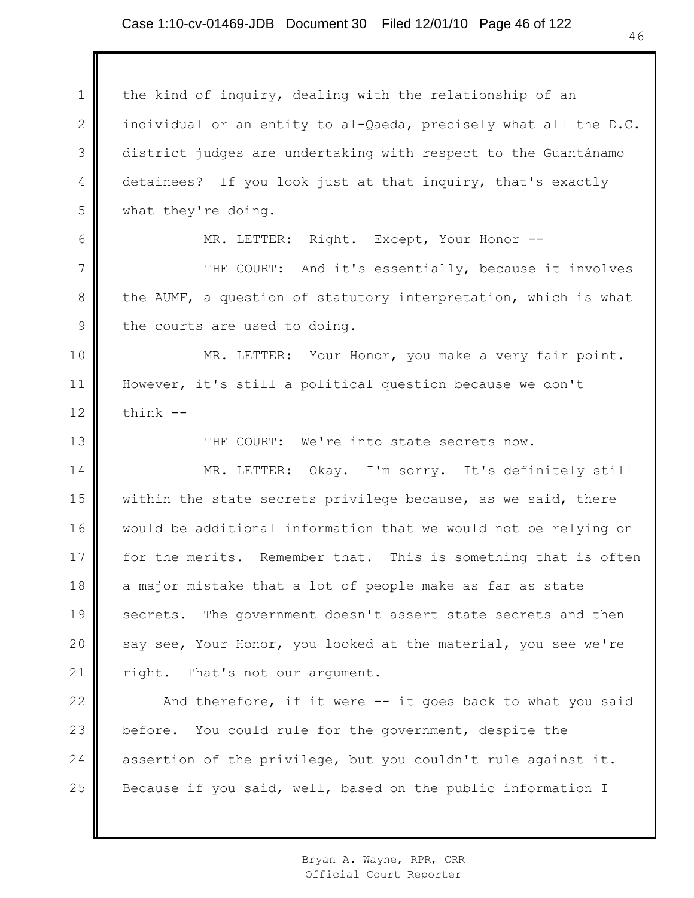### Case 1:10-cv-01469-JDB Document 30 Filed 12/01/10 Page 46 of 122

1 2 3 4 5 6 7 8 9 10 11 12 13 14 15 16 17 18 19 20 21 22 23 24 25 the kind of inquiry, dealing with the relationship of an individual or an entity to al-Qaeda, precisely what all the D.C. district judges are undertaking with respect to the Guantánamo detainees? If you look just at that inquiry, that's exactly what they're doing. MR. LETTER: Right. Except, Your Honor --THE COURT: And it's essentially, because it involves the AUMF, a question of statutory interpretation, which is what the courts are used to doing. MR. LETTER: Your Honor, you make a very fair point. However, it's still a political question because we don't think -- THE COURT: We're into state secrets now. MR. LETTER: Okay. I'm sorry. It's definitely still within the state secrets privilege because, as we said, there would be additional information that we would not be relying on for the merits. Remember that. This is something that is often a major mistake that a lot of people make as far as state secrets. The government doesn't assert state secrets and then say see, Your Honor, you looked at the material, you see we're right. That's not our argument. And therefore, if it were -- it goes back to what you said before. You could rule for the government, despite the assertion of the privilege, but you couldn't rule against it. Because if you said, well, based on the public information I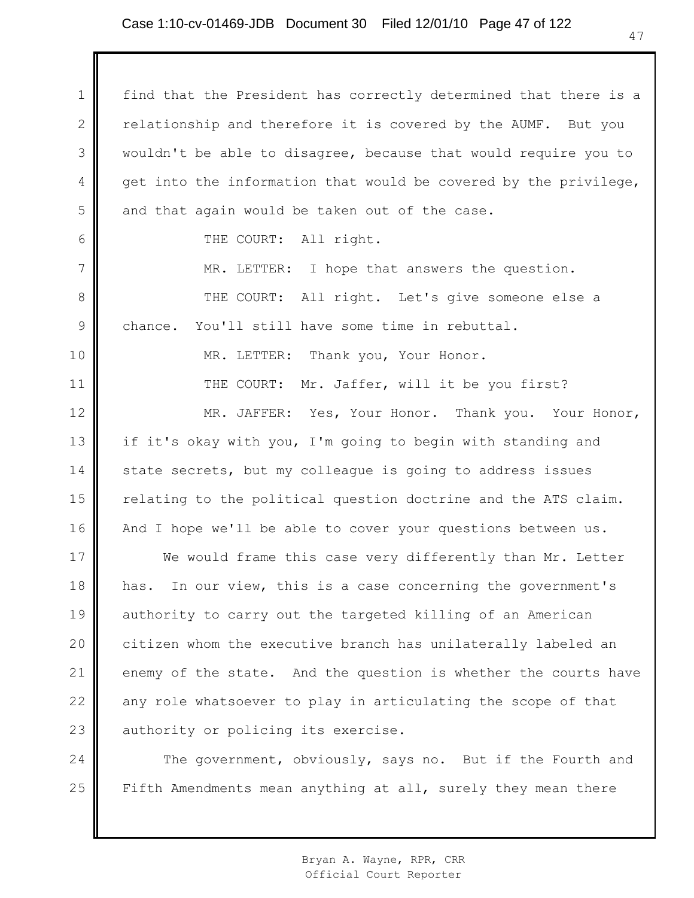# Case 1:10-cv-01469-JDB Document 30 Filed 12/01/10 Page 47 of 122

1 2 3 4 5 6 7 8 9 10 11 12 13 14 15 16 17 18 19 20 21 22 23 24 find that the President has correctly determined that there is a relationship and therefore it is covered by the AUMF. But you wouldn't be able to disagree, because that would require you to get into the information that would be covered by the privilege, and that again would be taken out of the case. THE COURT: All right. MR. LETTER: I hope that answers the question. THE COURT: All right. Let's give someone else a chance. You'll still have some time in rebuttal. MR. LETTER: Thank you, Your Honor. THE COURT: Mr. Jaffer, will it be you first? MR. JAFFER: Yes, Your Honor. Thank you. Your Honor, if it's okay with you, I'm going to begin with standing and state secrets, but my colleague is going to address issues relating to the political question doctrine and the ATS claim. And I hope we'll be able to cover your questions between us. We would frame this case very differently than Mr. Letter has. In our view, this is a case concerning the government's authority to carry out the targeted killing of an American citizen whom the executive branch has unilaterally labeled an enemy of the state. And the question is whether the courts have any role whatsoever to play in articulating the scope of that authority or policing its exercise. The government, obviously, says no. But if the Fourth and

25 Fifth Amendments mean anything at all, surely they mean there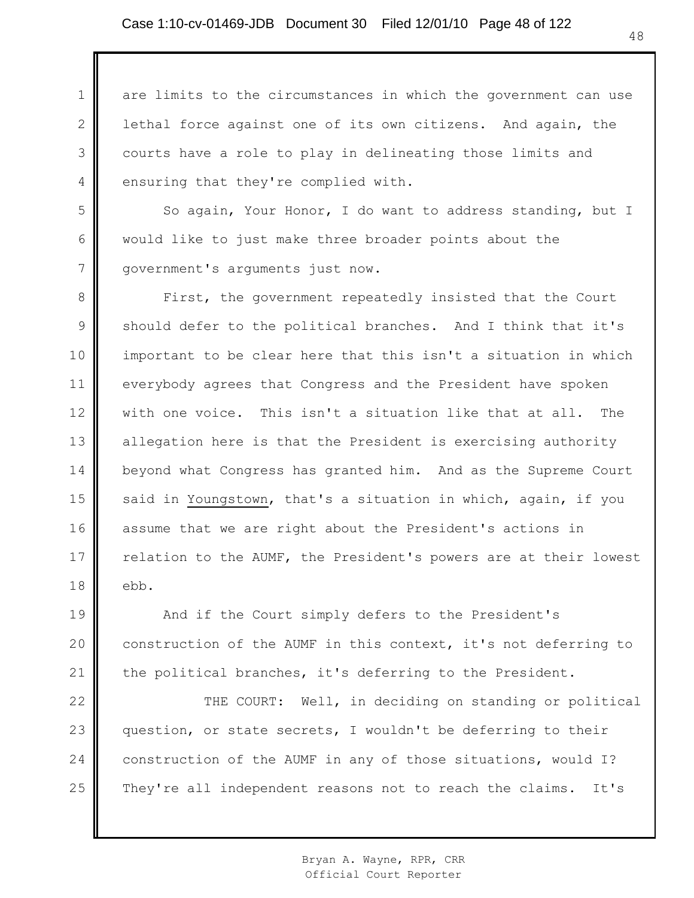1 2 3 4 are limits to the circumstances in which the government can use lethal force against one of its own citizens. And again, the courts have a role to play in delineating those limits and ensuring that they're complied with.

5 6 7 So again, Your Honor, I do want to address standing, but I would like to just make three broader points about the government's arguments just now.

8 9 10 11 12 13 14 15 16 17 18 First, the government repeatedly insisted that the Court should defer to the political branches. And I think that it's important to be clear here that this isn't a situation in which everybody agrees that Congress and the President have spoken with one voice. This isn't a situation like that at all. The allegation here is that the President is exercising authority beyond what Congress has granted him. And as the Supreme Court said in Youngstown, that's a situation in which, again, if you assume that we are right about the President's actions in relation to the AUMF, the President's powers are at their lowest ebb.

19 20 21 And if the Court simply defers to the President's construction of the AUMF in this context, it's not deferring to the political branches, it's deferring to the President.

22 23 24 25 THE COURT: Well, in deciding on standing or political question, or state secrets, I wouldn't be deferring to their construction of the AUMF in any of those situations, would I? They're all independent reasons not to reach the claims. It's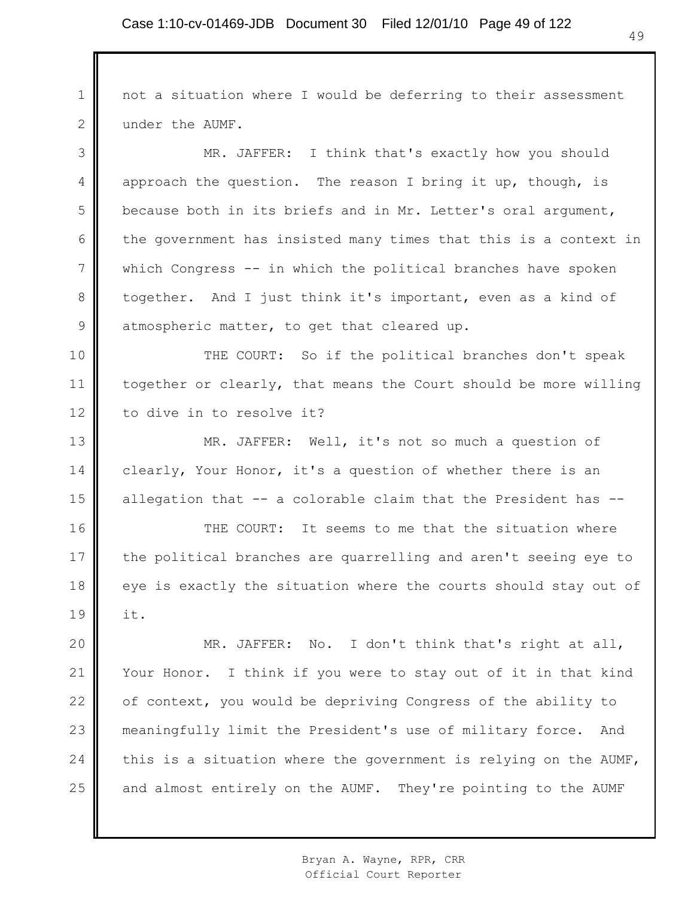1 2 not a situation where I would be deferring to their assessment under the AUMF.

3 4 5 6 7 8 9 MR. JAFFER: I think that's exactly how you should approach the question. The reason I bring it up, though, is because both in its briefs and in Mr. Letter's oral argument, the government has insisted many times that this is a context in which Congress -- in which the political branches have spoken together. And I just think it's important, even as a kind of atmospheric matter, to get that cleared up.

10 11 12 THE COURT: So if the political branches don't speak together or clearly, that means the Court should be more willing to dive in to resolve it?

13 14 15 MR. JAFFER: Well, it's not so much a question of clearly, Your Honor, it's a question of whether there is an allegation that -- a colorable claim that the President has --

16 17 18 19 THE COURT: It seems to me that the situation where the political branches are quarrelling and aren't seeing eye to eye is exactly the situation where the courts should stay out of it.

20 21 22 23 24 25 MR. JAFFER: No. I don't think that's right at all, Your Honor. I think if you were to stay out of it in that kind of context, you would be depriving Congress of the ability to meaningfully limit the President's use of military force. And this is a situation where the government is relying on the AUMF, and almost entirely on the AUMF. They're pointing to the AUMF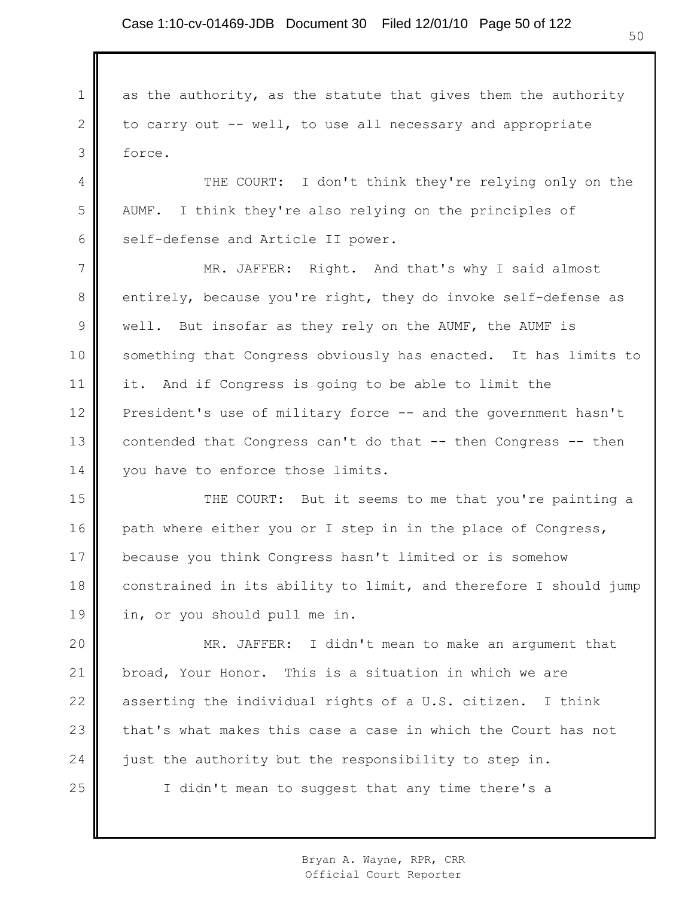1

2

3

as the authority, as the statute that gives them the authority to carry out -- well, to use all necessary and appropriate force.

4 5 6 THE COURT: I don't think they're relying only on the AUMF. I think they're also relying on the principles of self-defense and Article II power.

7 8 9 10 11 12 13 14 MR. JAFFER: Right. And that's why I said almost entirely, because you're right, they do invoke self-defense as well. But insofar as they rely on the AUMF, the AUMF is something that Congress obviously has enacted. It has limits to it. And if Congress is going to be able to limit the President's use of military force -- and the government hasn't contended that Congress can't do that -- then Congress -- then you have to enforce those limits.

15 16 17 18 19 THE COURT: But it seems to me that you're painting a path where either you or I step in in the place of Congress, because you think Congress hasn't limited or is somehow constrained in its ability to limit, and therefore I should jump in, or you should pull me in.

20 21 22 23 24 25 MR. JAFFER: I didn't mean to make an argument that broad, Your Honor. This is a situation in which we are asserting the individual rights of a U.S. citizen. I think that's what makes this case a case in which the Court has not just the authority but the responsibility to step in. I didn't mean to suggest that any time there's a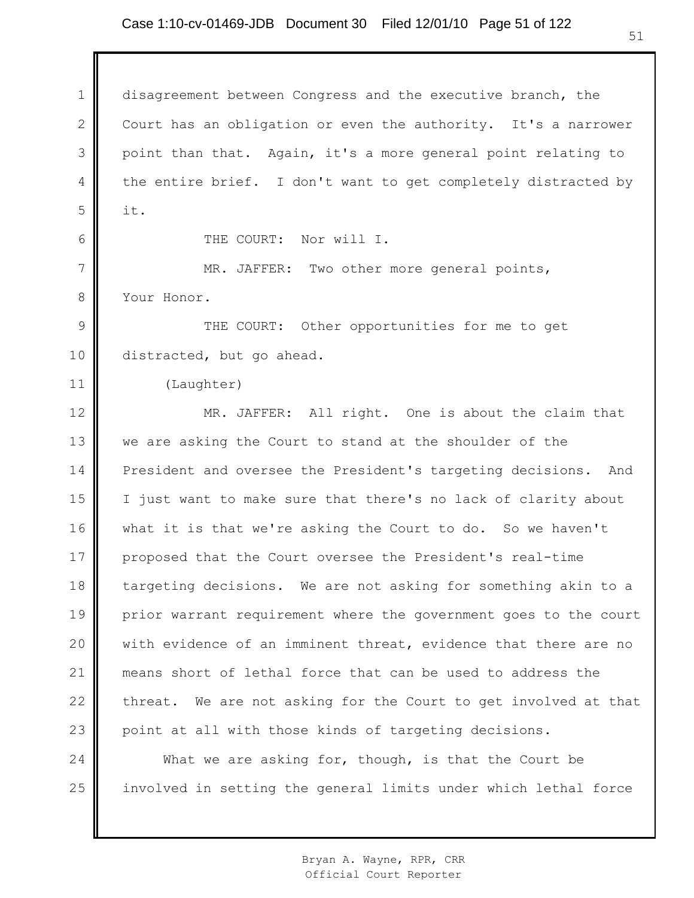# Case 1:10-cv-01469-JDB Document 30 Filed 12/01/10 Page 51 of 122

1 2 3 4 5 6 7 8 9 10 11 12 13 14 15 16 17 18 19 20 21 22 23 24 25 disagreement between Congress and the executive branch, the Court has an obligation or even the authority. It's a narrower point than that. Again, it's a more general point relating to the entire brief. I don't want to get completely distracted by it. THE COURT: Nor will I. MR. JAFFER: Two other more general points, Your Honor. THE COURT: Other opportunities for me to get distracted, but go ahead. (Laughter) MR. JAFFER: All right. One is about the claim that we are asking the Court to stand at the shoulder of the President and oversee the President's targeting decisions. And I just want to make sure that there's no lack of clarity about what it is that we're asking the Court to do. So we haven't proposed that the Court oversee the President's real-time targeting decisions. We are not asking for something akin to a prior warrant requirement where the government goes to the court with evidence of an imminent threat, evidence that there are no means short of lethal force that can be used to address the threat. We are not asking for the Court to get involved at that point at all with those kinds of targeting decisions. What we are asking for, though, is that the Court be involved in setting the general limits under which lethal force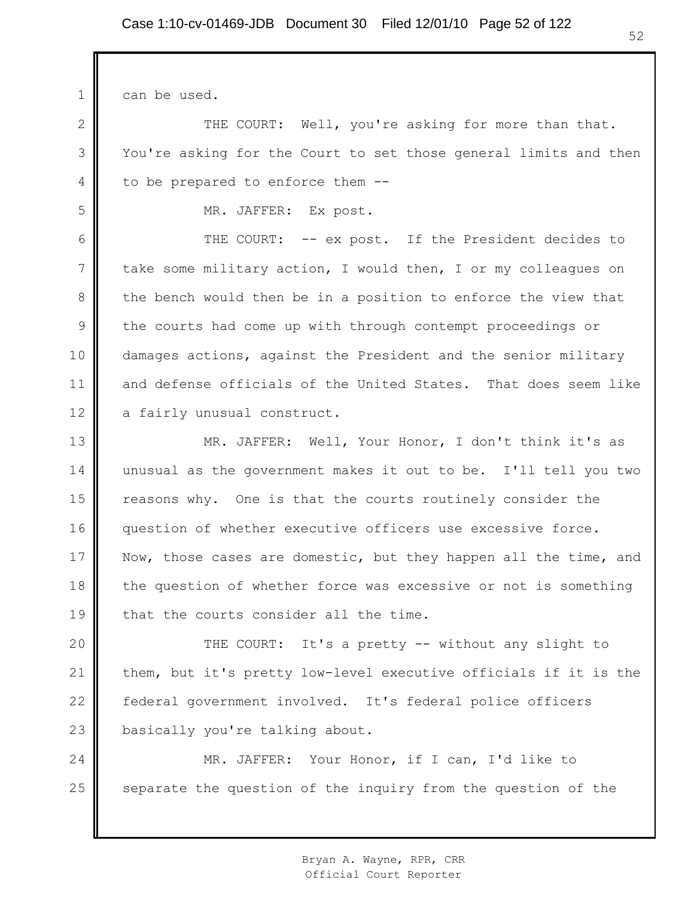can be used.

1

2

3

4

5

THE COURT: Well, you're asking for more than that. You're asking for the Court to set those general limits and then to be prepared to enforce them --

MR. JAFFER: Ex post.

6 7 8 9 10 11 12 THE COURT: -- ex post. If the President decides to take some military action, I would then, I or my colleagues on the bench would then be in a position to enforce the view that the courts had come up with through contempt proceedings or damages actions, against the President and the senior military and defense officials of the United States. That does seem like a fairly unusual construct.

13 14 15 16 17 18 19 MR. JAFFER: Well, Your Honor, I don't think it's as unusual as the government makes it out to be. I'll tell you two reasons why. One is that the courts routinely consider the question of whether executive officers use excessive force. Now, those cases are domestic, but they happen all the time, and the question of whether force was excessive or not is something that the courts consider all the time.

20 21 22 23 THE COURT: It's a pretty -- without any slight to them, but it's pretty low-level executive officials if it is the federal government involved. It's federal police officers basically you're talking about.

24 25 MR. JAFFER: Your Honor, if I can, I'd like to separate the question of the inquiry from the question of the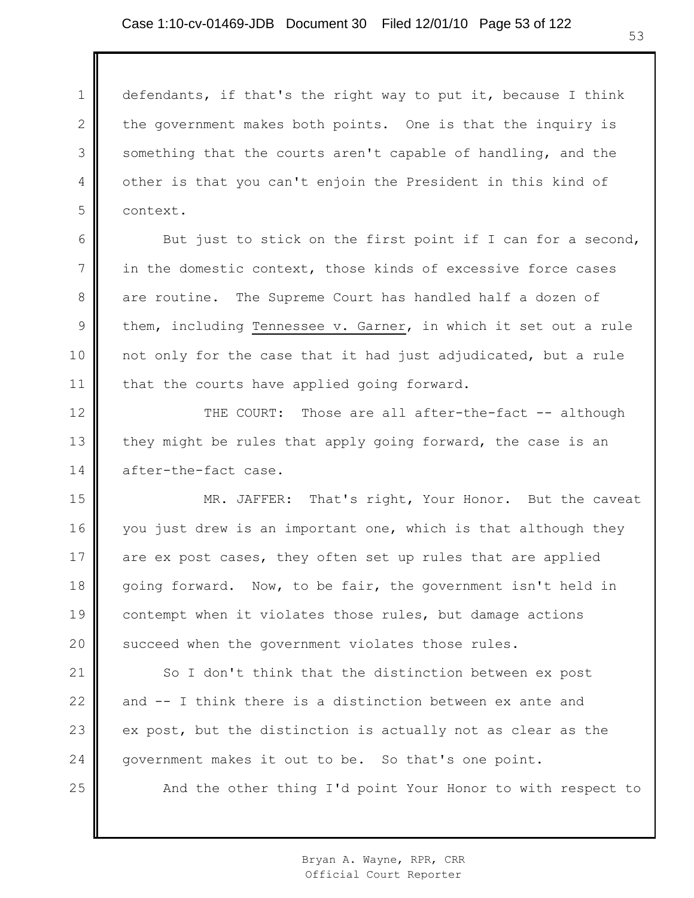1 2 3 4 5 defendants, if that's the right way to put it, because I think the government makes both points. One is that the inquiry is something that the courts aren't capable of handling, and the other is that you can't enjoin the President in this kind of context.

6

7

8

9

10

11

25

But just to stick on the first point if I can for a second, in the domestic context, those kinds of excessive force cases are routine. The Supreme Court has handled half a dozen of them, including Tennessee v. Garner, in which it set out a rule not only for the case that it had just adjudicated, but a rule that the courts have applied going forward.

12 13 14 THE COURT: Those are all after-the-fact -- although they might be rules that apply going forward, the case is an after-the-fact case.

15 16 17 18 19 20 MR. JAFFER: That's right, Your Honor. But the caveat you just drew is an important one, which is that although they are ex post cases, they often set up rules that are applied going forward. Now, to be fair, the government isn't held in contempt when it violates those rules, but damage actions succeed when the government violates those rules.

21 22 23 24 So I don't think that the distinction between ex post and -- I think there is a distinction between ex ante and ex post, but the distinction is actually not as clear as the government makes it out to be. So that's one point.

And the other thing I'd point Your Honor to with respect to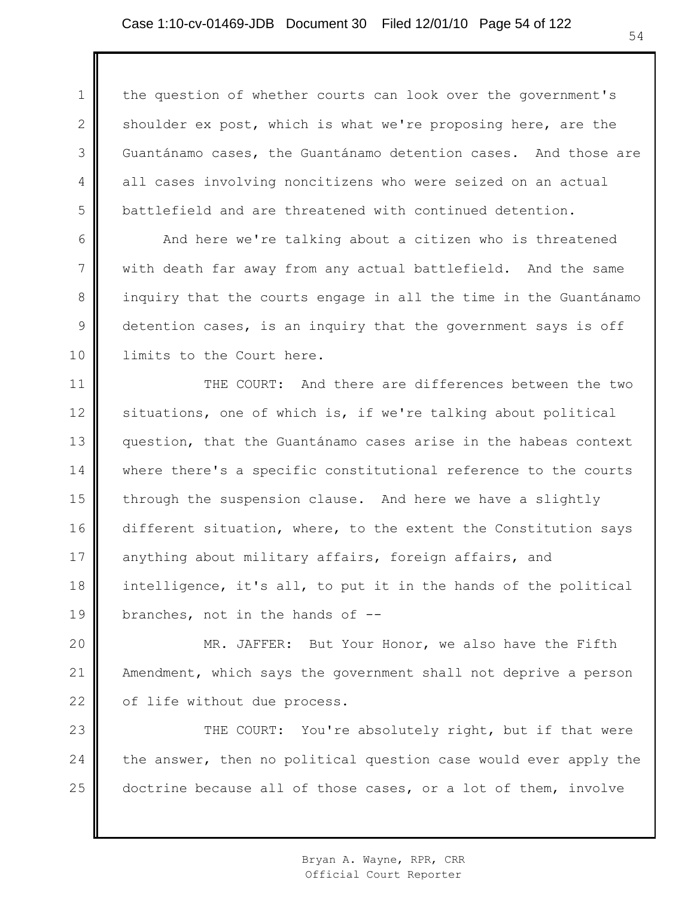1 2 3 4 5 the question of whether courts can look over the government's shoulder ex post, which is what we're proposing here, are the Guantánamo cases, the Guantánamo detention cases. And those are all cases involving noncitizens who were seized on an actual battlefield and are threatened with continued detention.

And here we're talking about a citizen who is threatened with death far away from any actual battlefield. And the same inquiry that the courts engage in all the time in the Guantánamo detention cases, is an inquiry that the government says is off limits to the Court here.

6

7

8

9

10

11 12 13 14 15 16 17 18 19 THE COURT: And there are differences between the two situations, one of which is, if we're talking about political question, that the Guantánamo cases arise in the habeas context where there's a specific constitutional reference to the courts through the suspension clause. And here we have a slightly different situation, where, to the extent the Constitution says anything about military affairs, foreign affairs, and intelligence, it's all, to put it in the hands of the political branches, not in the hands of --

20 21 22 MR. JAFFER: But Your Honor, we also have the Fifth Amendment, which says the government shall not deprive a person of life without due process.

23 24 25 THE COURT: You're absolutely right, but if that were the answer, then no political question case would ever apply the doctrine because all of those cases, or a lot of them, involve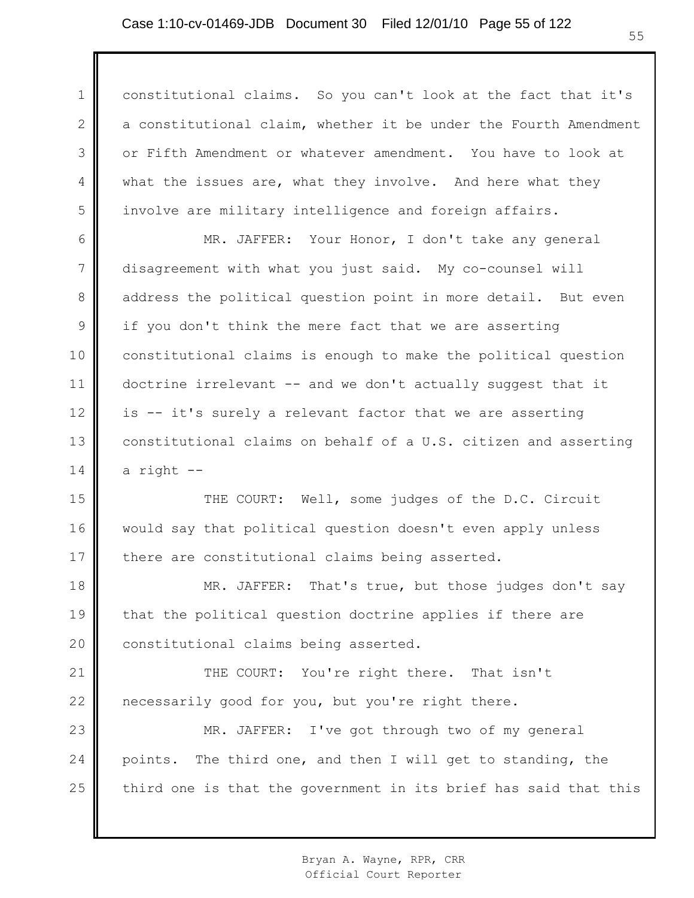1 2 3 4 5 constitutional claims. So you can't look at the fact that it's a constitutional claim, whether it be under the Fourth Amendment or Fifth Amendment or whatever amendment. You have to look at what the issues are, what they involve. And here what they involve are military intelligence and foreign affairs.

6 7 8 9 10 11 12 13 14 MR. JAFFER: Your Honor, I don't take any general disagreement with what you just said. My co-counsel will address the political question point in more detail. But even if you don't think the mere fact that we are asserting constitutional claims is enough to make the political question doctrine irrelevant -- and we don't actually suggest that it is -- it's surely a relevant factor that we are asserting constitutional claims on behalf of a U.S. citizen and asserting a right --

15 16 17 THE COURT: Well, some judges of the D.C. Circuit would say that political question doesn't even apply unless there are constitutional claims being asserted.

18 19 20 MR. JAFFER: That's true, but those judges don't say that the political question doctrine applies if there are constitutional claims being asserted.

21 22 THE COURT: You're right there. That isn't necessarily good for you, but you're right there.

23 24 25 MR. JAFFER: I've got through two of my general points. The third one, and then I will get to standing, the third one is that the government in its brief has said that this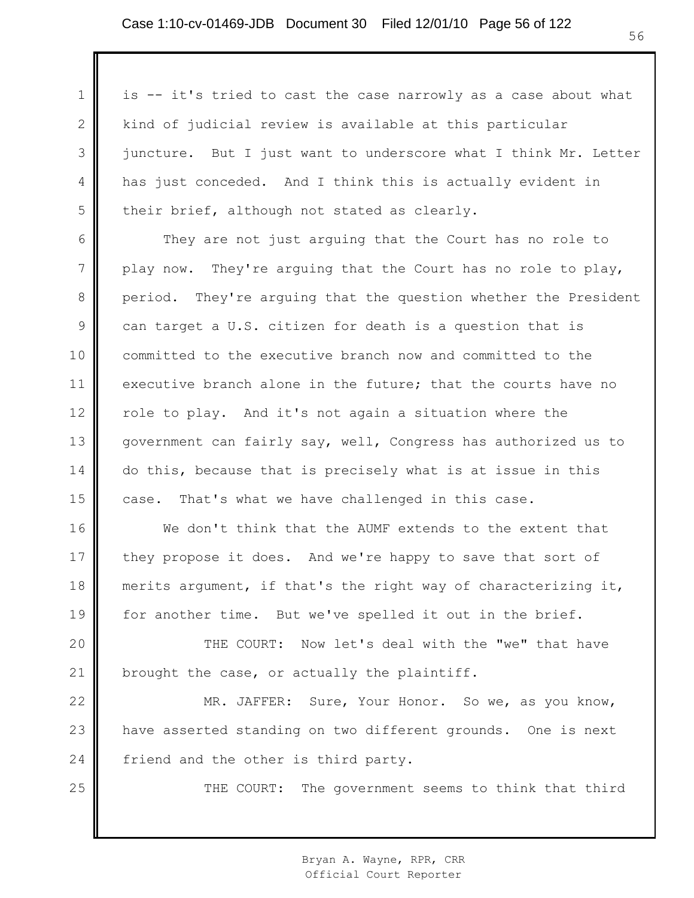25

is -- it's tried to cast the case narrowly as a case about what kind of judicial review is available at this particular juncture. But I just want to underscore what I think Mr. Letter has just conceded. And I think this is actually evident in their brief, although not stated as clearly.

They are not just arguing that the Court has no role to play now. They're arguing that the Court has no role to play, period. They're arguing that the question whether the President can target a U.S. citizen for death is a question that is committed to the executive branch now and committed to the executive branch alone in the future; that the courts have no role to play. And it's not again a situation where the government can fairly say, well, Congress has authorized us to do this, because that is precisely what is at issue in this case. That's what we have challenged in this case.

We don't think that the AUMF extends to the extent that they propose it does. And we're happy to save that sort of merits argument, if that's the right way of characterizing it, for another time. But we've spelled it out in the brief.

THE COURT: Now let's deal with the "we" that have brought the case, or actually the plaintiff.

24 MR. JAFFER: Sure, Your Honor. So we, as you know, have asserted standing on two different grounds. One is next friend and the other is third party.

THE COURT: The government seems to think that third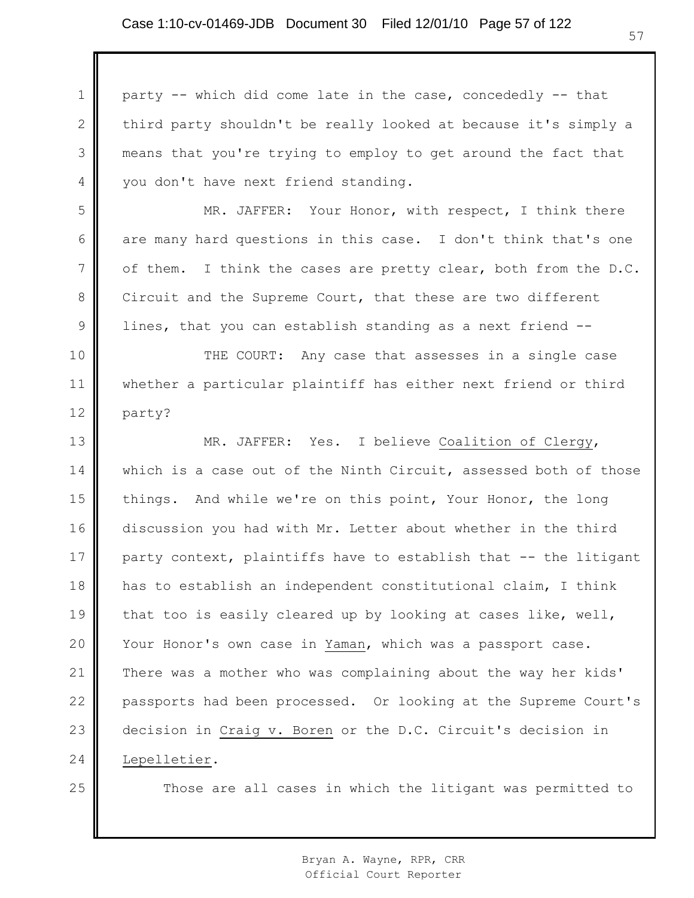1 2 3 4 party -- which did come late in the case, concededly -- that third party shouldn't be really looked at because it's simply a means that you're trying to employ to get around the fact that you don't have next friend standing.

MR. JAFFER: Your Honor, with respect, I think there are many hard questions in this case. I don't think that's one of them. I think the cases are pretty clear, both from the D.C. Circuit and the Supreme Court, that these are two different lines, that you can establish standing as a next friend --

10 11 12 THE COURT: Any case that assesses in a single case whether a particular plaintiff has either next friend or third party?

13 14 15 16 17 18 19 20 21 22 23 24 MR. JAFFER: Yes. I believe Coalition of Clergy, which is a case out of the Ninth Circuit, assessed both of those things. And while we're on this point, Your Honor, the long discussion you had with Mr. Letter about whether in the third party context, plaintiffs have to establish that -- the litigant has to establish an independent constitutional claim, I think that too is easily cleared up by looking at cases like, well, Your Honor's own case in Yaman, which was a passport case. There was a mother who was complaining about the way her kids' passports had been processed. Or looking at the Supreme Court's decision in Craig v. Boren or the D.C. Circuit's decision in Lepelletier.

25

5

6

7

8

9

Those are all cases in which the litigant was permitted to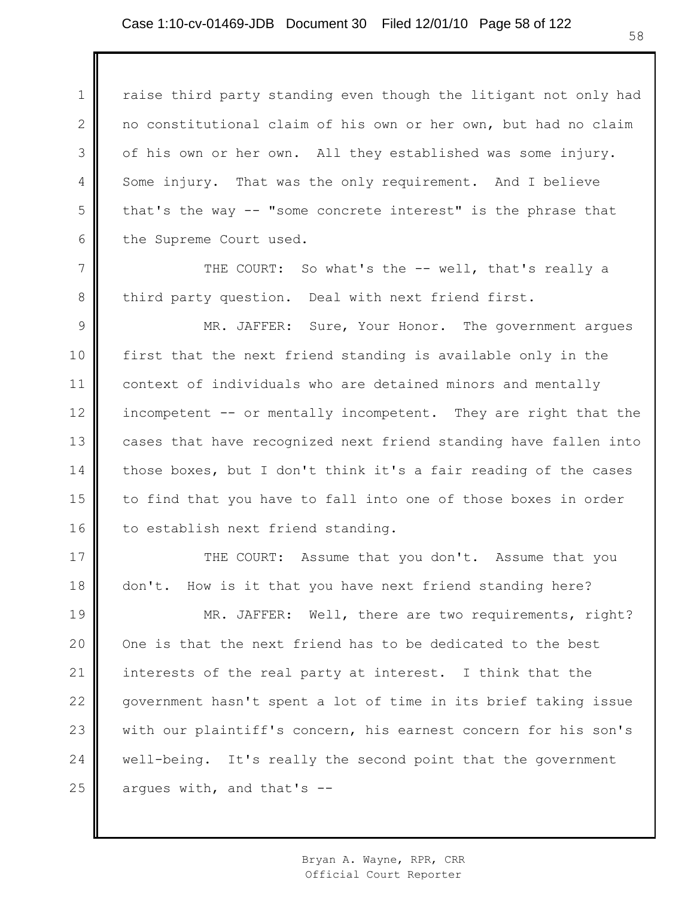1

2

3

4

5

6

7

8

raise third party standing even though the litigant not only had no constitutional claim of his own or her own, but had no claim of his own or her own. All they established was some injury. Some injury. That was the only requirement. And I believe that's the way -- "some concrete interest" is the phrase that the Supreme Court used.

THE COURT: So what's the -- well, that's really a third party question. Deal with next friend first.

9 10 11 12 13 14 15 16 MR. JAFFER: Sure, Your Honor. The government argues first that the next friend standing is available only in the context of individuals who are detained minors and mentally incompetent -- or mentally incompetent. They are right that the cases that have recognized next friend standing have fallen into those boxes, but I don't think it's a fair reading of the cases to find that you have to fall into one of those boxes in order to establish next friend standing.

17 18 THE COURT: Assume that you don't. Assume that you don't. How is it that you have next friend standing here?

19 20 21 22 23 24 25 MR. JAFFER: Well, there are two requirements, right? One is that the next friend has to be dedicated to the best interests of the real party at interest. I think that the government hasn't spent a lot of time in its brief taking issue with our plaintiff's concern, his earnest concern for his son's well-being. It's really the second point that the government argues with, and that's --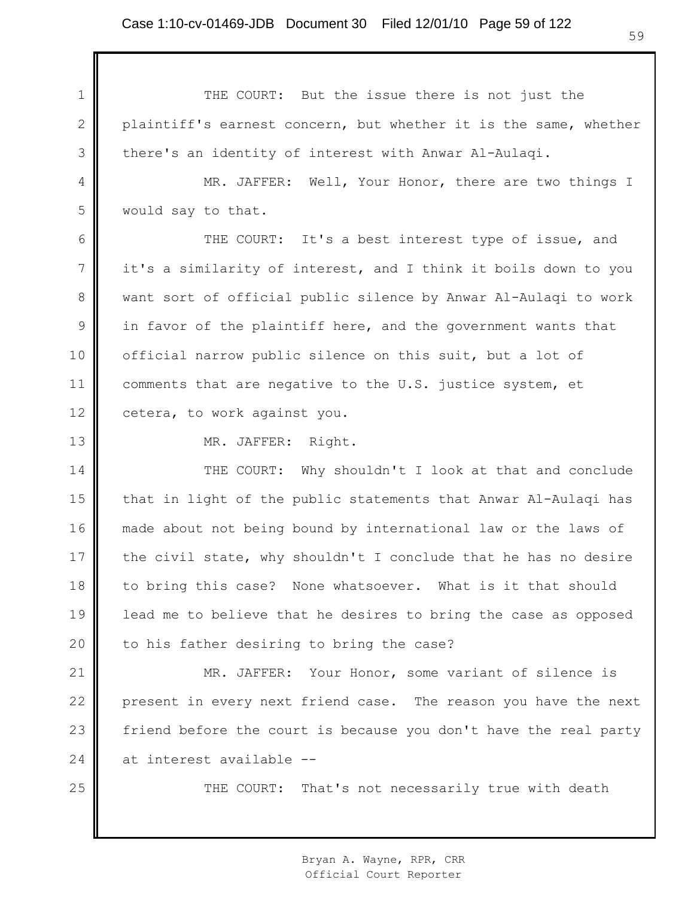1 2 3 THE COURT: But the issue there is not just the plaintiff's earnest concern, but whether it is the same, whether there's an identity of interest with Anwar Al-Aulaqi.

4 5 MR. JAFFER: Well, Your Honor, there are two things I would say to that.

6 7 8 9 10 11 12 THE COURT: It's a best interest type of issue, and it's a similarity of interest, and I think it boils down to you want sort of official public silence by Anwar Al-Aulaqi to work in favor of the plaintiff here, and the government wants that official narrow public silence on this suit, but a lot of comments that are negative to the U.S. justice system, et cetera, to work against you.

13

25

MR. JAFFER: Right.

14 15 16 17 18 19 20 THE COURT: Why shouldn't I look at that and conclude that in light of the public statements that Anwar Al-Aulaqi has made about not being bound by international law or the laws of the civil state, why shouldn't I conclude that he has no desire to bring this case? None whatsoever. What is it that should lead me to believe that he desires to bring the case as opposed to his father desiring to bring the case?

21 22 23 24 MR. JAFFER: Your Honor, some variant of silence is present in every next friend case. The reason you have the next friend before the court is because you don't have the real party at interest available --

THE COURT: That's not necessarily true with death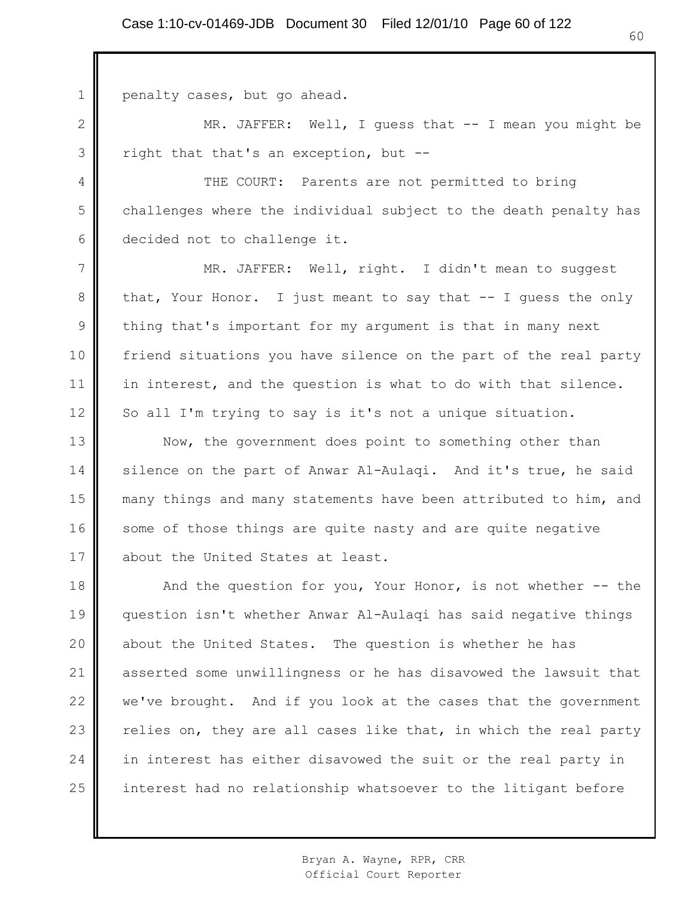penalty cases, but go ahead.

1

2

3

4

5

6

MR. JAFFER: Well, I guess that -- I mean you might be right that that's an exception, but --

THE COURT: Parents are not permitted to bring challenges where the individual subject to the death penalty has decided not to challenge it.

7 8 9 10 11 12 MR. JAFFER: Well, right. I didn't mean to suggest that, Your Honor. I just meant to say that -- I guess the only thing that's important for my argument is that in many next friend situations you have silence on the part of the real party in interest, and the question is what to do with that silence. So all I'm trying to say is it's not a unique situation.

13 14 15 16 17 Now, the government does point to something other than silence on the part of Anwar Al-Aulaqi. And it's true, he said many things and many statements have been attributed to him, and some of those things are quite nasty and are quite negative about the United States at least.

18 19 20 21 22 23 24 25 And the question for you, Your Honor, is not whether -- the question isn't whether Anwar Al-Aulaqi has said negative things about the United States. The question is whether he has asserted some unwillingness or he has disavowed the lawsuit that we've brought. And if you look at the cases that the government relies on, they are all cases like that, in which the real party in interest has either disavowed the suit or the real party in interest had no relationship whatsoever to the litigant before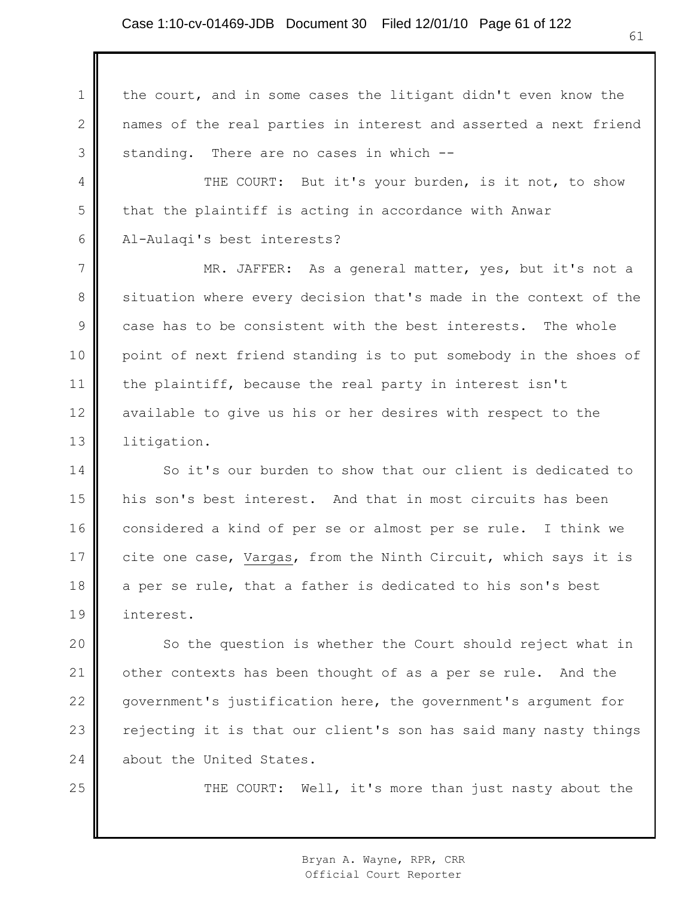1

2

3

25

the court, and in some cases the litigant didn't even know the names of the real parties in interest and asserted a next friend standing. There are no cases in which --

4 5 6 THE COURT: But it's your burden, is it not, to show that the plaintiff is acting in accordance with Anwar Al-Aulaqi's best interests?

7 8 9 10 11 12 13 MR. JAFFER: As a general matter, yes, but it's not a situation where every decision that's made in the context of the case has to be consistent with the best interests. The whole point of next friend standing is to put somebody in the shoes of the plaintiff, because the real party in interest isn't available to give us his or her desires with respect to the litigation.

14 15 16 17 18 19 So it's our burden to show that our client is dedicated to his son's best interest. And that in most circuits has been considered a kind of per se or almost per se rule. I think we cite one case, Vargas, from the Ninth Circuit, which says it is a per se rule, that a father is dedicated to his son's best interest.

20 21 22 23 24 So the question is whether the Court should reject what in other contexts has been thought of as a per se rule. And the government's justification here, the government's argument for rejecting it is that our client's son has said many nasty things about the United States.

THE COURT: Well, it's more than just nasty about the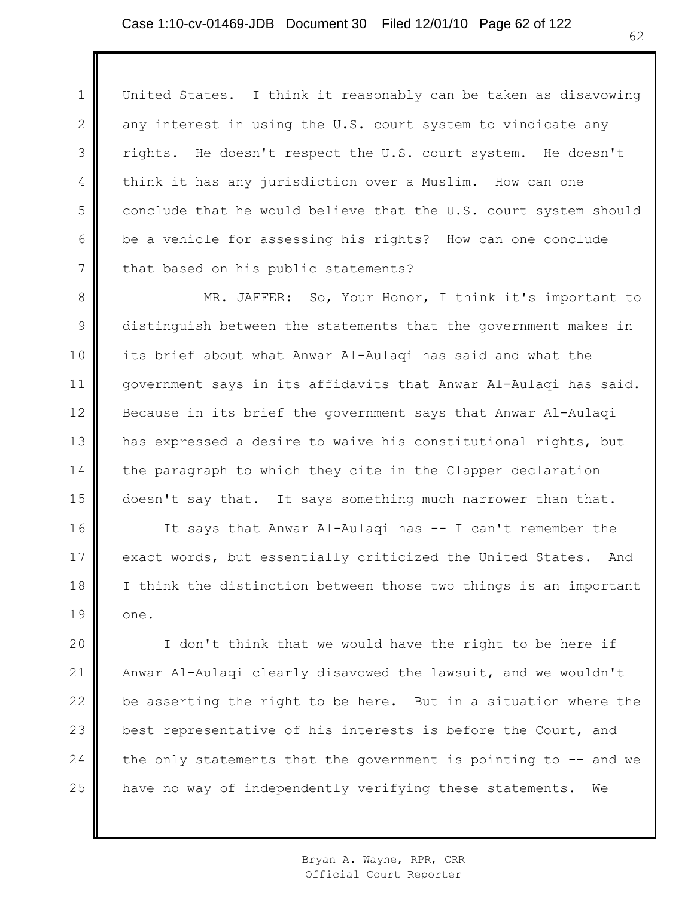1

2

3

4

5

6 7 United States. I think it reasonably can be taken as disavowing any interest in using the U.S. court system to vindicate any rights. He doesn't respect the U.S. court system. He doesn't think it has any jurisdiction over a Muslim. How can one conclude that he would believe that the U.S. court system should be a vehicle for assessing his rights? How can one conclude that based on his public statements?

8 9 10 11 12 13 14 15 MR. JAFFER: So, Your Honor, I think it's important to distinguish between the statements that the government makes in its brief about what Anwar Al-Aulaqi has said and what the government says in its affidavits that Anwar Al-Aulaqi has said. Because in its brief the government says that Anwar Al-Aulaqi has expressed a desire to waive his constitutional rights, but the paragraph to which they cite in the Clapper declaration doesn't say that. It says something much narrower than that.

16 17 18 19 It says that Anwar Al-Aulaqi has -- I can't remember the exact words, but essentially criticized the United States. And I think the distinction between those two things is an important one.

20 21 22 23 24 25 I don't think that we would have the right to be here if Anwar Al-Aulaqi clearly disavowed the lawsuit, and we wouldn't be asserting the right to be here. But in a situation where the best representative of his interests is before the Court, and the only statements that the government is pointing to  $-$  and we have no way of independently verifying these statements. We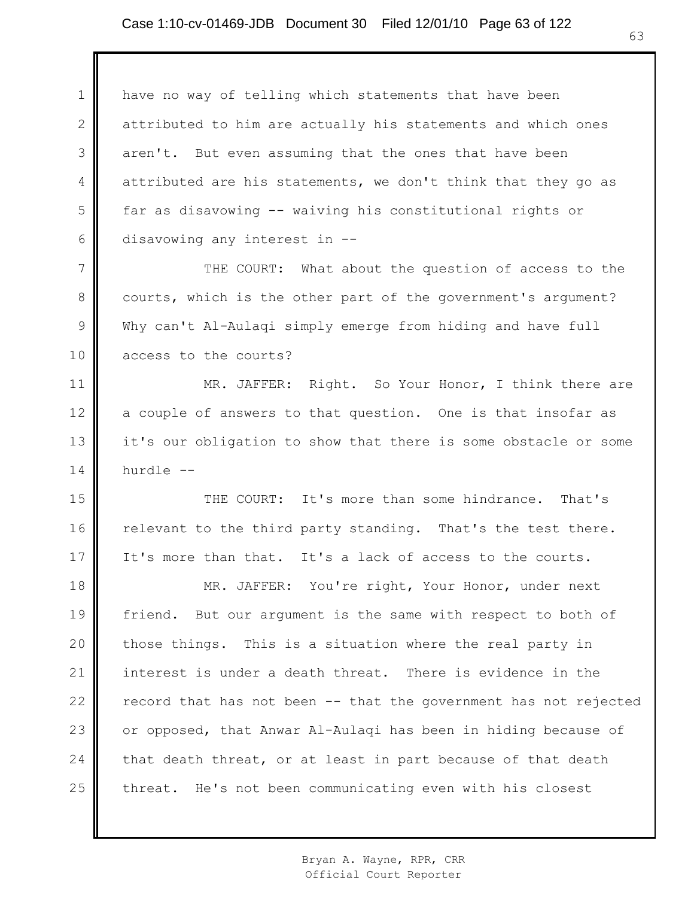1 2 3 4 5 6 have no way of telling which statements that have been attributed to him are actually his statements and which ones aren't. But even assuming that the ones that have been attributed are his statements, we don't think that they go as far as disavowing -- waiving his constitutional rights or disavowing any interest in --

7 8 9 10 THE COURT: What about the question of access to the courts, which is the other part of the government's argument? Why can't Al-Aulaqi simply emerge from hiding and have full access to the courts?

11 12 13 14 MR. JAFFER: Right. So Your Honor, I think there are a couple of answers to that question. One is that insofar as it's our obligation to show that there is some obstacle or some hurdle --

15 16 17 THE COURT: It's more than some hindrance. That's relevant to the third party standing. That's the test there. It's more than that. It's a lack of access to the courts.

18 19 20 21 22 23 24 25 MR. JAFFER: You're right, Your Honor, under next friend. But our argument is the same with respect to both of those things. This is a situation where the real party in interest is under a death threat. There is evidence in the record that has not been -- that the government has not rejected or opposed, that Anwar Al-Aulaqi has been in hiding because of that death threat, or at least in part because of that death threat. He's not been communicating even with his closest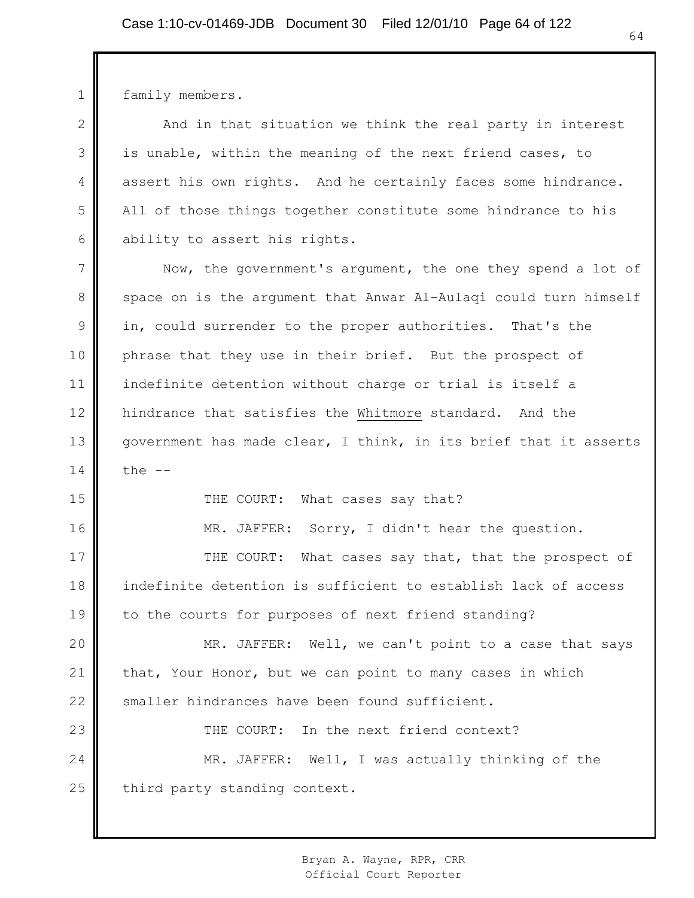1 2 3 4 5 6 7 8 9 10 11 12 13 14 15 16 17 18 19 20 21 22 23 24 25 family members. And in that situation we think the real party in interest is unable, within the meaning of the next friend cases, to assert his own rights. And he certainly faces some hindrance. All of those things together constitute some hindrance to his ability to assert his rights. Now, the government's argument, the one they spend a lot of space on is the argument that Anwar Al-Aulaqi could turn himself in, could surrender to the proper authorities. That's the phrase that they use in their brief. But the prospect of indefinite detention without charge or trial is itself a hindrance that satisfies the Whitmore standard. And the government has made clear, I think, in its brief that it asserts  $the$   $-$ THE COURT: What cases say that? MR. JAFFER: Sorry, I didn't hear the question. THE COURT: What cases say that, that the prospect of indefinite detention is sufficient to establish lack of access to the courts for purposes of next friend standing? MR. JAFFER: Well, we can't point to a case that says that, Your Honor, but we can point to many cases in which smaller hindrances have been found sufficient. THE COURT: In the next friend context? MR. JAFFER: Well, I was actually thinking of the third party standing context.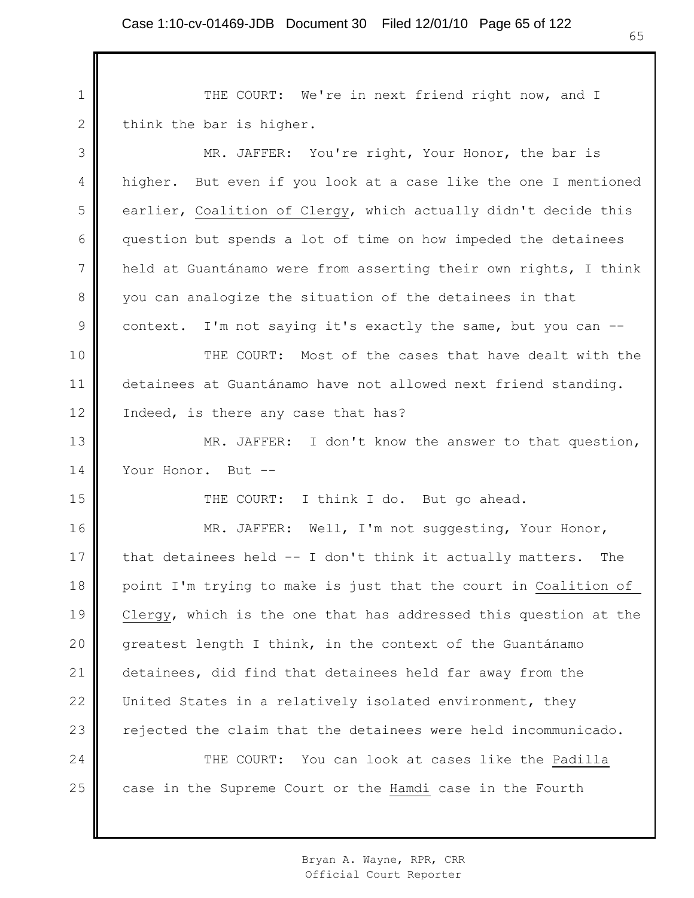1 2 THE COURT: We're in next friend right now, and I think the bar is higher.

3 4 5 6 7 8 9 10 11 12 13 14 15 16 17 18 19 20 21 22 23 24 25 MR. JAFFER: You're right, Your Honor, the bar is higher. But even if you look at a case like the one I mentioned earlier, Coalition of Clergy, which actually didn't decide this question but spends a lot of time on how impeded the detainees held at Guantánamo were from asserting their own rights, I think you can analogize the situation of the detainees in that context. I'm not saying it's exactly the same, but you can -- THE COURT: Most of the cases that have dealt with the detainees at Guantánamo have not allowed next friend standing. Indeed, is there any case that has? MR. JAFFER: I don't know the answer to that question, Your Honor. But --THE COURT: I think I do. But go ahead. MR. JAFFER: Well, I'm not suggesting, Your Honor, that detainees held -- I don't think it actually matters. The point I'm trying to make is just that the court in Coalition of Clergy, which is the one that has addressed this question at the greatest length I think, in the context of the Guantánamo detainees, did find that detainees held far away from the United States in a relatively isolated environment, they rejected the claim that the detainees were held incommunicado. THE COURT: You can look at cases like the Padilla case in the Supreme Court or the Hamdi case in the Fourth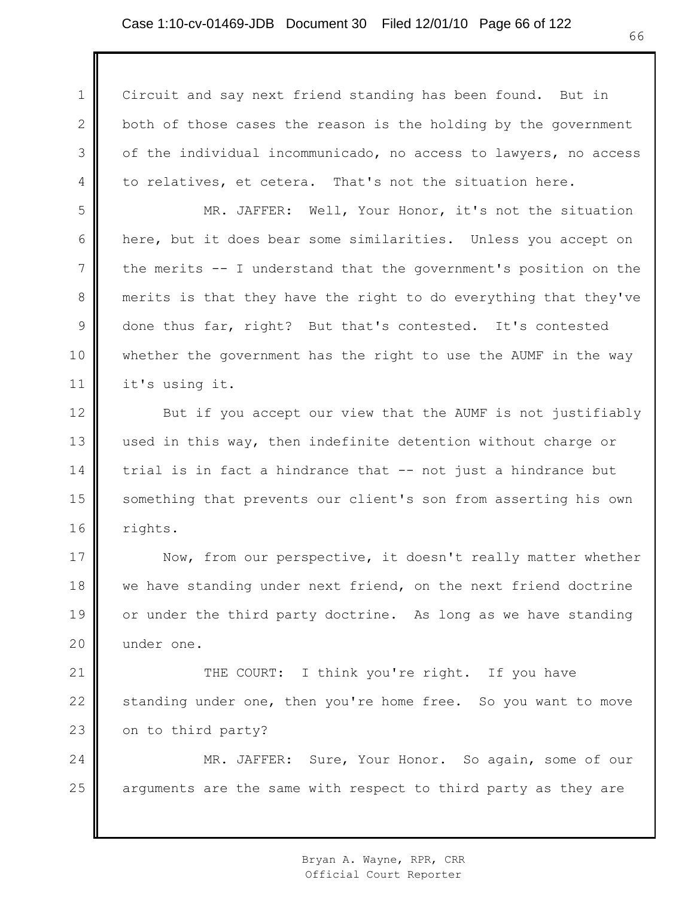### Case 1:10-cv-01469-JDB Document 30 Filed 12/01/10 Page 66 of 122

1 2 3 4 Circuit and say next friend standing has been found. But in both of those cases the reason is the holding by the government of the individual incommunicado, no access to lawyers, no access to relatives, et cetera. That's not the situation here.

5 6 7 8 9 10 11 MR. JAFFER: Well, Your Honor, it's not the situation here, but it does bear some similarities. Unless you accept on the merits -- I understand that the government's position on the merits is that they have the right to do everything that they've done thus far, right? But that's contested. It's contested whether the government has the right to use the AUMF in the way it's using it.

12 13 14 15 16 But if you accept our view that the AUMF is not justifiably used in this way, then indefinite detention without charge or trial is in fact a hindrance that -- not just a hindrance but something that prevents our client's son from asserting his own rights.

17 18 19 20 Now, from our perspective, it doesn't really matter whether we have standing under next friend, on the next friend doctrine or under the third party doctrine. As long as we have standing under one.

21 22 23 THE COURT: I think you're right. If you have standing under one, then you're home free. So you want to move on to third party?

24 25 MR. JAFFER: Sure, Your Honor. So again, some of our arguments are the same with respect to third party as they are

> Bryan A. Wayne, RPR, CRR Official Court Reporter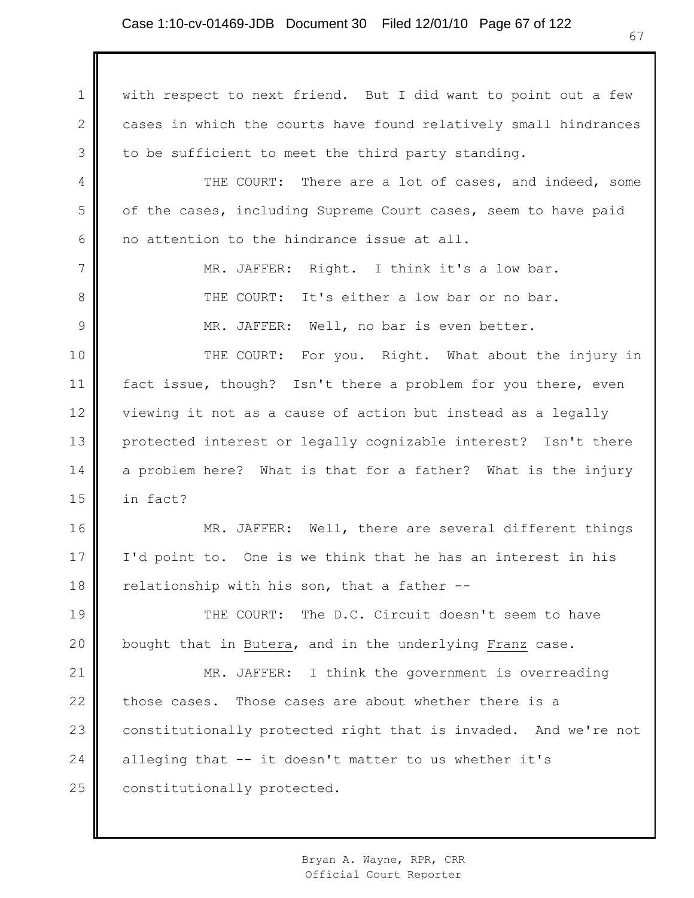1 2 3 4 5 6 7 8 9 10 11 12 13 14 15 16 17 18 19 20 21 22 23 24 25 with respect to next friend. But I did want to point out a few cases in which the courts have found relatively small hindrances to be sufficient to meet the third party standing. THE COURT: There are a lot of cases, and indeed, some of the cases, including Supreme Court cases, seem to have paid no attention to the hindrance issue at all. MR. JAFFER: Right. I think it's a low bar. THE COURT: It's either a low bar or no bar. MR. JAFFER: Well, no bar is even better. THE COURT: For you. Right. What about the injury in fact issue, though? Isn't there a problem for you there, even viewing it not as a cause of action but instead as a legally protected interest or legally cognizable interest? Isn't there a problem here? What is that for a father? What is the injury in fact? MR. JAFFER: Well, there are several different things I'd point to. One is we think that he has an interest in his relationship with his son, that a father -- THE COURT: The D.C. Circuit doesn't seem to have bought that in Butera, and in the underlying Franz case. MR. JAFFER: I think the government is overreading those cases. Those cases are about whether there is a constitutionally protected right that is invaded. And we're not alleging that -- it doesn't matter to us whether it's constitutionally protected.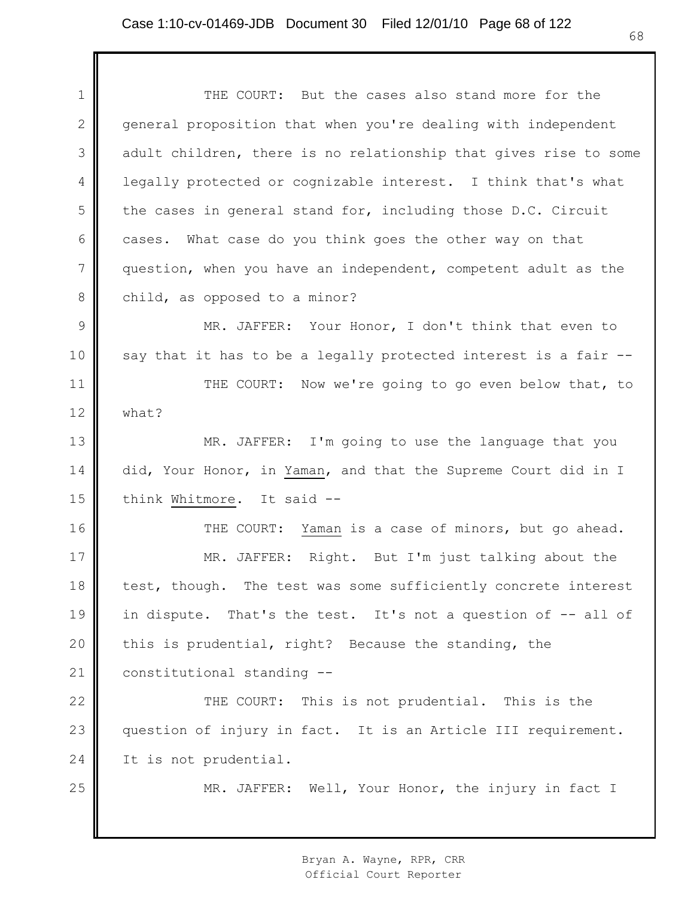1 2 3 4 5 6 7 8 9 10 11 12 13 14 15 16 17 18 19 20 21 22 23 24 25 THE COURT: But the cases also stand more for the general proposition that when you're dealing with independent adult children, there is no relationship that gives rise to some legally protected or cognizable interest. I think that's what the cases in general stand for, including those D.C. Circuit cases. What case do you think goes the other way on that question, when you have an independent, competent adult as the child, as opposed to a minor? MR. JAFFER: Your Honor, I don't think that even to say that it has to be a legally protected interest is a fair -- THE COURT: Now we're going to go even below that, to what? MR. JAFFER: I'm going to use the language that you did, Your Honor, in Yaman, and that the Supreme Court did in I think Whitmore. It said -- THE COURT: Yaman is a case of minors, but go ahead. MR. JAFFER: Right. But I'm just talking about the test, though. The test was some sufficiently concrete interest in dispute. That's the test. It's not a question of -- all of this is prudential, right? Because the standing, the constitutional standing -- THE COURT: This is not prudential. This is the question of injury in fact. It is an Article III requirement. It is not prudential. MR. JAFFER: Well, Your Honor, the injury in fact I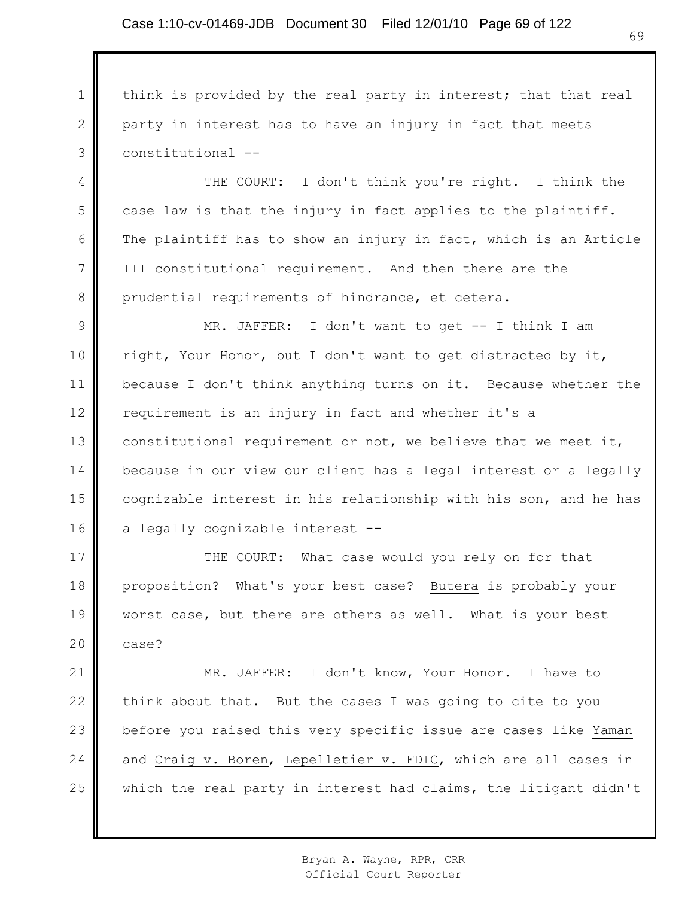1

2

3

4

5

6

7

8

think is provided by the real party in interest; that that real party in interest has to have an injury in fact that meets constitutional --

THE COURT: I don't think you're right. I think the case law is that the injury in fact applies to the plaintiff. The plaintiff has to show an injury in fact, which is an Article III constitutional requirement. And then there are the prudential requirements of hindrance, et cetera.

9 10 11 12 13 14 15 16 MR. JAFFER: I don't want to get -- I think I am right, Your Honor, but I don't want to get distracted by it, because I don't think anything turns on it. Because whether the requirement is an injury in fact and whether it's a constitutional requirement or not, we believe that we meet it, because in our view our client has a legal interest or a legally cognizable interest in his relationship with his son, and he has a legally cognizable interest --

17 18 19 20 THE COURT: What case would you rely on for that proposition? What's your best case? Butera is probably your worst case, but there are others as well. What is your best case?

21 22 23 24 25 MR. JAFFER: I don't know, Your Honor. I have to think about that. But the cases I was going to cite to you before you raised this very specific issue are cases like Yaman and Craig v. Boren, Lepelletier v. FDIC, which are all cases in which the real party in interest had claims, the litigant didn't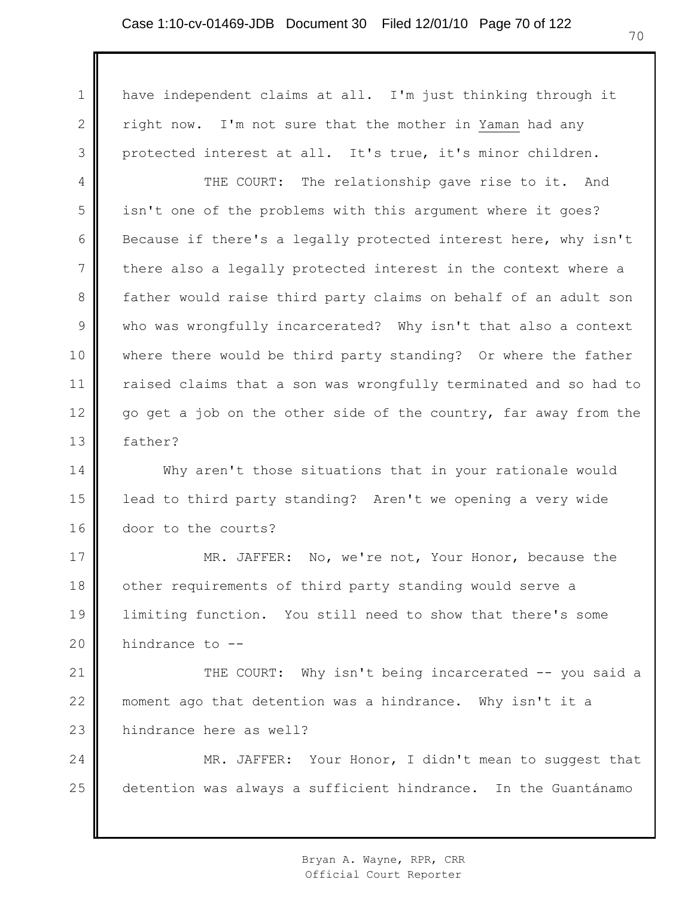1

2

3

have independent claims at all. I'm just thinking through it right now. I'm not sure that the mother in Yaman had any protected interest at all. It's true, it's minor children.

4 5 6 7 8 9 10 11 12 13 THE COURT: The relationship gave rise to it. And isn't one of the problems with this argument where it goes? Because if there's a legally protected interest here, why isn't there also a legally protected interest in the context where a father would raise third party claims on behalf of an adult son who was wrongfully incarcerated? Why isn't that also a context where there would be third party standing? Or where the father raised claims that a son was wrongfully terminated and so had to go get a job on the other side of the country, far away from the father?

14 15 16 Why aren't those situations that in your rationale would lead to third party standing? Aren't we opening a very wide door to the courts?

17 18 19 20 MR. JAFFER: No, we're not, Your Honor, because the other requirements of third party standing would serve a limiting function. You still need to show that there's some hindrance to --

21 22 23 THE COURT: Why isn't being incarcerated -- you said a moment ago that detention was a hindrance. Why isn't it a hindrance here as well?

24 25 MR. JAFFER: Your Honor, I didn't mean to suggest that detention was always a sufficient hindrance. In the Guantánamo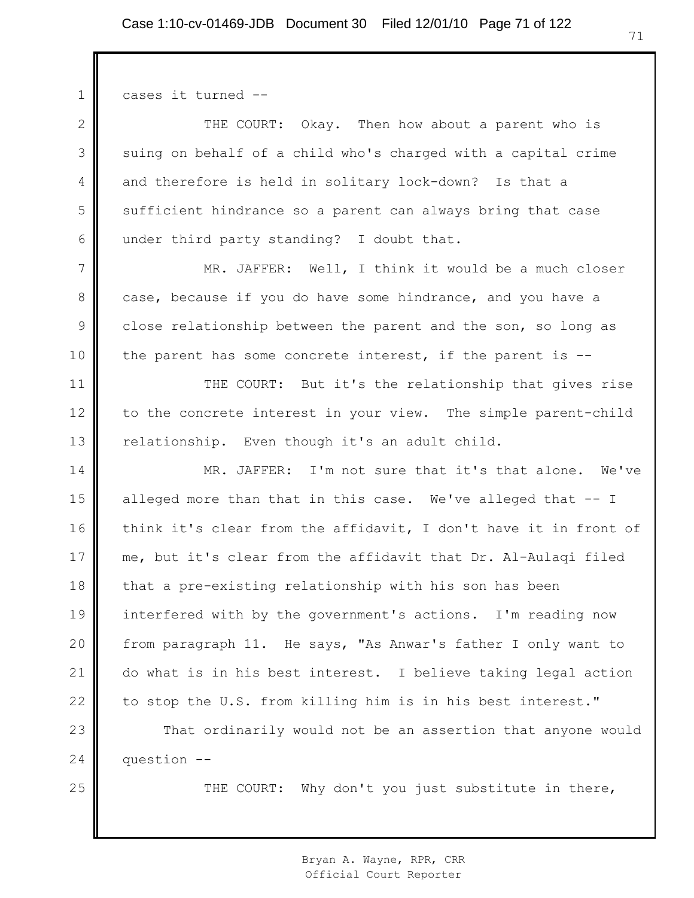1 2 3 4 5 6 7 8 9 10 11 12 13 14 15 16 17 18 19 20 21 22 23 24 25 cases it turned -- THE COURT: Okay. Then how about a parent who is suing on behalf of a child who's charged with a capital crime and therefore is held in solitary lock-down? Is that a sufficient hindrance so a parent can always bring that case under third party standing? I doubt that. MR. JAFFER: Well, I think it would be a much closer case, because if you do have some hindrance, and you have a close relationship between the parent and the son, so long as the parent has some concrete interest, if the parent is -- THE COURT: But it's the relationship that gives rise to the concrete interest in your view. The simple parent-child relationship. Even though it's an adult child. MR. JAFFER: I'm not sure that it's that alone. We've alleged more than that in this case. We've alleged that -- I think it's clear from the affidavit, I don't have it in front of me, but it's clear from the affidavit that Dr. Al-Aulaqi filed that a pre-existing relationship with his son has been interfered with by the government's actions. I'm reading now from paragraph 11. He says, "As Anwar's father I only want to do what is in his best interest. I believe taking legal action to stop the U.S. from killing him is in his best interest." That ordinarily would not be an assertion that anyone would question -- THE COURT: Why don't you just substitute in there,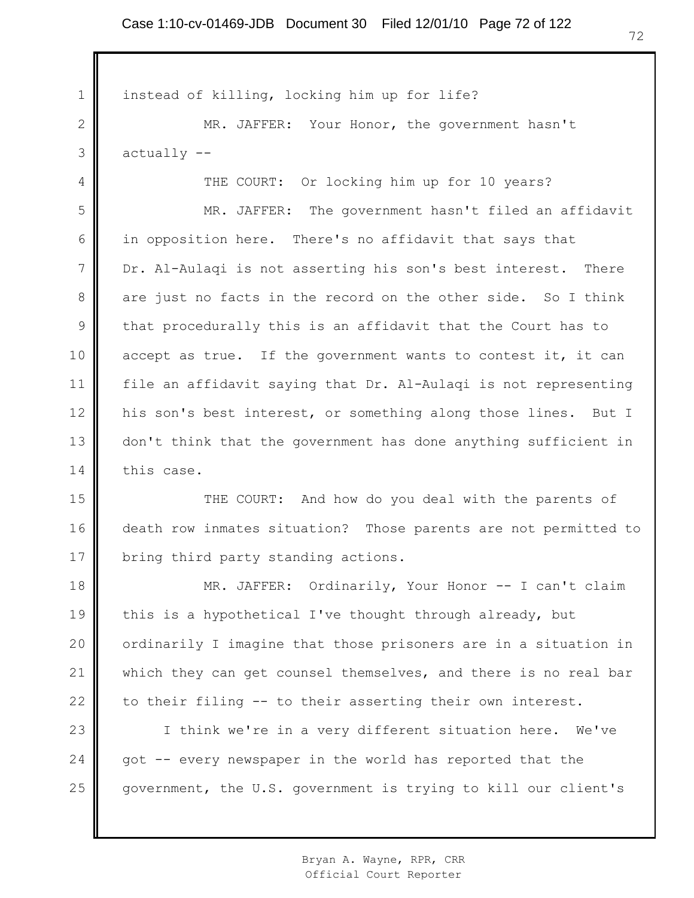1 2 3 4 5 6 7 8 9 10 11 12 13 14 15 16 17 18 19 20 21 22 23 24 25 instead of killing, locking him up for life? MR. JAFFER: Your Honor, the government hasn't actually -- THE COURT: Or locking him up for 10 years? MR. JAFFER: The government hasn't filed an affidavit in opposition here. There's no affidavit that says that Dr. Al-Aulaqi is not asserting his son's best interest. There are just no facts in the record on the other side. So I think that procedurally this is an affidavit that the Court has to accept as true. If the government wants to contest it, it can file an affidavit saying that Dr. Al-Aulaqi is not representing his son's best interest, or something along those lines. But I don't think that the government has done anything sufficient in this case. THE COURT: And how do you deal with the parents of death row inmates situation? Those parents are not permitted to bring third party standing actions. MR. JAFFER: Ordinarily, Your Honor -- I can't claim this is a hypothetical I've thought through already, but ordinarily I imagine that those prisoners are in a situation in which they can get counsel themselves, and there is no real bar to their filing -- to their asserting their own interest. I think we're in a very different situation here. We've got -- every newspaper in the world has reported that the government, the U.S. government is trying to kill our client's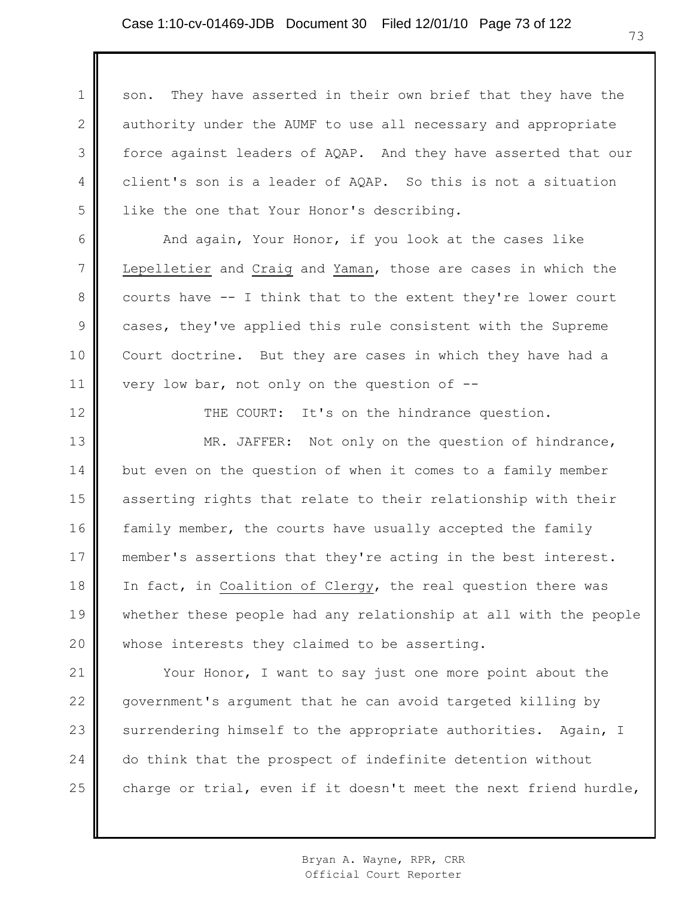1 2 3 4 5 son. They have asserted in their own brief that they have the authority under the AUMF to use all necessary and appropriate force against leaders of AQAP. And they have asserted that our client's son is a leader of AQAP. So this is not a situation like the one that Your Honor's describing.

6 7 And again, Your Honor, if you look at the cases like Lepelletier and Craig and Yaman, those are cases in which the courts have -- I think that to the extent they're lower court cases, they've applied this rule consistent with the Supreme Court doctrine. But they are cases in which they have had a very low bar, not only on the question of  $-$ -

8

9

10

11

12

THE COURT: It's on the hindrance question.

13 14 15 16 17 18 19 20 MR. JAFFER: Not only on the question of hindrance, but even on the question of when it comes to a family member asserting rights that relate to their relationship with their family member, the courts have usually accepted the family member's assertions that they're acting in the best interest. In fact, in Coalition of Clergy, the real question there was whether these people had any relationship at all with the people whose interests they claimed to be asserting.

21 22 23 24 25 Your Honor, I want to say just one more point about the government's argument that he can avoid targeted killing by surrendering himself to the appropriate authorities. Again, I do think that the prospect of indefinite detention without charge or trial, even if it doesn't meet the next friend hurdle,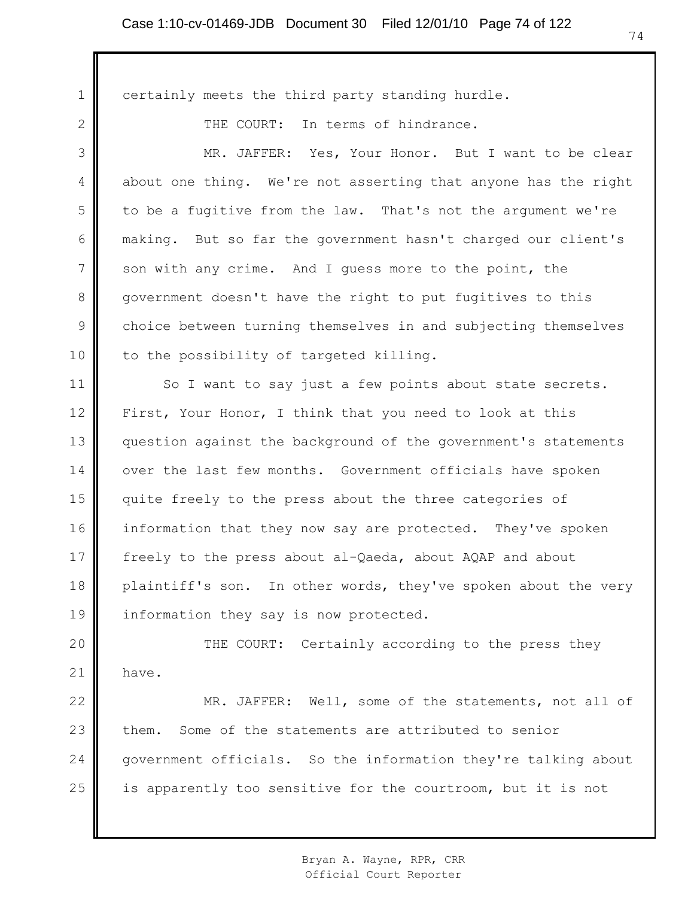1 2 3 4 5 6 7 8 9 10 11 12 13 14 15 16 17 18 19 20 21 22 23 24 certainly meets the third party standing hurdle. THE COURT: In terms of hindrance. MR. JAFFER: Yes, Your Honor. But I want to be clear about one thing. We're not asserting that anyone has the right to be a fugitive from the law. That's not the argument we're making. But so far the government hasn't charged our client's son with any crime. And I guess more to the point, the government doesn't have the right to put fugitives to this choice between turning themselves in and subjecting themselves to the possibility of targeted killing. So I want to say just a few points about state secrets. First, Your Honor, I think that you need to look at this question against the background of the government's statements over the last few months. Government officials have spoken quite freely to the press about the three categories of information that they now say are protected. They've spoken freely to the press about al-Qaeda, about AQAP and about plaintiff's son. In other words, they've spoken about the very information they say is now protected. THE COURT: Certainly according to the press they have. MR. JAFFER: Well, some of the statements, not all of them. Some of the statements are attributed to senior government officials. So the information they're talking about

is apparently too sensitive for the courtroom, but it is not

25

Bryan A. Wayne, RPR, CRR Official Court Reporter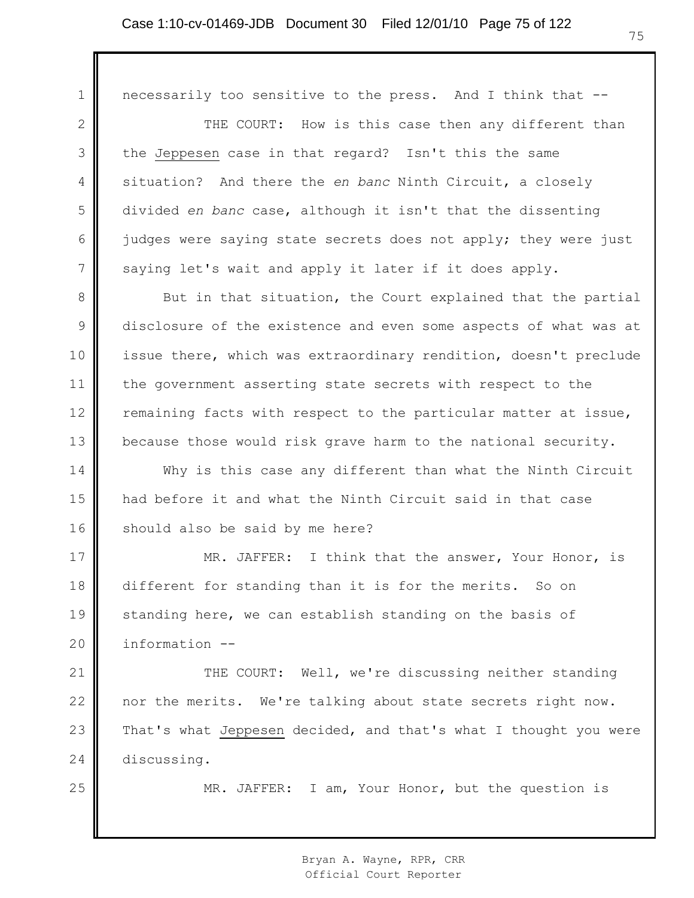1 2 3 4 5 6 7 8 9 10 11 12 13 14 15 16 17 18 19 20 21 22 23 24 25 necessarily too sensitive to the press. And I think that -- THE COURT: How is this case then any different than the Jeppesen case in that regard? Isn't this the same situation? And there the *en banc* Ninth Circuit, a closely divided *en banc* case, although it isn't that the dissenting judges were saying state secrets does not apply; they were just saying let's wait and apply it later if it does apply. But in that situation, the Court explained that the partial disclosure of the existence and even some aspects of what was at issue there, which was extraordinary rendition, doesn't preclude the government asserting state secrets with respect to the remaining facts with respect to the particular matter at issue, because those would risk grave harm to the national security. Why is this case any different than what the Ninth Circuit had before it and what the Ninth Circuit said in that case should also be said by me here? MR. JAFFER: I think that the answer, Your Honor, is different for standing than it is for the merits. So on standing here, we can establish standing on the basis of information -- THE COURT: Well, we're discussing neither standing nor the merits. We're talking about state secrets right now. That's what Jeppesen decided, and that's what I thought you were discussing. MR. JAFFER: I am, Your Honor, but the question is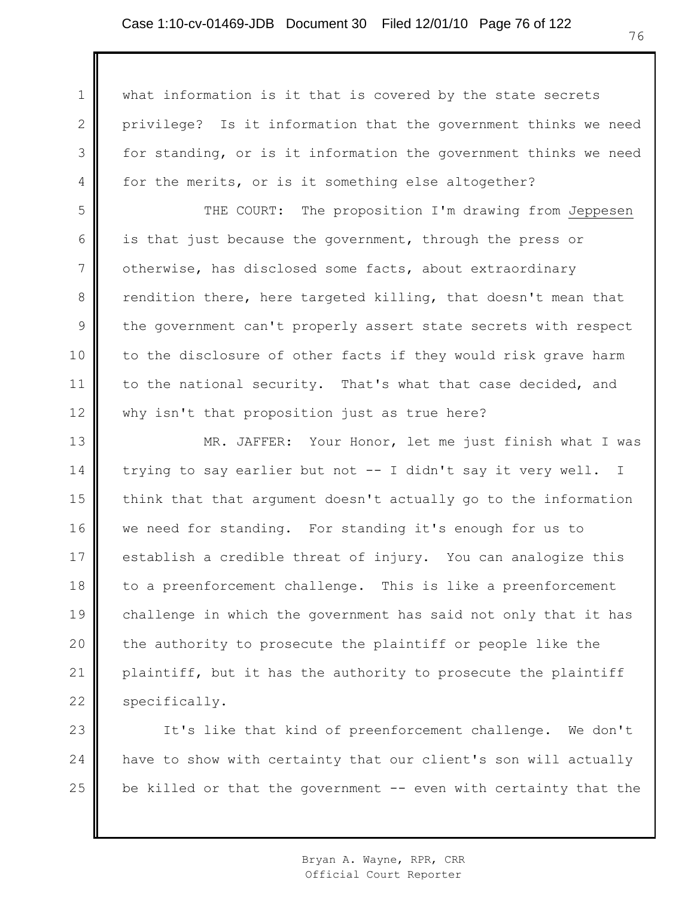1 2 3 4 5 6 7 8 9 10 11 12 13 14 15 16 17 18 19 20 21 22 what information is it that is covered by the state secrets privilege? Is it information that the government thinks we need for standing, or is it information the government thinks we need for the merits, or is it something else altogether? THE COURT: The proposition I'm drawing from Jeppesen is that just because the government, through the press or otherwise, has disclosed some facts, about extraordinary rendition there, here targeted killing, that doesn't mean that the government can't properly assert state secrets with respect to the disclosure of other facts if they would risk grave harm to the national security. That's what that case decided, and why isn't that proposition just as true here? MR. JAFFER: Your Honor, let me just finish what I was trying to say earlier but not -- I didn't say it very well. I think that that argument doesn't actually go to the information we need for standing. For standing it's enough for us to establish a credible threat of injury. You can analogize this to a preenforcement challenge. This is like a preenforcement challenge in which the government has said not only that it has the authority to prosecute the plaintiff or people like the plaintiff, but it has the authority to prosecute the plaintiff specifically.

23 24 25 It's like that kind of preenforcement challenge. We don't have to show with certainty that our client's son will actually be killed or that the government  $-$  even with certainty that the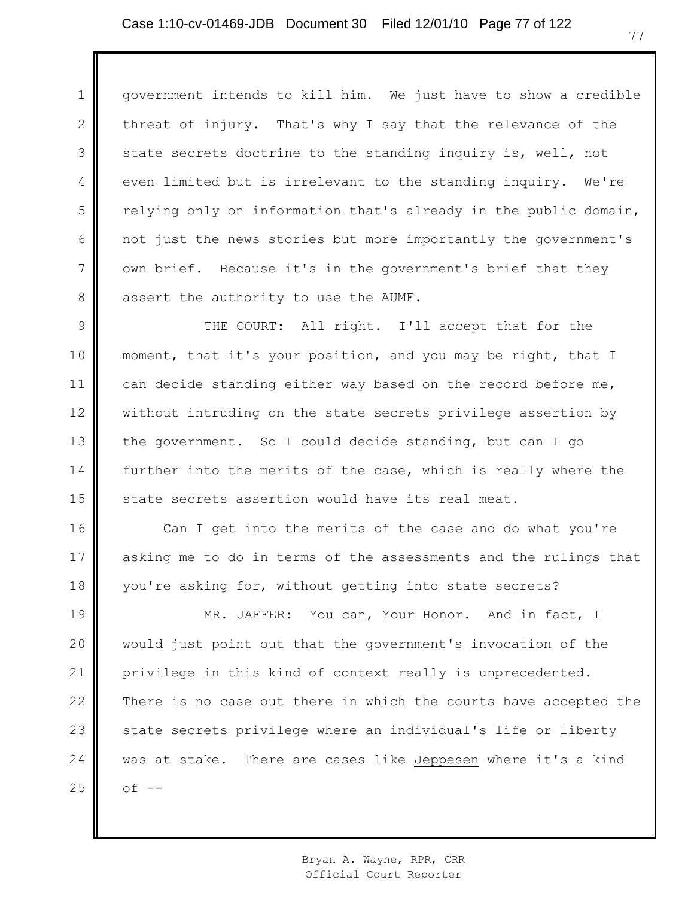1 2 3 4 5 6 7 8 government intends to kill him. We just have to show a credible threat of injury. That's why I say that the relevance of the state secrets doctrine to the standing inquiry is, well, not even limited but is irrelevant to the standing inquiry. We're relying only on information that's already in the public domain, not just the news stories but more importantly the government's own brief. Because it's in the government's brief that they assert the authority to use the AUMF.

9 10 11 12 13 14 15 THE COURT: All right. I'll accept that for the moment, that it's your position, and you may be right, that I can decide standing either way based on the record before me, without intruding on the state secrets privilege assertion by the government. So I could decide standing, but can I go further into the merits of the case, which is really where the state secrets assertion would have its real meat.

16 17 18 Can I get into the merits of the case and do what you're asking me to do in terms of the assessments and the rulings that you're asking for, without getting into state secrets?

19 20 21 22 23 24 25 MR. JAFFER: You can, Your Honor. And in fact, I would just point out that the government's invocation of the privilege in this kind of context really is unprecedented. There is no case out there in which the courts have accepted the state secrets privilege where an individual's life or liberty was at stake. There are cases like Jeppesen where it's a kind  $of$   $-$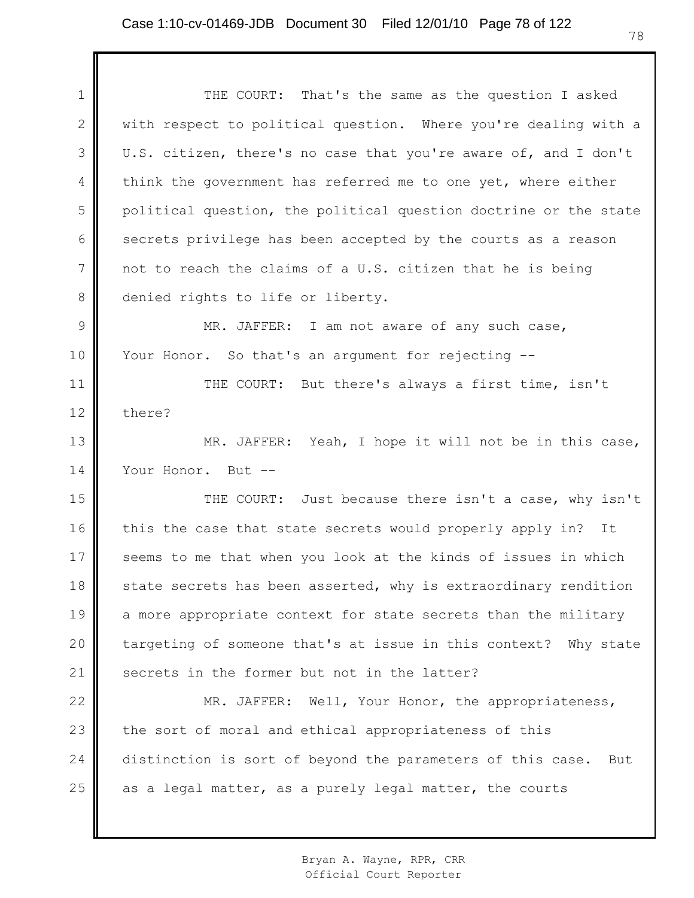1 2 3 4 5 6 7 8 9 10 11 12 13 14 15 16 17 18 19 20 21 22 23 24 25 THE COURT: That's the same as the question I asked with respect to political question. Where you're dealing with a U.S. citizen, there's no case that you're aware of, and I don't think the government has referred me to one yet, where either political question, the political question doctrine or the state secrets privilege has been accepted by the courts as a reason not to reach the claims of a U.S. citizen that he is being denied rights to life or liberty. MR. JAFFER: I am not aware of any such case, Your Honor. So that's an argument for rejecting --THE COURT: But there's always a first time, isn't there? MR. JAFFER: Yeah, I hope it will not be in this case, Your Honor. But --THE COURT: Just because there isn't a case, why isn't this the case that state secrets would properly apply in? It seems to me that when you look at the kinds of issues in which state secrets has been asserted, why is extraordinary rendition a more appropriate context for state secrets than the military targeting of someone that's at issue in this context? Why state secrets in the former but not in the latter? MR. JAFFER: Well, Your Honor, the appropriateness, the sort of moral and ethical appropriateness of this distinction is sort of beyond the parameters of this case. But as a legal matter, as a purely legal matter, the courts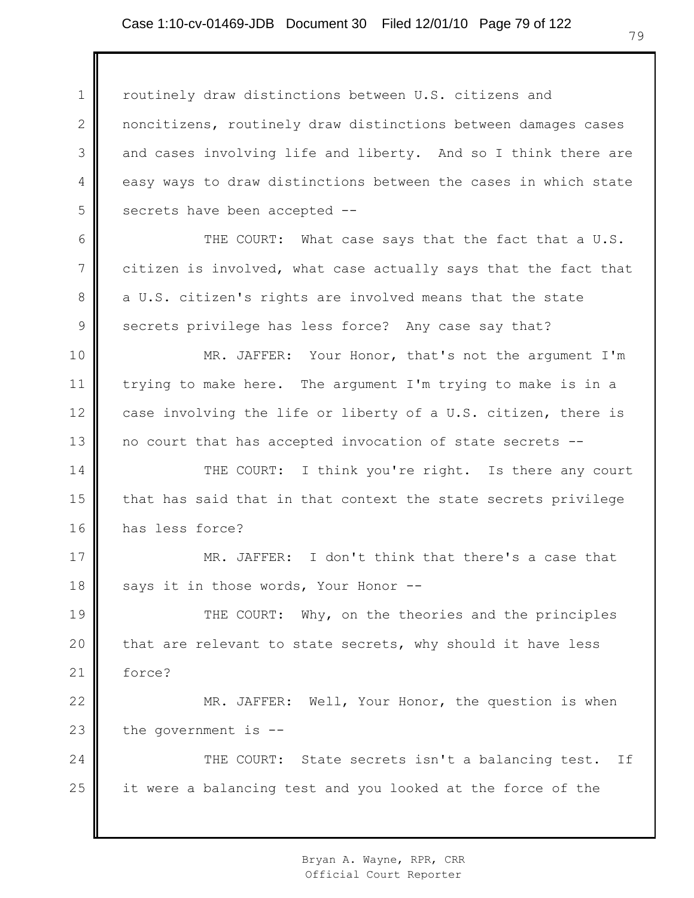1 2 3 4 5 routinely draw distinctions between U.S. citizens and noncitizens, routinely draw distinctions between damages cases and cases involving life and liberty. And so I think there are easy ways to draw distinctions between the cases in which state secrets have been accepted --

6 7 8 9 THE COURT: What case says that the fact that a U.S. citizen is involved, what case actually says that the fact that a U.S. citizen's rights are involved means that the state secrets privilege has less force? Any case say that?

10 11 12 13 MR. JAFFER: Your Honor, that's not the argument I'm trying to make here. The argument I'm trying to make is in a case involving the life or liberty of a U.S. citizen, there is no court that has accepted invocation of state secrets --

14 15 16 THE COURT: I think you're right. Is there any court that has said that in that context the state secrets privilege has less force?

17 18 MR. JAFFER: I don't think that there's a case that says it in those words, Your Honor --

19 20 21 THE COURT: Why, on the theories and the principles that are relevant to state secrets, why should it have less force?

22 23 MR. JAFFER: Well, Your Honor, the question is when the government is --

24 25 THE COURT: State secrets isn't a balancing test. If it were a balancing test and you looked at the force of the

> Bryan A. Wayne, RPR, CRR Official Court Reporter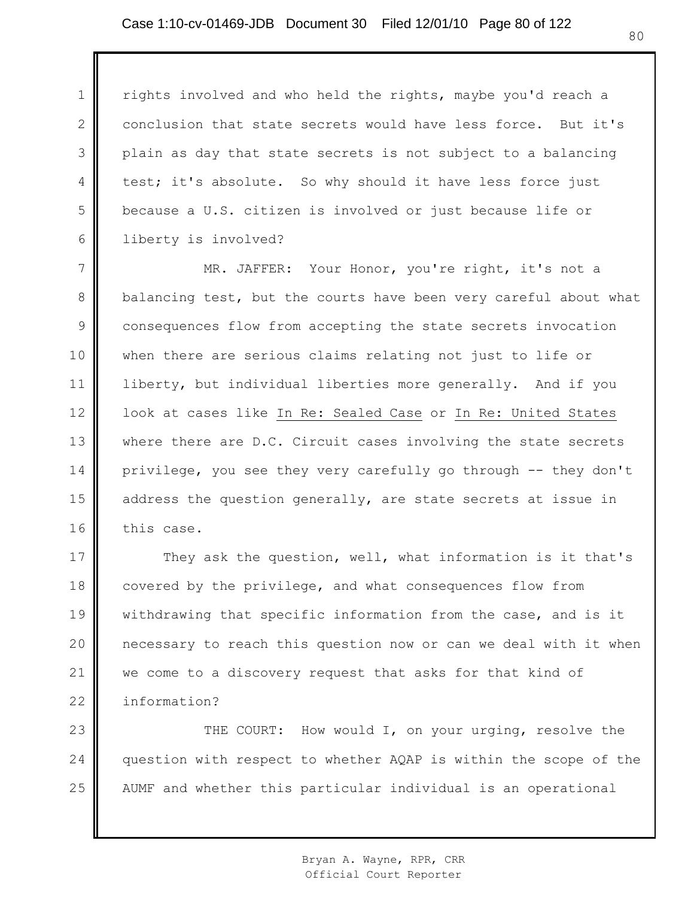1

2

3

4

5

6

rights involved and who held the rights, maybe you'd reach a conclusion that state secrets would have less force. But it's plain as day that state secrets is not subject to a balancing test; it's absolute. So why should it have less force just because a U.S. citizen is involved or just because life or liberty is involved?

7 8 9 10 11 12 13 14 15 16 MR. JAFFER: Your Honor, you're right, it's not a balancing test, but the courts have been very careful about what consequences flow from accepting the state secrets invocation when there are serious claims relating not just to life or liberty, but individual liberties more generally. And if you look at cases like In Re: Sealed Case or In Re: United States where there are D.C. Circuit cases involving the state secrets privilege, you see they very carefully go through -- they don't address the question generally, are state secrets at issue in this case.

17 18 19 20 21 22 They ask the question, well, what information is it that's covered by the privilege, and what consequences flow from withdrawing that specific information from the case, and is it necessary to reach this question now or can we deal with it when we come to a discovery request that asks for that kind of information?

23 24 25 THE COURT: How would I, on your urging, resolve the question with respect to whether AQAP is within the scope of the AUMF and whether this particular individual is an operational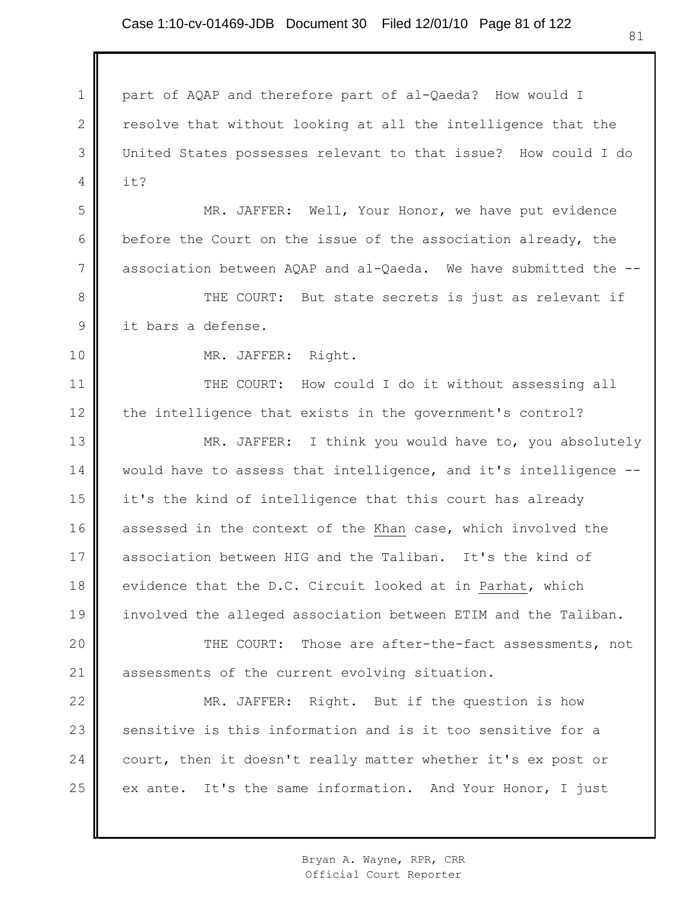1 2 3 4 5 6 7 8 9 10 11 12 13 14 15 16 17 18 19 20 21 22 23 24 25 part of AQAP and therefore part of al-Qaeda? How would I resolve that without looking at all the intelligence that the United States possesses relevant to that issue? How could I do it? MR. JAFFER: Well, Your Honor, we have put evidence before the Court on the issue of the association already, the association between AQAP and al-Qaeda. We have submitted the -- THE COURT: But state secrets is just as relevant if it bars a defense. MR. JAFFER: Right. THE COURT: How could I do it without assessing all the intelligence that exists in the government's control? MR. JAFFER: I think you would have to, you absolutely would have to assess that intelligence, and it's intelligence - it's the kind of intelligence that this court has already assessed in the context of the Khan case, which involved the association between HIG and the Taliban. It's the kind of evidence that the D.C. Circuit looked at in Parhat, which involved the alleged association between ETIM and the Taliban. THE COURT: Those are after-the-fact assessments, not assessments of the current evolving situation. MR. JAFFER: Right. But if the question is how sensitive is this information and is it too sensitive for a court, then it doesn't really matter whether it's ex post or ex ante. It's the same information. And Your Honor, I just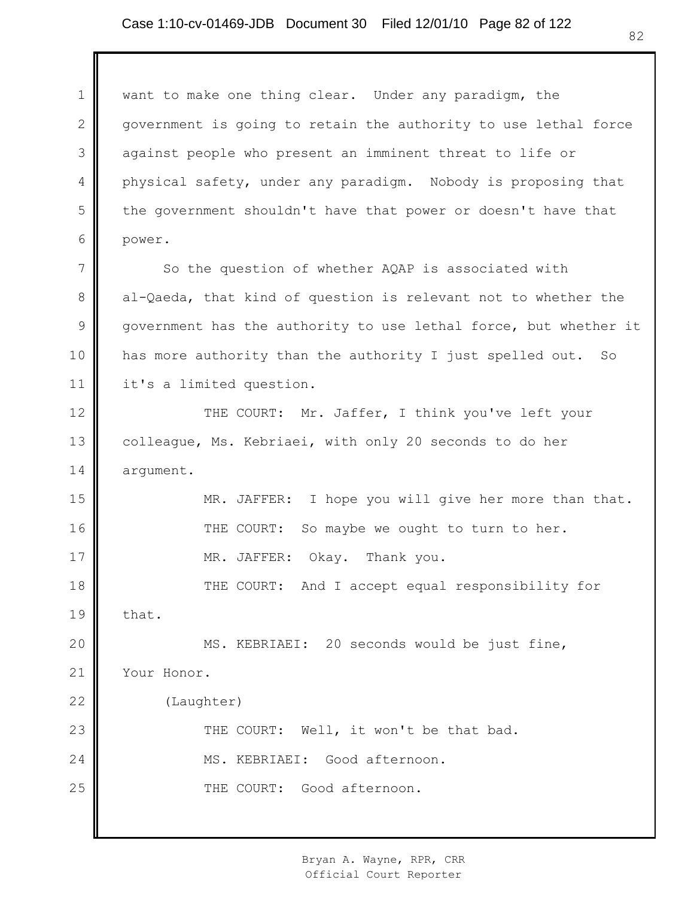1 2 3 4 5 6 7 8 9 10 11 12 13 14 15 16 17 18 19 20 21 22 23 24 25 want to make one thing clear. Under any paradigm, the government is going to retain the authority to use lethal force against people who present an imminent threat to life or physical safety, under any paradigm. Nobody is proposing that the government shouldn't have that power or doesn't have that power. So the question of whether AQAP is associated with al-Qaeda, that kind of question is relevant not to whether the government has the authority to use lethal force, but whether it has more authority than the authority I just spelled out. So it's a limited question. THE COURT: Mr. Jaffer, I think you've left your colleague, Ms. Kebriaei, with only 20 seconds to do her argument. MR. JAFFER: I hope you will give her more than that. THE COURT: So maybe we ought to turn to her. MR. JAFFER: Okay. Thank you. THE COURT: And I accept equal responsibility for that. MS. KEBRIAEI: 20 seconds would be just fine, Your Honor. (Laughter) THE COURT: Well, it won't be that bad. MS. KEBRIAEI: Good afternoon. THE COURT: Good afternoon.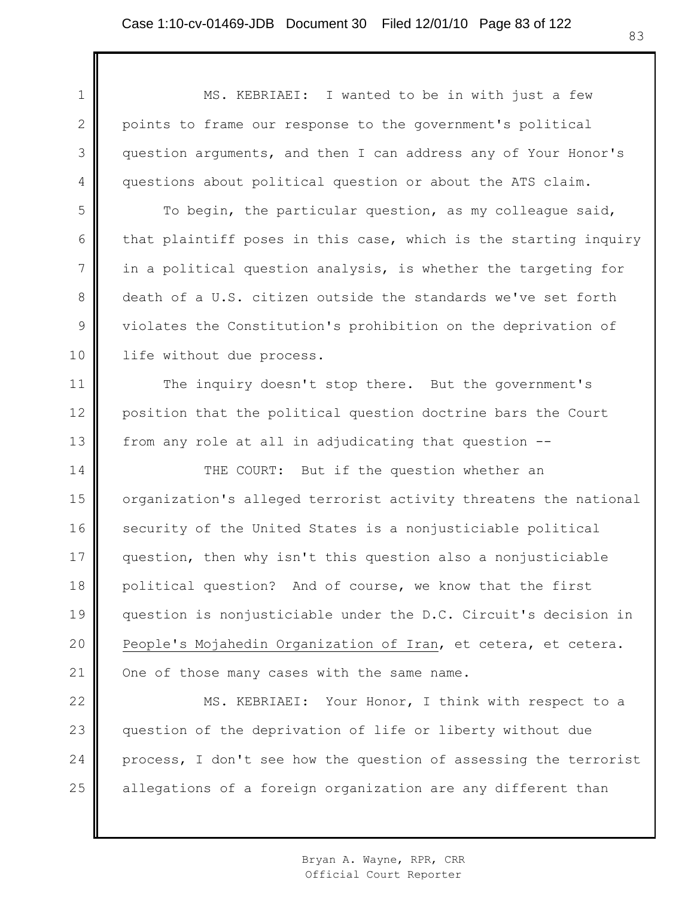1 2 3 4 MS. KEBRIAEI: I wanted to be in with just a few points to frame our response to the government's political question arguments, and then I can address any of Your Honor's questions about political question or about the ATS claim.

5 6 7 8 9 10 To begin, the particular question, as my colleague said, that plaintiff poses in this case, which is the starting inquiry in a political question analysis, is whether the targeting for death of a U.S. citizen outside the standards we've set forth violates the Constitution's prohibition on the deprivation of life without due process.

11 12 13 The inquiry doesn't stop there. But the government's position that the political question doctrine bars the Court from any role at all in adjudicating that question --

14 15 16 17 18 19 20 21 THE COURT: But if the question whether an organization's alleged terrorist activity threatens the national security of the United States is a nonjusticiable political question, then why isn't this question also a nonjusticiable political question? And of course, we know that the first question is nonjusticiable under the D.C. Circuit's decision in People's Mojahedin Organization of Iran, et cetera, et cetera. One of those many cases with the same name.

22 23 24 25 MS. KEBRIAEI: Your Honor, I think with respect to a question of the deprivation of life or liberty without due process, I don't see how the question of assessing the terrorist allegations of a foreign organization are any different than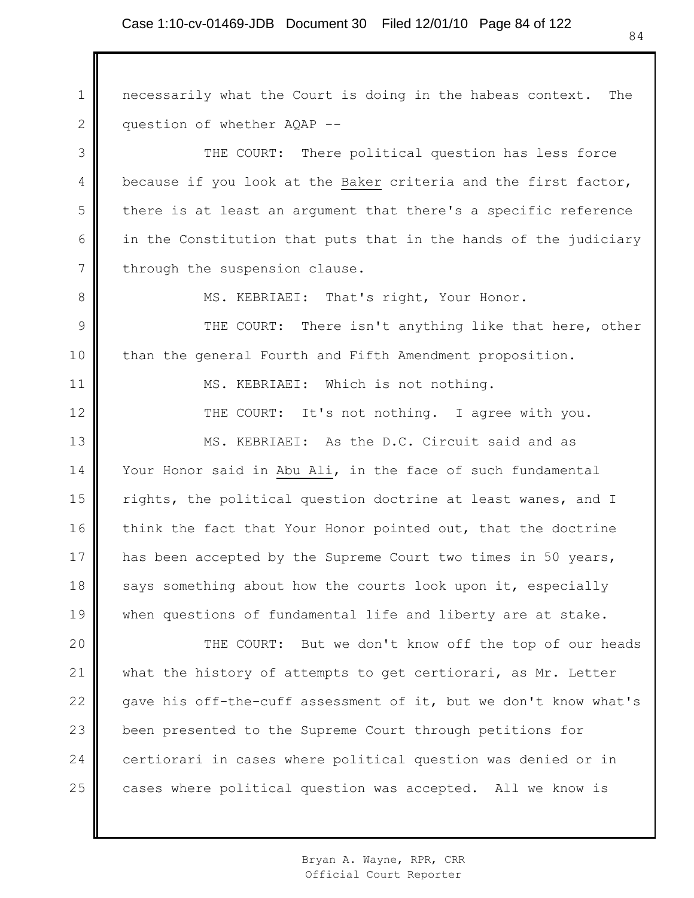1 2 necessarily what the Court is doing in the habeas context. The question of whether AQAP --

3 4 5 6 7 THE COURT: There political question has less force because if you look at the Baker criteria and the first factor, there is at least an argument that there's a specific reference in the Constitution that puts that in the hands of the judiciary through the suspension clause.

MS. KEBRIAEI: That's right, Your Honor.

8

11

12

9 10 THE COURT: There isn't anything like that here, other than the general Fourth and Fifth Amendment proposition.

MS. KEBRIAEI: Which is not nothing.

THE COURT: It's not nothing. I agree with you.

13 14 15 16 17 18 19 MS. KEBRIAEI: As the D.C. Circuit said and as Your Honor said in Abu Ali, in the face of such fundamental rights, the political question doctrine at least wanes, and I think the fact that Your Honor pointed out, that the doctrine has been accepted by the Supreme Court two times in 50 years, says something about how the courts look upon it, especially when questions of fundamental life and liberty are at stake.

20 21 22 23 24 25 THE COURT: But we don't know off the top of our heads what the history of attempts to get certiorari, as Mr. Letter gave his off-the-cuff assessment of it, but we don't know what's been presented to the Supreme Court through petitions for certiorari in cases where political question was denied or in cases where political question was accepted. All we know is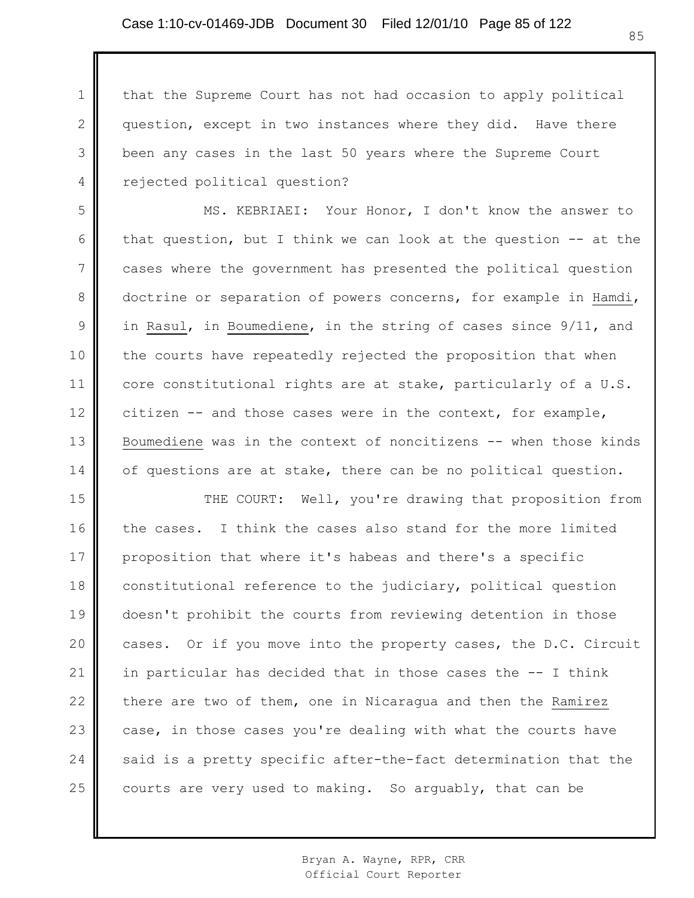1

2

3

4

that the Supreme Court has not had occasion to apply political question, except in two instances where they did. Have there been any cases in the last 50 years where the Supreme Court rejected political question?

5 6 7 8 9 10 11 12 13 14 MS. KEBRIAEI: Your Honor, I don't know the answer to that question, but I think we can look at the question -- at the cases where the government has presented the political question doctrine or separation of powers concerns, for example in Hamdi, in Rasul, in Boumediene, in the string of cases since 9/11, and the courts have repeatedly rejected the proposition that when core constitutional rights are at stake, particularly of a U.S. citizen -- and those cases were in the context, for example, Boumediene was in the context of noncitizens -- when those kinds of questions are at stake, there can be no political question.

15 16 17 18 19 20 21 22 23 24 25 THE COURT: Well, you're drawing that proposition from the cases. I think the cases also stand for the more limited proposition that where it's habeas and there's a specific constitutional reference to the judiciary, political question doesn't prohibit the courts from reviewing detention in those cases. Or if you move into the property cases, the D.C. Circuit in particular has decided that in those cases the -- I think there are two of them, one in Nicaragua and then the Ramirez case, in those cases you're dealing with what the courts have said is a pretty specific after-the-fact determination that the courts are very used to making. So arguably, that can be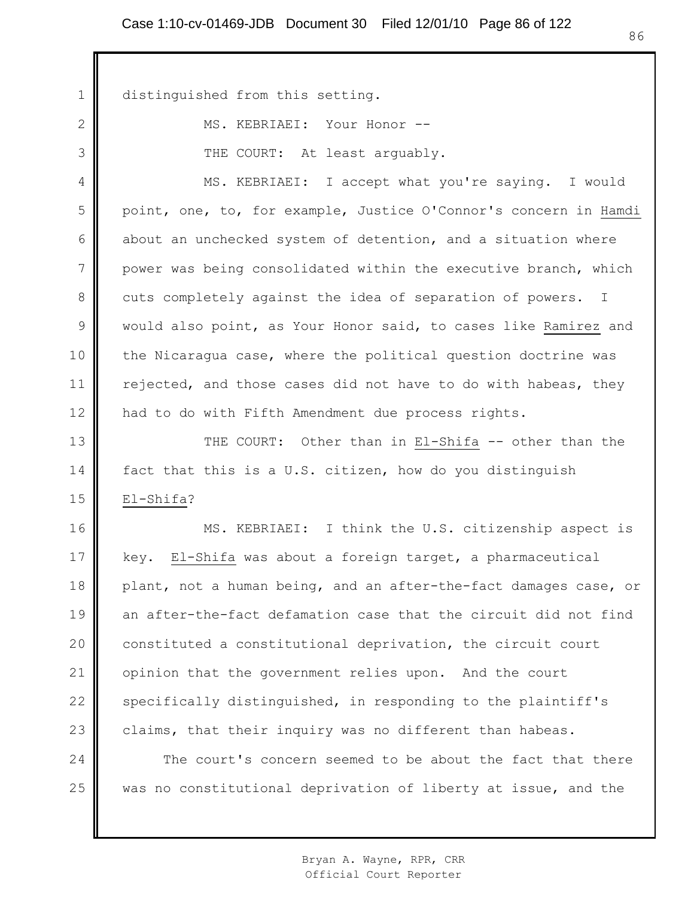1 distinguished from this setting.

2

3

MS. KEBRIAEI: Your Honor -- THE COURT: At least arguably.

4 5 6 7 8 9 10 11 12 MS. KEBRIAEI: I accept what you're saying. I would point, one, to, for example, Justice O'Connor's concern in Hamdi about an unchecked system of detention, and a situation where power was being consolidated within the executive branch, which cuts completely against the idea of separation of powers. I would also point, as Your Honor said, to cases like Ramirez and the Nicaragua case, where the political question doctrine was rejected, and those cases did not have to do with habeas, they had to do with Fifth Amendment due process rights.

13 14 15 THE COURT: Other than in El-Shifa -- other than the fact that this is a U.S. citizen, how do you distinguish El-Shifa?

16 17 18 19 20 21 22 23 MS. KEBRIAEI: I think the U.S. citizenship aspect is key. El-Shifa was about a foreign target, a pharmaceutical plant, not a human being, and an after-the-fact damages case, or an after-the-fact defamation case that the circuit did not find constituted a constitutional deprivation, the circuit court opinion that the government relies upon. And the court specifically distinguished, in responding to the plaintiff's claims, that their inquiry was no different than habeas.

24 25 The court's concern seemed to be about the fact that there was no constitutional deprivation of liberty at issue, and the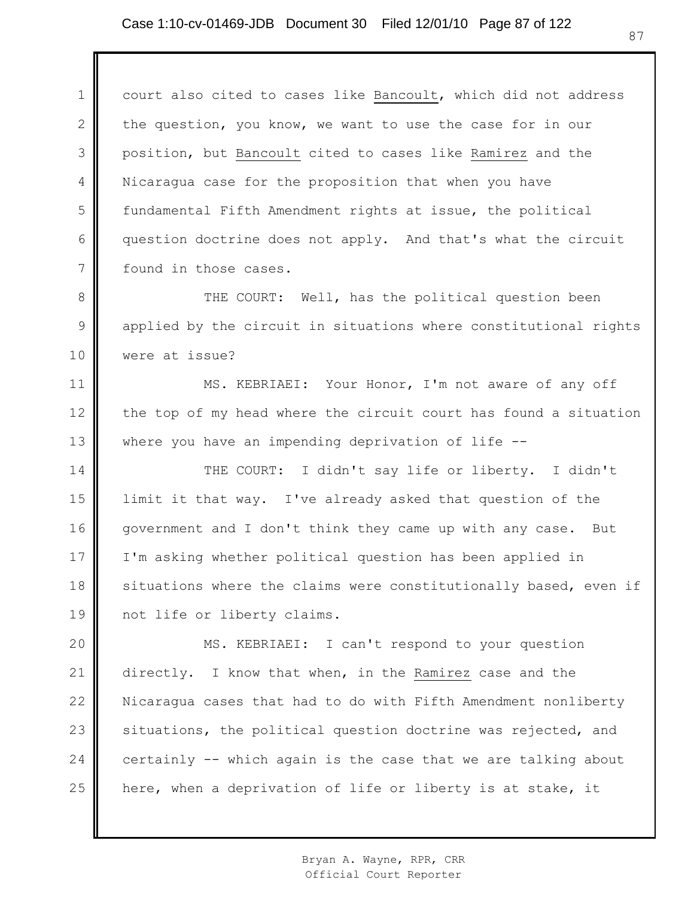1 2 3 4 5 6 7 court also cited to cases like Bancoult, which did not address the question, you know, we want to use the case for in our position, but Bancoult cited to cases like Ramirez and the Nicaragua case for the proposition that when you have fundamental Fifth Amendment rights at issue, the political question doctrine does not apply. And that's what the circuit found in those cases.

8 9 10 THE COURT: Well, has the political question been applied by the circuit in situations where constitutional rights were at issue?

11 12 13 MS. KEBRIAEI: Your Honor, I'm not aware of any off the top of my head where the circuit court has found a situation where you have an impending deprivation of life --

14 15 16 17 18 19 THE COURT: I didn't say life or liberty. I didn't limit it that way. I've already asked that question of the government and I don't think they came up with any case. But I'm asking whether political question has been applied in situations where the claims were constitutionally based, even if not life or liberty claims.

20 21 22 23 24 25 MS. KEBRIAEI: I can't respond to your question directly. I know that when, in the Ramirez case and the Nicaragua cases that had to do with Fifth Amendment nonliberty situations, the political question doctrine was rejected, and certainly -- which again is the case that we are talking about here, when a deprivation of life or liberty is at stake, it

> Bryan A. Wayne, RPR, CRR Official Court Reporter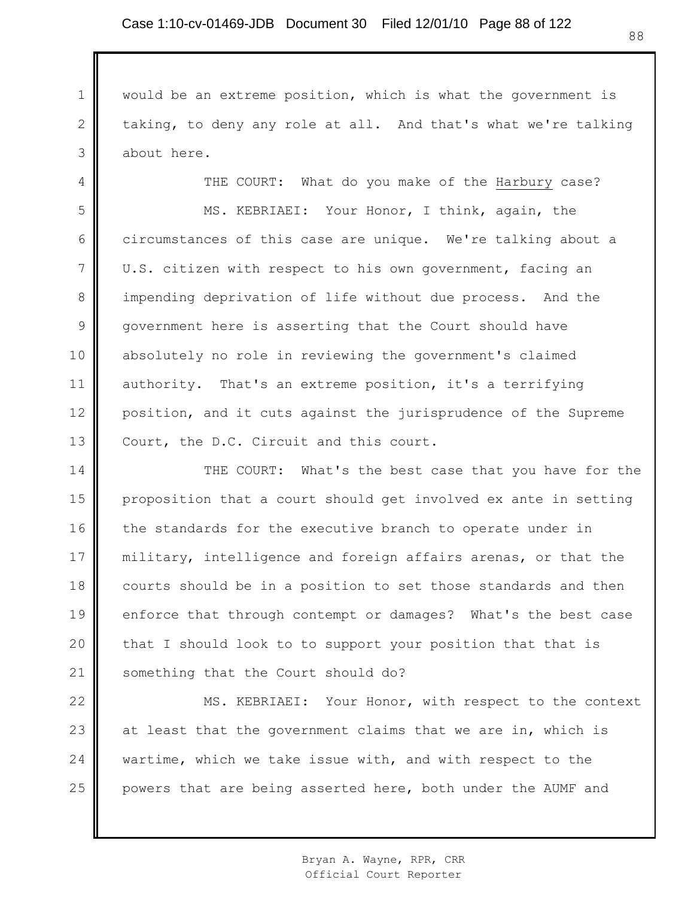1 2 3 would be an extreme position, which is what the government is taking, to deny any role at all. And that's what we're talking about here.

4 5 6 7 8 9 10 11 12 13 THE COURT: What do you make of the Harbury case? MS. KEBRIAEI: Your Honor, I think, again, the circumstances of this case are unique. We're talking about a U.S. citizen with respect to his own government, facing an impending deprivation of life without due process. And the government here is asserting that the Court should have absolutely no role in reviewing the government's claimed authority. That's an extreme position, it's a terrifying position, and it cuts against the jurisprudence of the Supreme Court, the D.C. Circuit and this court.

14 15 16 17 18 19 20 21 THE COURT: What's the best case that you have for the proposition that a court should get involved ex ante in setting the standards for the executive branch to operate under in military, intelligence and foreign affairs arenas, or that the courts should be in a position to set those standards and then enforce that through contempt or damages? What's the best case that I should look to to support your position that that is something that the Court should do?

22 23 24 25 MS. KEBRIAEI: Your Honor, with respect to the context at least that the government claims that we are in, which is wartime, which we take issue with, and with respect to the powers that are being asserted here, both under the AUMF and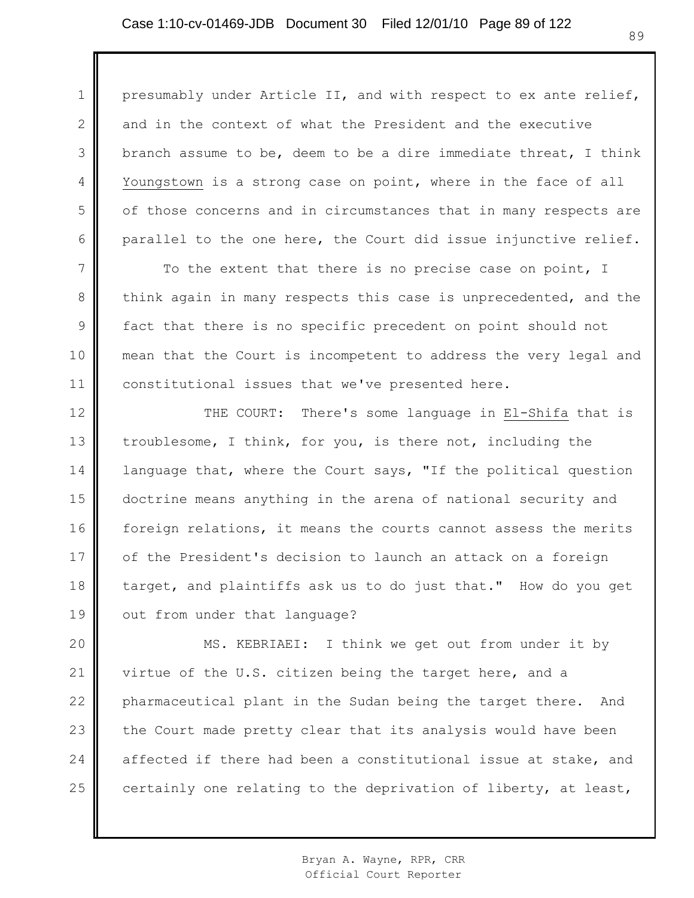1

2

3

4

5

6

presumably under Article II, and with respect to ex ante relief, and in the context of what the President and the executive branch assume to be, deem to be a dire immediate threat, I think Youngstown is a strong case on point, where in the face of all of those concerns and in circumstances that in many respects are parallel to the one here, the Court did issue injunctive relief.

7 8 9 10 11 To the extent that there is no precise case on point, I think again in many respects this case is unprecedented, and the fact that there is no specific precedent on point should not mean that the Court is incompetent to address the very legal and constitutional issues that we've presented here.

12 13 14 15 16 17 18 19 THE COURT: There's some language in El-Shifa that is troublesome, I think, for you, is there not, including the language that, where the Court says, "If the political question doctrine means anything in the arena of national security and foreign relations, it means the courts cannot assess the merits of the President's decision to launch an attack on a foreign target, and plaintiffs ask us to do just that." How do you get out from under that language?

20 21 22 23 24 25 MS. KEBRIAEI: I think we get out from under it by virtue of the U.S. citizen being the target here, and a pharmaceutical plant in the Sudan being the target there. And the Court made pretty clear that its analysis would have been affected if there had been a constitutional issue at stake, and certainly one relating to the deprivation of liberty, at least,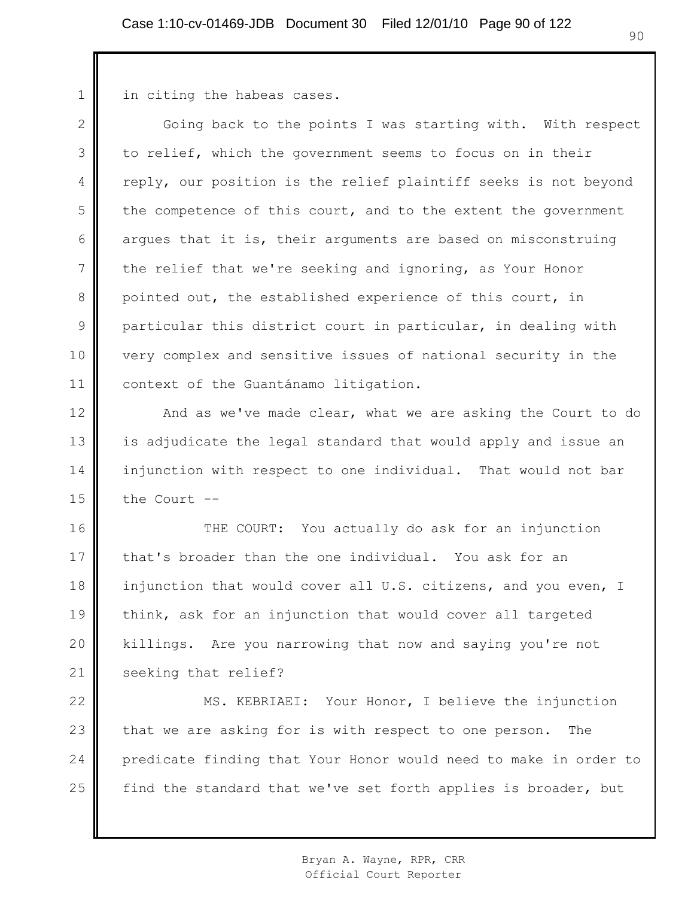in citing the habeas cases.

1

2 3 4 5 6 7 8 9 10 11 Going back to the points I was starting with. With respect to relief, which the government seems to focus on in their reply, our position is the relief plaintiff seeks is not beyond the competence of this court, and to the extent the government argues that it is, their arguments are based on misconstruing the relief that we're seeking and ignoring, as Your Honor pointed out, the established experience of this court, in particular this district court in particular, in dealing with very complex and sensitive issues of national security in the context of the Guantánamo litigation.

12 13 14 15 And as we've made clear, what we are asking the Court to do is adjudicate the legal standard that would apply and issue an injunction with respect to one individual. That would not bar the Court --

16 17 18 19 20 21 THE COURT: You actually do ask for an injunction that's broader than the one individual. You ask for an injunction that would cover all U.S. citizens, and you even, I think, ask for an injunction that would cover all targeted killings. Are you narrowing that now and saying you're not seeking that relief?

22 23 24 25 MS. KEBRIAEI: Your Honor, I believe the injunction that we are asking for is with respect to one person. The predicate finding that Your Honor would need to make in order to find the standard that we've set forth applies is broader, but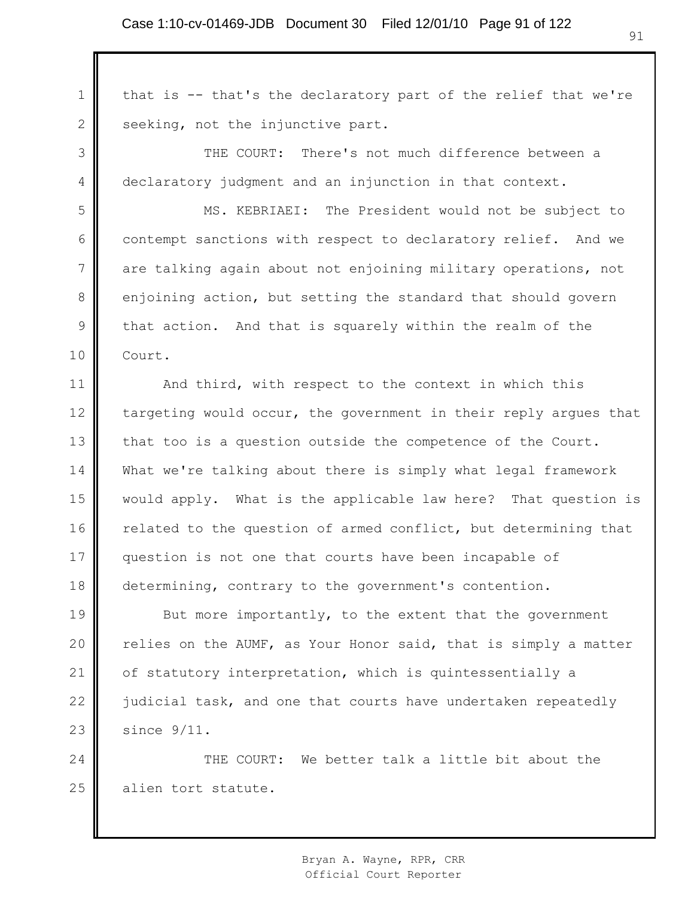1 2 that is -- that's the declaratory part of the relief that we're seeking, not the injunctive part.

3 4 THE COURT: There's not much difference between a declaratory judgment and an injunction in that context.

5 6 7 8 9 10 MS. KEBRIAEI: The President would not be subject to contempt sanctions with respect to declaratory relief. And we are talking again about not enjoining military operations, not enjoining action, but setting the standard that should govern that action. And that is squarely within the realm of the Court.

11 12 13 14 15 16 17 18 And third, with respect to the context in which this targeting would occur, the government in their reply argues that that too is a question outside the competence of the Court. What we're talking about there is simply what legal framework would apply. What is the applicable law here? That question is related to the question of armed conflict, but determining that question is not one that courts have been incapable of determining, contrary to the government's contention.

19 20 21 22 23 But more importantly, to the extent that the government relies on the AUMF, as Your Honor said, that is simply a matter of statutory interpretation, which is quintessentially a judicial task, and one that courts have undertaken repeatedly since 9/11.

24 25 THE COURT: We better talk a little bit about the alien tort statute.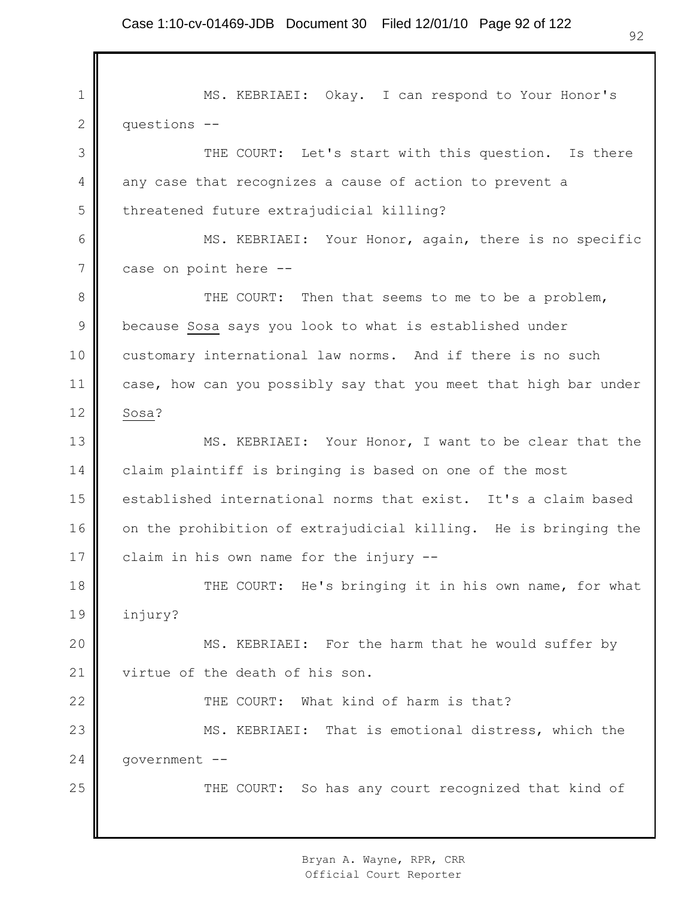1 2 3 4 5 6 7 8 9 10 11 12 13 14 15 16 17 18 19 20 21 22 23 24 25 MS. KEBRIAEI: Okay. I can respond to Your Honor's questions -- THE COURT: Let's start with this question. Is there any case that recognizes a cause of action to prevent a threatened future extrajudicial killing? MS. KEBRIAEI: Your Honor, again, there is no specific case on point here -- THE COURT: Then that seems to me to be a problem, because Sosa says you look to what is established under customary international law norms. And if there is no such case, how can you possibly say that you meet that high bar under Sosa? MS. KEBRIAEI: Your Honor, I want to be clear that the claim plaintiff is bringing is based on one of the most established international norms that exist. It's a claim based on the prohibition of extrajudicial killing. He is bringing the claim in his own name for the injury -- THE COURT: He's bringing it in his own name, for what injury? MS. KEBRIAEI: For the harm that he would suffer by virtue of the death of his son. THE COURT: What kind of harm is that? MS. KEBRIAEI: That is emotional distress, which the government -- THE COURT: So has any court recognized that kind of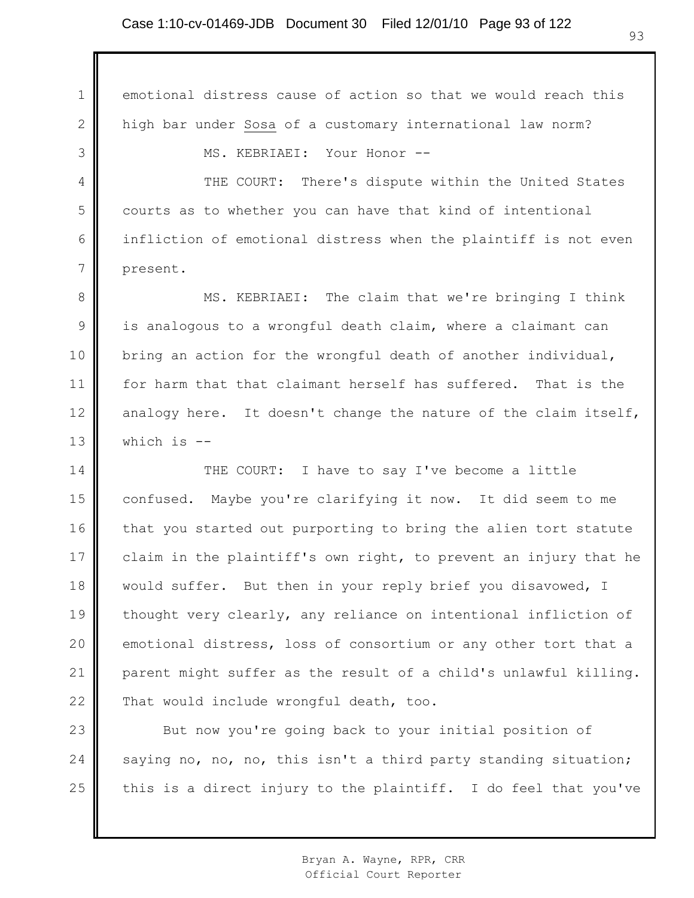1 2 3 4 5 6 7 8 9 10 11 12 13 14 15 16 17 18 19 emotional distress cause of action so that we would reach this high bar under Sosa of a customary international law norm? MS. KEBRIAEI: Your Honor -- THE COURT: There's dispute within the United States courts as to whether you can have that kind of intentional infliction of emotional distress when the plaintiff is not even present. MS. KEBRIAEI: The claim that we're bringing I think is analogous to a wrongful death claim, where a claimant can bring an action for the wrongful death of another individual, for harm that that claimant herself has suffered. That is the analogy here. It doesn't change the nature of the claim itself, which is -- THE COURT: I have to say I've become a little confused. Maybe you're clarifying it now. It did seem to me that you started out purporting to bring the alien tort statute claim in the plaintiff's own right, to prevent an injury that he would suffer. But then in your reply brief you disavowed, I thought very clearly, any reliance on intentional infliction of

21 22 parent might suffer as the result of a child's unlawful killing. That would include wrongful death, too.

emotional distress, loss of consortium or any other tort that a

20

23 24 25 But now you're going back to your initial position of saying no, no, no, this isn't a third party standing situation; this is a direct injury to the plaintiff. I do feel that you've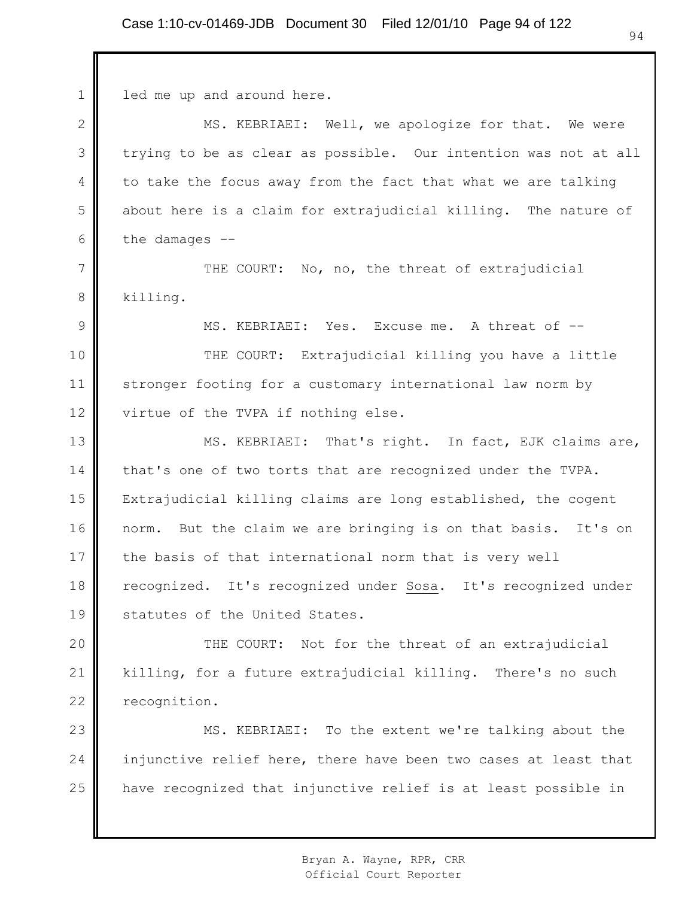| $\mathbf 1$   | led me up and around here.                                      |
|---------------|-----------------------------------------------------------------|
| $\mathbf{2}$  | MS. KEBRIAEI: Well, we apologize for that. We were              |
| 3             | trying to be as clear as possible. Our intention was not at all |
| 4             | to take the focus away from the fact that what we are talking   |
| 5             | about here is a claim for extrajudicial killing. The nature of  |
| 6             | the damages $--$                                                |
| 7             | THE COURT: No, no, the threat of extrajudicial                  |
| 8             | killing.                                                        |
| $\mathcal{G}$ | MS. KEBRIAEI: Yes. Excuse me. A threat of --                    |
| 10            | THE COURT: Extrajudicial killing you have a little              |
| 11            | stronger footing for a customary international law norm by      |
| 12            | virtue of the TVPA if nothing else.                             |
| 13            | MS. KEBRIAEI: That's right. In fact, EJK claims are,            |
| 14            | that's one of two torts that are recognized under the TVPA.     |
| 15            | Extrajudicial killing claims are long established, the cogent   |
| 16            | norm. But the claim we are bringing is on that basis. It's on   |
| 17            | the basis of that international norm that is very well          |
| 18            | recognized. It's recognized under Sosa. It's recognized under   |
| 19            | statutes of the United States.                                  |
| 20            | THE COURT: Not for the threat of an extrajudicial               |
| 21            | killing, for a future extrajudicial killing. There's no such    |
| 22            | recognition.                                                    |
| 23            | MS. KEBRIAEI: To the extent we're talking about the             |
| 24            | injunctive relief here, there have been two cases at least that |

have recognized that injunctive relief is at least possible in

25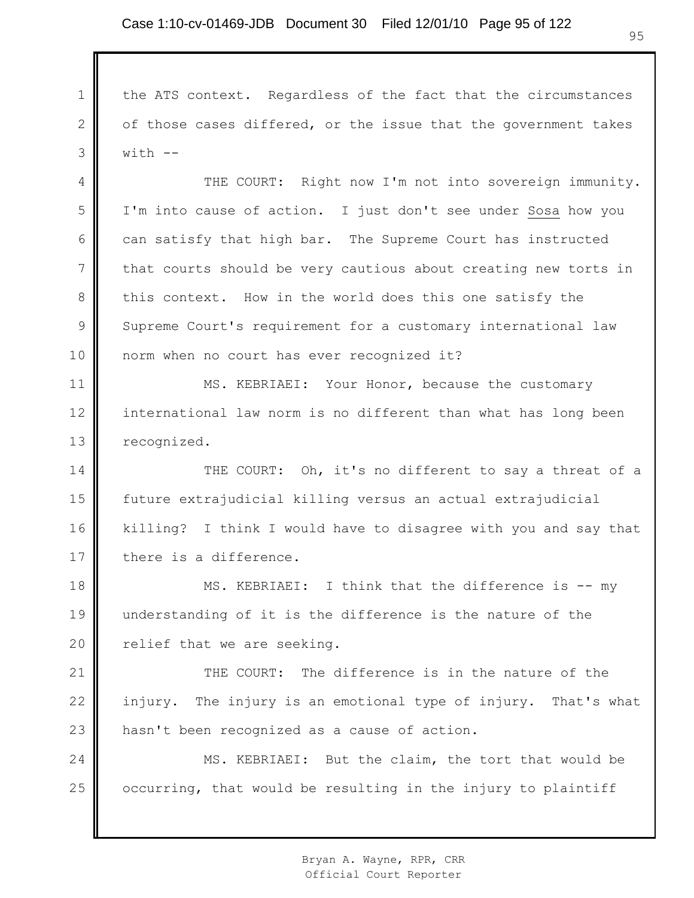1

2

3

the ATS context. Regardless of the fact that the circumstances of those cases differed, or the issue that the government takes  $with$   $-$ 

4 5 6 7 8 9 10 THE COURT: Right now I'm not into sovereign immunity. I'm into cause of action. I just don't see under Sosa how you can satisfy that high bar. The Supreme Court has instructed that courts should be very cautious about creating new torts in this context. How in the world does this one satisfy the Supreme Court's requirement for a customary international law norm when no court has ever recognized it?

11 12 13 MS. KEBRIAEI: Your Honor, because the customary international law norm is no different than what has long been recognized.

14 15 16 17 THE COURT: Oh, it's no different to say a threat of a future extrajudicial killing versus an actual extrajudicial killing? I think I would have to disagree with you and say that there is a difference.

18 19 20 MS. KEBRIAEI: I think that the difference is -- my understanding of it is the difference is the nature of the relief that we are seeking.

21 22 23 THE COURT: The difference is in the nature of the injury. The injury is an emotional type of injury. That's what hasn't been recognized as a cause of action.

24 25 MS. KEBRIAEI: But the claim, the tort that would be occurring, that would be resulting in the injury to plaintiff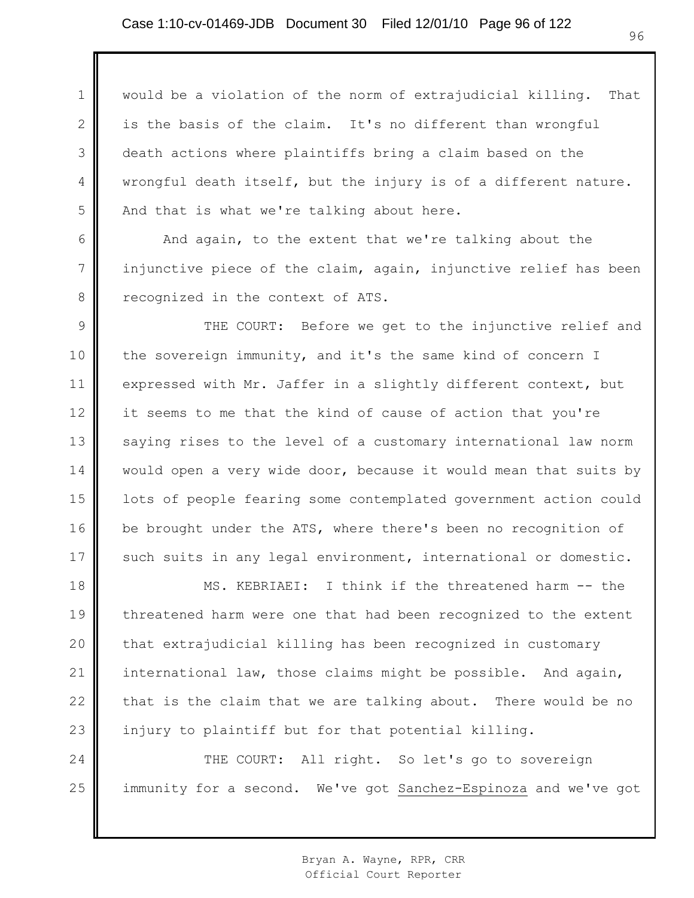1 2 3 4 5 would be a violation of the norm of extrajudicial killing. That is the basis of the claim. It's no different than wrongful death actions where plaintiffs bring a claim based on the wrongful death itself, but the injury is of a different nature. And that is what we're talking about here.

And again, to the extent that we're talking about the injunctive piece of the claim, again, injunctive relief has been recognized in the context of ATS.

6

7

8

9 10 11 12 13 14 15 16 17 THE COURT: Before we get to the injunctive relief and the sovereign immunity, and it's the same kind of concern I expressed with Mr. Jaffer in a slightly different context, but it seems to me that the kind of cause of action that you're saying rises to the level of a customary international law norm would open a very wide door, because it would mean that suits by lots of people fearing some contemplated government action could be brought under the ATS, where there's been no recognition of such suits in any legal environment, international or domestic.

18 19 20 21 22 23 MS. KEBRIAEI: I think if the threatened harm -- the threatened harm were one that had been recognized to the extent that extrajudicial killing has been recognized in customary international law, those claims might be possible. And again, that is the claim that we are talking about. There would be no injury to plaintiff but for that potential killing.

24 25 THE COURT: All right. So let's go to sovereign immunity for a second. We've got Sanchez-Espinoza and we've got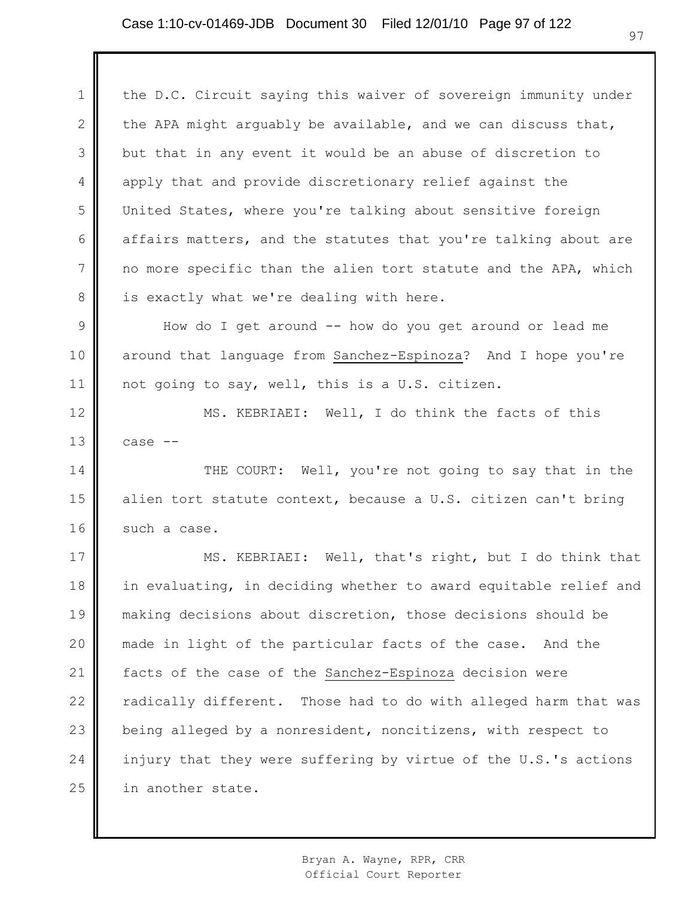1 2 3 4 5 6 7 8 9 10 11 12 13 14 15 16 17 18 19 20 21 22 23 24 25 the D.C. Circuit saying this waiver of sovereign immunity under the APA might arguably be available, and we can discuss that, but that in any event it would be an abuse of discretion to apply that and provide discretionary relief against the United States, where you're talking about sensitive foreign affairs matters, and the statutes that you're talking about are no more specific than the alien tort statute and the APA, which is exactly what we're dealing with here. How do I get around -- how do you get around or lead me around that language from Sanchez-Espinoza? And I hope you're not going to say, well, this is a U.S. citizen. MS. KEBRIAEI: Well, I do think the facts of this case -- THE COURT: Well, you're not going to say that in the alien tort statute context, because a U.S. citizen can't bring such a case. MS. KEBRIAEI: Well, that's right, but I do think that in evaluating, in deciding whether to award equitable relief and making decisions about discretion, those decisions should be made in light of the particular facts of the case. And the facts of the case of the Sanchez-Espinoza decision were radically different. Those had to do with alleged harm that was being alleged by a nonresident, noncitizens, with respect to injury that they were suffering by virtue of the U.S.'s actions in another state.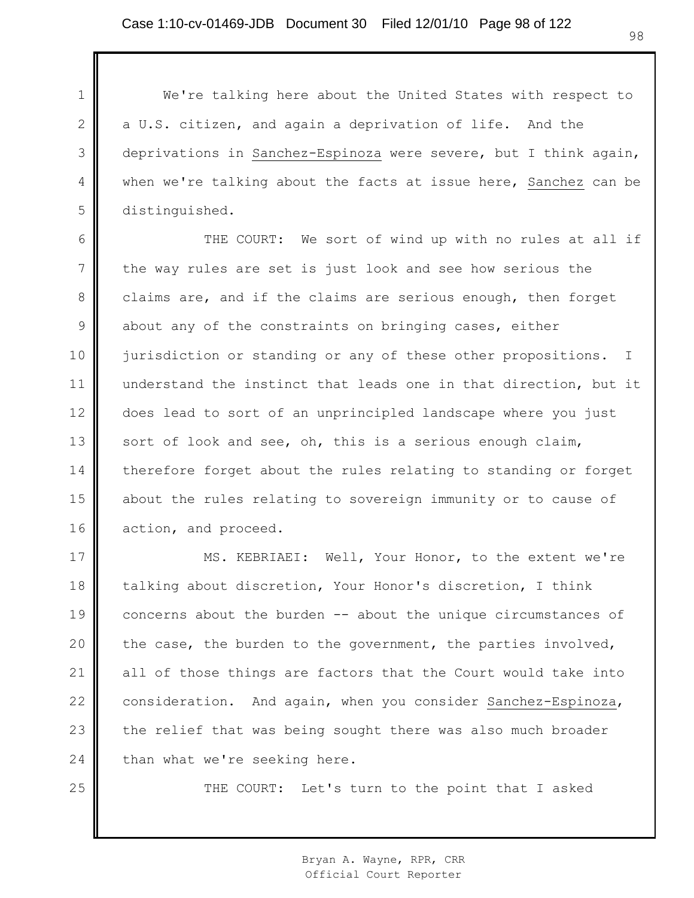1

2

3

4

5

25

We're talking here about the United States with respect to a U.S. citizen, and again a deprivation of life. And the deprivations in Sanchez-Espinoza were severe, but I think again, when we're talking about the facts at issue here, Sanchez can be distinguished.

6 7 8 9 10 11 12 13 14 15 16 THE COURT: We sort of wind up with no rules at all if the way rules are set is just look and see how serious the claims are, and if the claims are serious enough, then forget about any of the constraints on bringing cases, either jurisdiction or standing or any of these other propositions. I understand the instinct that leads one in that direction, but it does lead to sort of an unprincipled landscape where you just sort of look and see, oh, this is a serious enough claim, therefore forget about the rules relating to standing or forget about the rules relating to sovereign immunity or to cause of action, and proceed.

17 18 19 20 21 22 23 24 MS. KEBRIAEI: Well, Your Honor, to the extent we're talking about discretion, Your Honor's discretion, I think concerns about the burden -- about the unique circumstances of the case, the burden to the government, the parties involved, all of those things are factors that the Court would take into consideration. And again, when you consider Sanchez-Espinoza, the relief that was being sought there was also much broader than what we're seeking here.

THE COURT: Let's turn to the point that I asked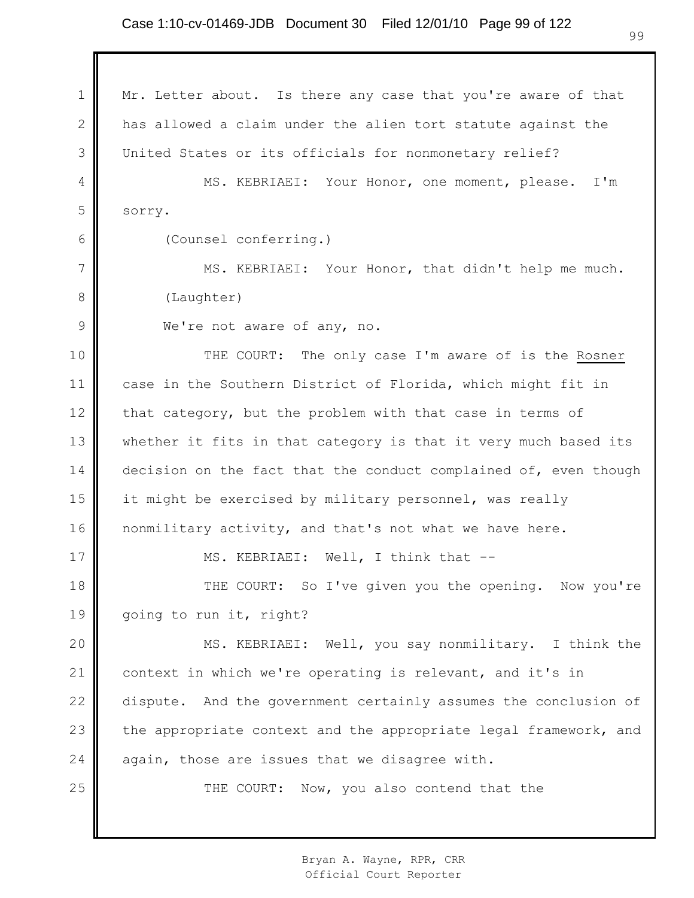1 2 3 4 5 6 7 8 9 10 11 12 13 14 15 16 17 18 19 20 21 22 23 24 25 Mr. Letter about. Is there any case that you're aware of that has allowed a claim under the alien tort statute against the United States or its officials for nonmonetary relief? MS. KEBRIAEI: Your Honor, one moment, please. I'm sorry. (Counsel conferring.) MS. KEBRIAEI: Your Honor, that didn't help me much. (Laughter) We're not aware of any, no. THE COURT: The only case I'm aware of is the Rosner case in the Southern District of Florida, which might fit in that category, but the problem with that case in terms of whether it fits in that category is that it very much based its decision on the fact that the conduct complained of, even though it might be exercised by military personnel, was really nonmilitary activity, and that's not what we have here. MS. KEBRIAEI: Well, I think that -- THE COURT: So I've given you the opening. Now you're going to run it, right? MS. KEBRIAEI: Well, you say nonmilitary. I think the context in which we're operating is relevant, and it's in dispute. And the government certainly assumes the conclusion of the appropriate context and the appropriate legal framework, and again, those are issues that we disagree with. THE COURT: Now, you also contend that the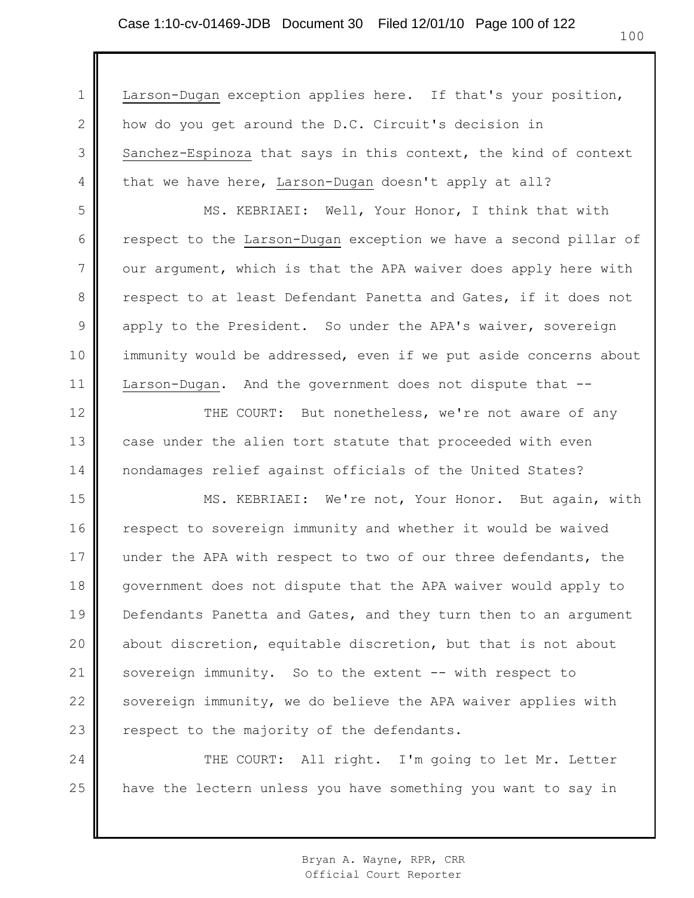1 2 3 4 5 6 7 8 9 10 11 12 13 14 15 16 17 18 19 20 21 22 23 24 25 Larson-Dugan exception applies here. If that's your position, how do you get around the D.C. Circuit's decision in Sanchez-Espinoza that says in this context, the kind of context that we have here, Larson-Dugan doesn't apply at all? MS. KEBRIAEI: Well, Your Honor, I think that with respect to the Larson-Dugan exception we have a second pillar of our argument, which is that the APA waiver does apply here with respect to at least Defendant Panetta and Gates, if it does not apply to the President. So under the APA's waiver, sovereign immunity would be addressed, even if we put aside concerns about Larson-Dugan. And the government does not dispute that -- THE COURT: But nonetheless, we're not aware of any case under the alien tort statute that proceeded with even nondamages relief against officials of the United States? MS. KEBRIAEI: We're not, Your Honor. But again, with respect to sovereign immunity and whether it would be waived under the APA with respect to two of our three defendants, the government does not dispute that the APA waiver would apply to Defendants Panetta and Gates, and they turn then to an argument about discretion, equitable discretion, but that is not about sovereign immunity. So to the extent -- with respect to sovereign immunity, we do believe the APA waiver applies with respect to the majority of the defendants. THE COURT: All right. I'm going to let Mr. Letter have the lectern unless you have something you want to say in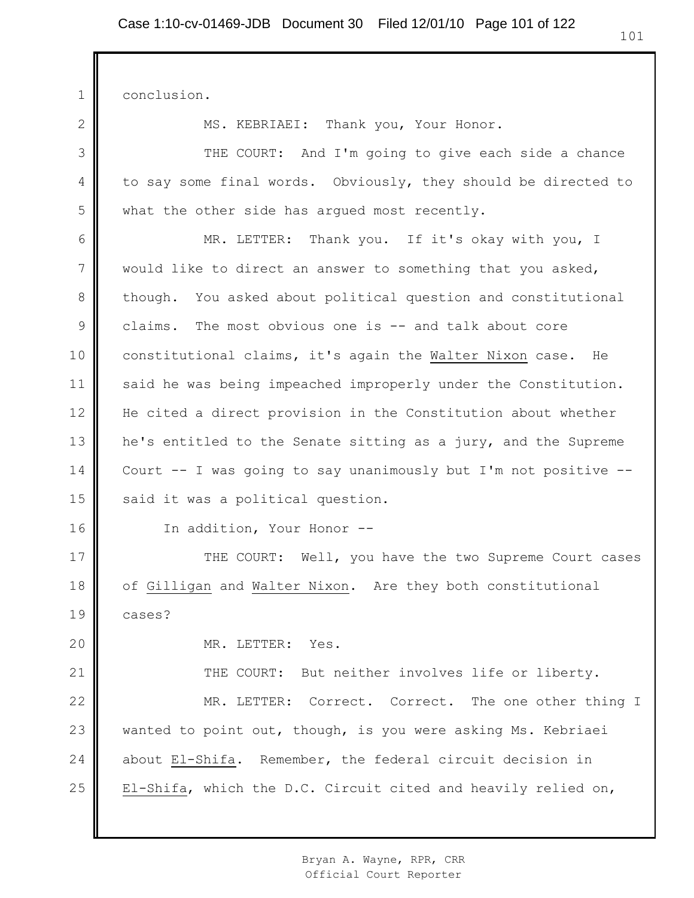1 conclusion.

2

3

4

5

MS. KEBRIAEI: Thank you, Your Honor.

THE COURT: And I'm going to give each side a chance to say some final words. Obviously, they should be directed to what the other side has arqued most recently.

6 7 8 9 10 11 12 13 14 15 MR. LETTER: Thank you. If it's okay with you, I would like to direct an answer to something that you asked, though. You asked about political question and constitutional claims. The most obvious one is -- and talk about core constitutional claims, it's again the Walter Nixon case. He said he was being impeached improperly under the Constitution. He cited a direct provision in the Constitution about whether he's entitled to the Senate sitting as a jury, and the Supreme Court -- I was going to say unanimously but I'm not positive - said it was a political question.

16

In addition, Your Honor --

17 18 19 THE COURT: Well, you have the two Supreme Court cases of Gilligan and Walter Nixon. Are they both constitutional cases?

20

MR. LETTER: Yes.

21 22 23 24 25 THE COURT: But neither involves life or liberty. MR. LETTER: Correct. Correct. The one other thing I wanted to point out, though, is you were asking Ms. Kebriaei about El-Shifa. Remember, the federal circuit decision in El-Shifa, which the D.C. Circuit cited and heavily relied on,

> Bryan A. Wayne, RPR, CRR Official Court Reporter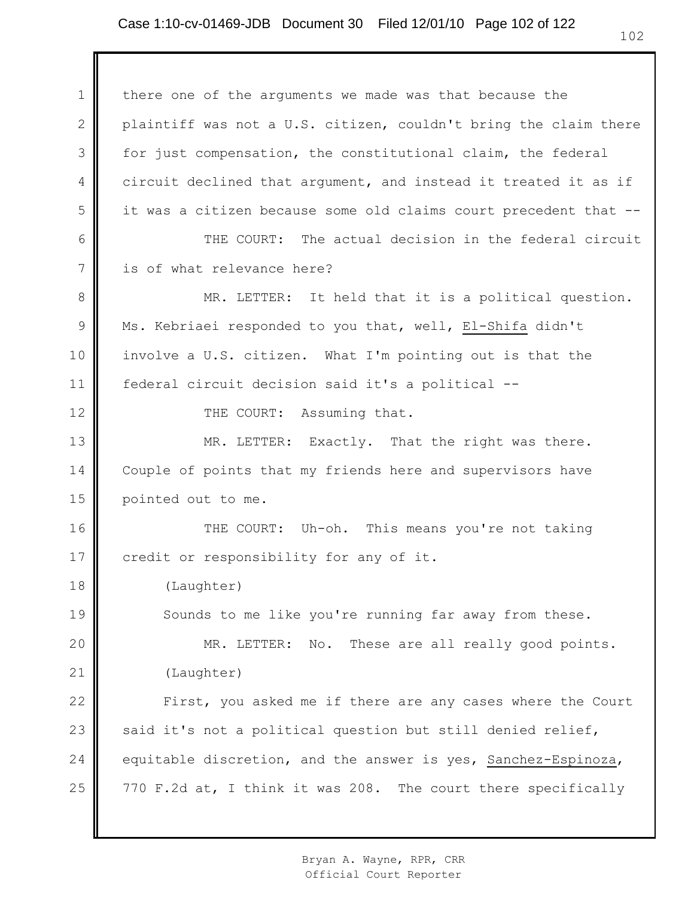1 2 3 4 5 6 7 8 9 10 11 12 13 14 15 16 17 18 19 20 21 22 23 24 25 there one of the arguments we made was that because the plaintiff was not a U.S. citizen, couldn't bring the claim there for just compensation, the constitutional claim, the federal circuit declined that argument, and instead it treated it as if it was a citizen because some old claims court precedent that -- THE COURT: The actual decision in the federal circuit is of what relevance here? MR. LETTER: It held that it is a political question. Ms. Kebriaei responded to you that, well, El-Shifa didn't involve a U.S. citizen. What I'm pointing out is that the federal circuit decision said it's a political -- THE COURT: Assuming that. MR. LETTER: Exactly. That the right was there. Couple of points that my friends here and supervisors have pointed out to me. THE COURT: Uh-oh. This means you're not taking credit or responsibility for any of it. (Laughter) Sounds to me like you're running far away from these. MR. LETTER: No. These are all really good points. (Laughter) First, you asked me if there are any cases where the Court said it's not a political question but still denied relief, equitable discretion, and the answer is yes, Sanchez-Espinoza, 770 F.2d at, I think it was 208. The court there specifically

> Bryan A. Wayne, RPR, CRR Official Court Reporter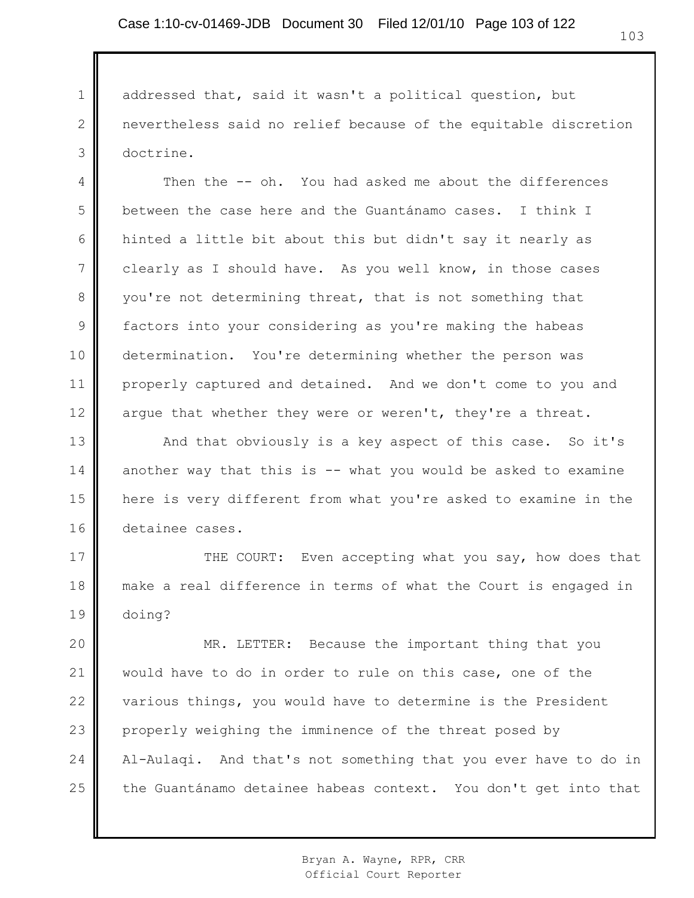1 2 3 addressed that, said it wasn't a political question, but nevertheless said no relief because of the equitable discretion doctrine.

4 5 6 7 8 9 10 11 12 Then the -- oh. You had asked me about the differences between the case here and the Guantánamo cases. I think I hinted a little bit about this but didn't say it nearly as clearly as I should have. As you well know, in those cases you're not determining threat, that is not something that factors into your considering as you're making the habeas determination. You're determining whether the person was properly captured and detained. And we don't come to you and argue that whether they were or weren't, they're a threat.

13 14 15 16 And that obviously is a key aspect of this case. So it's another way that this is -- what you would be asked to examine here is very different from what you're asked to examine in the detainee cases.

17 18 19 THE COURT: Even accepting what you say, how does that make a real difference in terms of what the Court is engaged in doing?

20 21 22 23 24 25 MR. LETTER: Because the important thing that you would have to do in order to rule on this case, one of the various things, you would have to determine is the President properly weighing the imminence of the threat posed by Al-Aulaqi. And that's not something that you ever have to do in the Guantánamo detainee habeas context. You don't get into that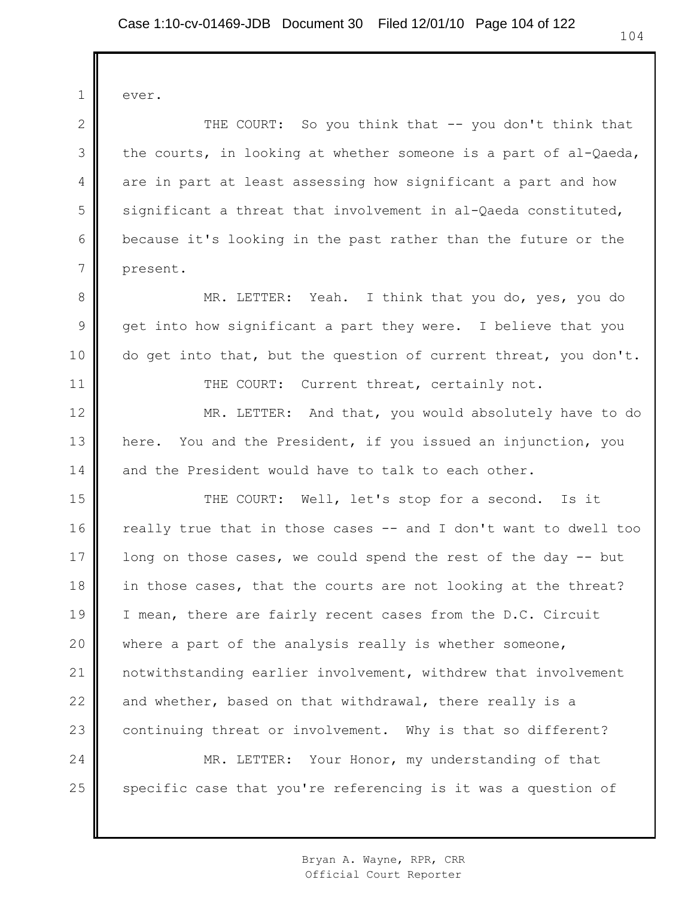1 2 3 4 5 6 7 8 9 10 11 12 13 14 15 16 17 18 19 20 21 22 23 24 25 ever. THE COURT: So you think that -- you don't think that the courts, in looking at whether someone is a part of al-Qaeda, are in part at least assessing how significant a part and how significant a threat that involvement in al-Qaeda constituted, because it's looking in the past rather than the future or the present. MR. LETTER: Yeah. I think that you do, yes, you do get into how significant a part they were. I believe that you do get into that, but the question of current threat, you don't. THE COURT: Current threat, certainly not. MR. LETTER: And that, you would absolutely have to do here. You and the President, if you issued an injunction, you and the President would have to talk to each other. THE COURT: Well, let's stop for a second. Is it really true that in those cases -- and I don't want to dwell too long on those cases, we could spend the rest of the day -- but in those cases, that the courts are not looking at the threat? I mean, there are fairly recent cases from the D.C. Circuit where a part of the analysis really is whether someone, notwithstanding earlier involvement, withdrew that involvement and whether, based on that withdrawal, there really is a continuing threat or involvement. Why is that so different? MR. LETTER: Your Honor, my understanding of that specific case that you're referencing is it was a question of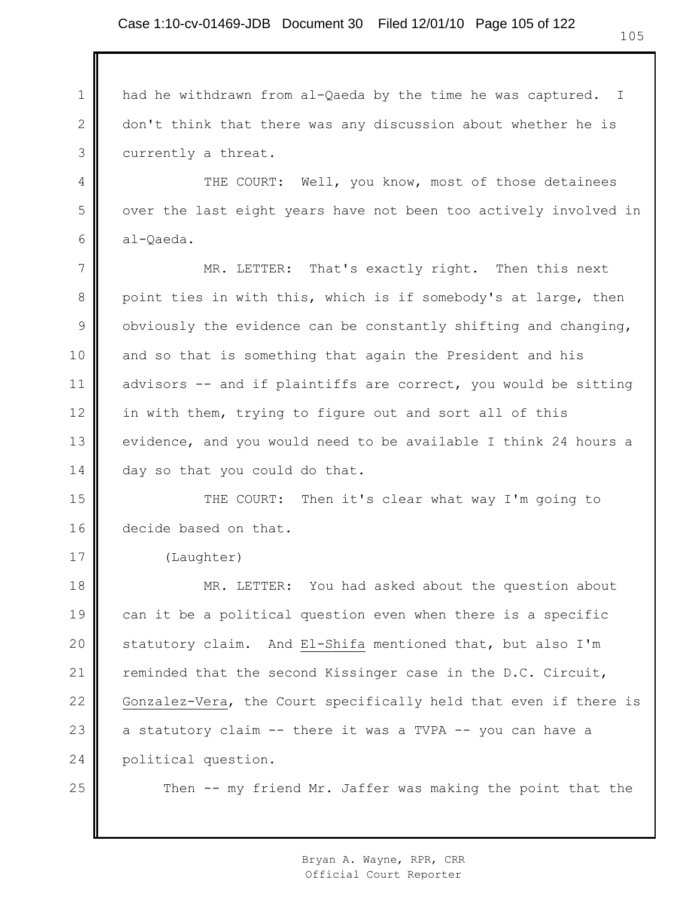1 2 3 had he withdrawn from al-Qaeda by the time he was captured. I don't think that there was any discussion about whether he is currently a threat.

THE COURT: Well, you know, most of those detainees over the last eight years have not been too actively involved in al-Qaeda.

7 8 9 10 11 12 13 14 MR. LETTER: That's exactly right. Then this next point ties in with this, which is if somebody's at large, then obviously the evidence can be constantly shifting and changing, and so that is something that again the President and his advisors -- and if plaintiffs are correct, you would be sitting in with them, trying to figure out and sort all of this evidence, and you would need to be available I think 24 hours a day so that you could do that.

15 16 THE COURT: Then it's clear what way I'm going to decide based on that.

(Laughter)

18 19 20 21 22 23 24 MR. LETTER: You had asked about the question about can it be a political question even when there is a specific statutory claim. And El-Shifa mentioned that, but also I'm reminded that the second Kissinger case in the D.C. Circuit, Gonzalez-Vera, the Court specifically held that even if there is a statutory claim -- there it was a TVPA -- you can have a political question.

25

17

4

5

6

Then -- my friend Mr. Jaffer was making the point that the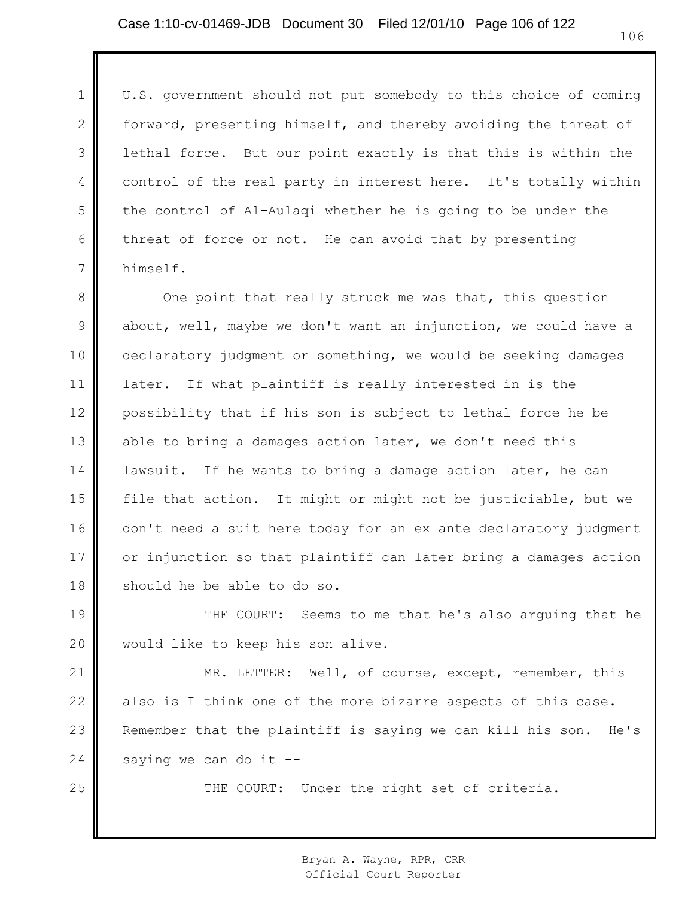1

2

3

4

5

6

7

25

U.S. government should not put somebody to this choice of coming forward, presenting himself, and thereby avoiding the threat of lethal force. But our point exactly is that this is within the control of the real party in interest here. It's totally within the control of Al-Aulaqi whether he is going to be under the threat of force or not. He can avoid that by presenting himself.

8 9 10 11 12 13 14 15 16 17 18 One point that really struck me was that, this question about, well, maybe we don't want an injunction, we could have a declaratory judgment or something, we would be seeking damages later. If what plaintiff is really interested in is the possibility that if his son is subject to lethal force he be able to bring a damages action later, we don't need this lawsuit. If he wants to bring a damage action later, he can file that action. It might or might not be justiciable, but we don't need a suit here today for an ex ante declaratory judgment or injunction so that plaintiff can later bring a damages action should he be able to do so.

19 20 THE COURT: Seems to me that he's also arguing that he would like to keep his son alive.

21 22 23 24 MR. LETTER: Well, of course, except, remember, this also is I think one of the more bizarre aspects of this case. Remember that the plaintiff is saying we can kill his son. He's saying we can do it --

THE COURT: Under the right set of criteria.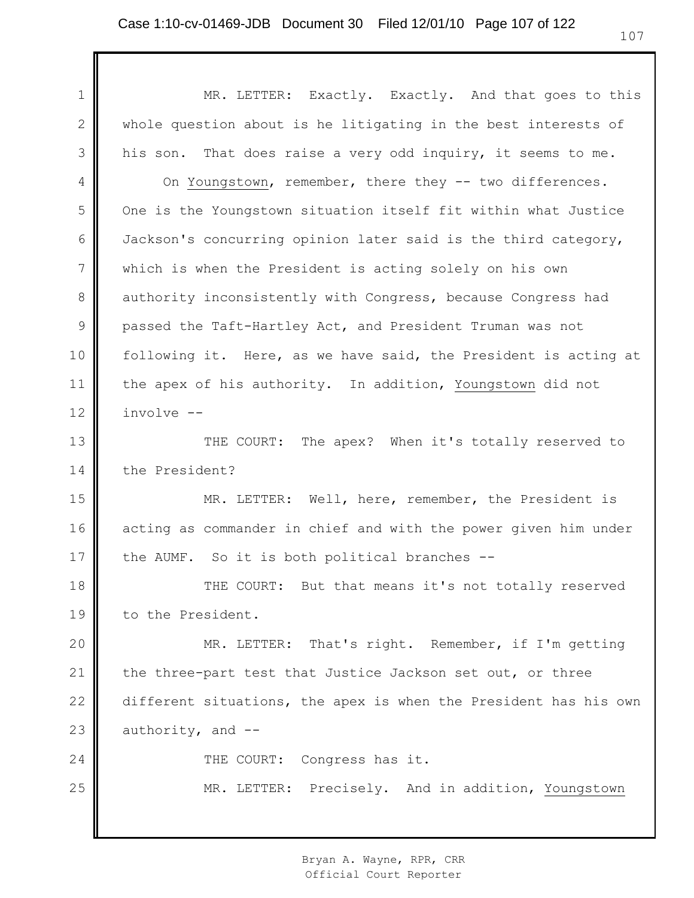1 2 3 4 5 6 7 8 9 10 11 12 13 14 15 16 17 18 19 20 21 22 23 24 25 MR. LETTER: Exactly. Exactly. And that goes to this whole question about is he litigating in the best interests of his son. That does raise a very odd inquiry, it seems to me. On Youngstown, remember, there they -- two differences. One is the Youngstown situation itself fit within what Justice Jackson's concurring opinion later said is the third category, which is when the President is acting solely on his own authority inconsistently with Congress, because Congress had passed the Taft-Hartley Act, and President Truman was not following it. Here, as we have said, the President is acting at the apex of his authority. In addition, Youngstown did not involve -- THE COURT: The apex? When it's totally reserved to the President? MR. LETTER: Well, here, remember, the President is acting as commander in chief and with the power given him under the AUMF. So it is both political branches -- THE COURT: But that means it's not totally reserved to the President. MR. LETTER: That's right. Remember, if I'm getting the three-part test that Justice Jackson set out, or three different situations, the apex is when the President has his own authority, and -- THE COURT: Congress has it. MR. LETTER: Precisely. And in addition, Youngstown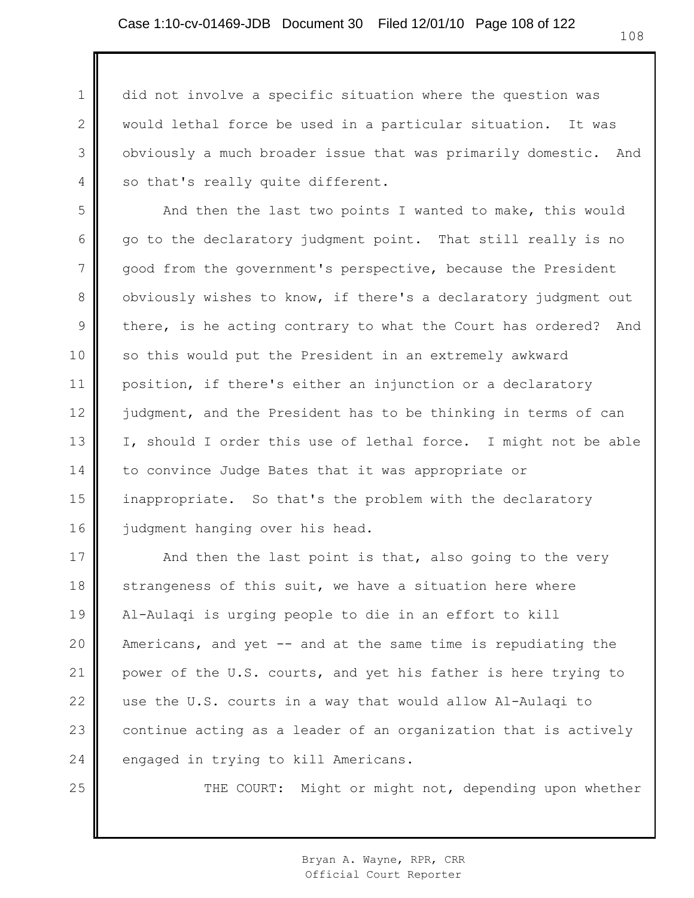1

2

3

4

25

did not involve a specific situation where the question was would lethal force be used in a particular situation. It was obviously a much broader issue that was primarily domestic. And so that's really quite different.

5 6 7 8 9 10 11 12 13 14 15 16 And then the last two points I wanted to make, this would go to the declaratory judgment point. That still really is no good from the government's perspective, because the President obviously wishes to know, if there's a declaratory judgment out there, is he acting contrary to what the Court has ordered? And so this would put the President in an extremely awkward position, if there's either an injunction or a declaratory judgment, and the President has to be thinking in terms of can I, should I order this use of lethal force. I might not be able to convince Judge Bates that it was appropriate or inappropriate. So that's the problem with the declaratory judgment hanging over his head.

17 18 19 20 21 22 23 24 And then the last point is that, also going to the very strangeness of this suit, we have a situation here where Al-Aulaqi is urging people to die in an effort to kill Americans, and yet -- and at the same time is repudiating the power of the U.S. courts, and yet his father is here trying to use the U.S. courts in a way that would allow Al-Aulaqi to continue acting as a leader of an organization that is actively engaged in trying to kill Americans.

THE COURT: Might or might not, depending upon whether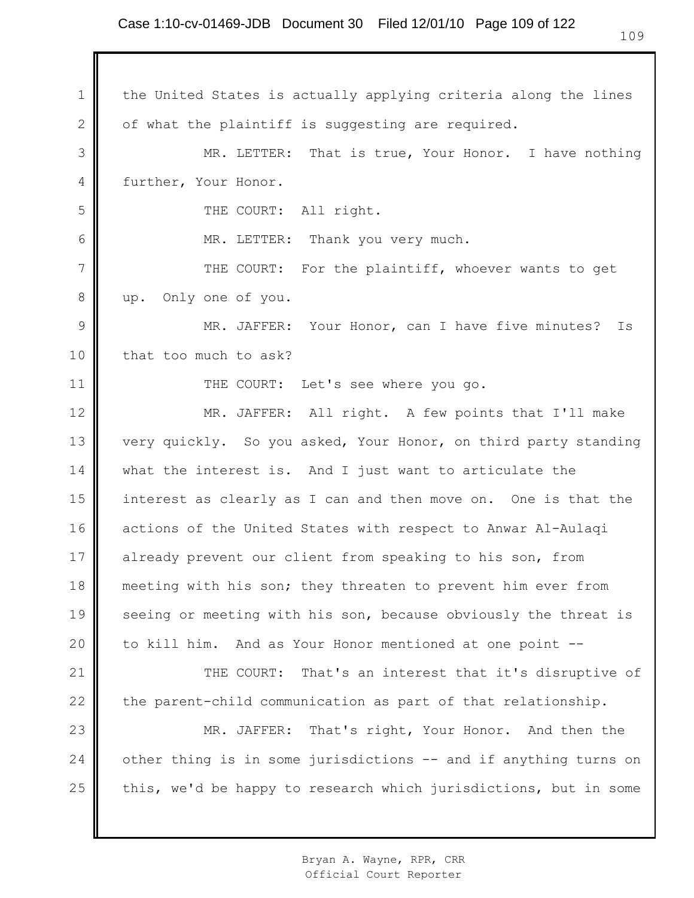## Case 1:10-cv-01469-JDB Document 30 Filed 12/01/10 Page 109 of 122

1 2 3 4 5 6 7 8 9 10 11 12 13 14 15 16 17 18 19 20 21 22 23 24 25 the United States is actually applying criteria along the lines of what the plaintiff is suggesting are required. MR. LETTER: That is true, Your Honor. I have nothing further, Your Honor. THE COURT: All right. MR. LETTER: Thank you very much. THE COURT: For the plaintiff, whoever wants to get up. Only one of you. MR. JAFFER: Your Honor, can I have five minutes? Is that too much to ask? THE COURT: Let's see where you go. MR. JAFFER: All right. A few points that I'll make very quickly. So you asked, Your Honor, on third party standing what the interest is. And I just want to articulate the interest as clearly as I can and then move on. One is that the actions of the United States with respect to Anwar Al-Aulaqi already prevent our client from speaking to his son, from meeting with his son; they threaten to prevent him ever from seeing or meeting with his son, because obviously the threat is to kill him. And as Your Honor mentioned at one point -- THE COURT: That's an interest that it's disruptive of the parent-child communication as part of that relationship. MR. JAFFER: That's right, Your Honor. And then the other thing is in some jurisdictions -- and if anything turns on this, we'd be happy to research which jurisdictions, but in some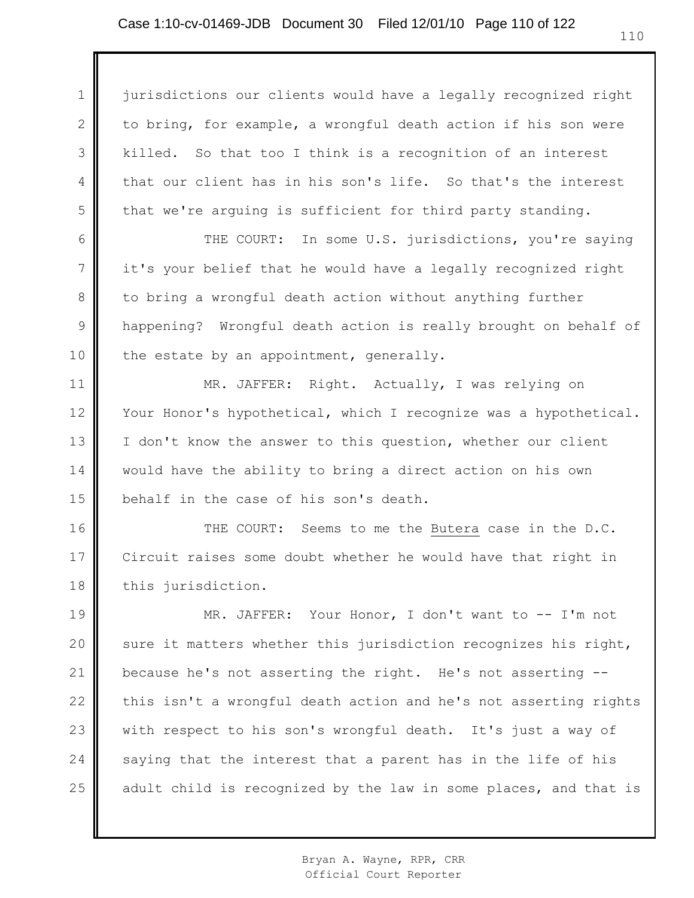1 2 3 4 5 jurisdictions our clients would have a legally recognized right to bring, for example, a wrongful death action if his son were killed. So that too I think is a recognition of an interest that our client has in his son's life. So that's the interest that we're arguing is sufficient for third party standing.

6 7 8 9 10 THE COURT: In some U.S. jurisdictions, you're saying it's your belief that he would have a legally recognized right to bring a wrongful death action without anything further happening? Wrongful death action is really brought on behalf of the estate by an appointment, generally.

11 12 13 14 15 MR. JAFFER: Right. Actually, I was relying on Your Honor's hypothetical, which I recognize was a hypothetical. I don't know the answer to this question, whether our client would have the ability to bring a direct action on his own behalf in the case of his son's death.

16 17 18 THE COURT: Seems to me the Butera case in the D.C. Circuit raises some doubt whether he would have that right in this jurisdiction.

19 20 21 22 23 24 25 MR. JAFFER: Your Honor, I don't want to -- I'm not sure it matters whether this jurisdiction recognizes his right, because he's not asserting the right. He's not asserting - this isn't a wrongful death action and he's not asserting rights with respect to his son's wrongful death. It's just a way of saying that the interest that a parent has in the life of his adult child is recognized by the law in some places, and that is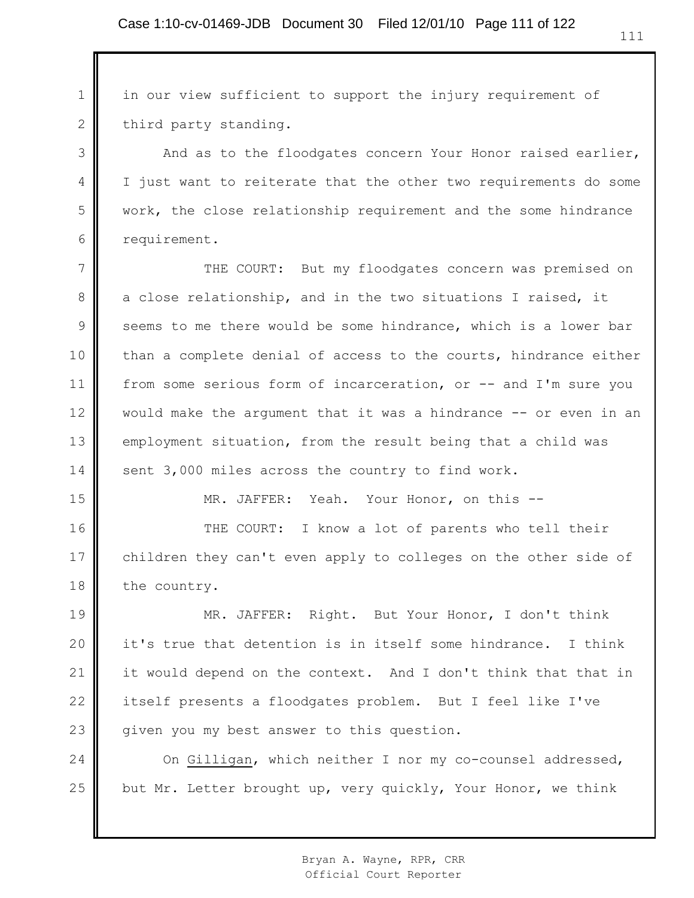1 2 in our view sufficient to support the injury requirement of third party standing.

3

4

5

6

15

And as to the floodgates concern Your Honor raised earlier, I just want to reiterate that the other two requirements do some work, the close relationship requirement and the some hindrance requirement.

7 8 9 10 11 12 13 14 THE COURT: But my floodgates concern was premised on a close relationship, and in the two situations I raised, it seems to me there would be some hindrance, which is a lower bar than a complete denial of access to the courts, hindrance either from some serious form of incarceration, or -- and I'm sure you would make the argument that it was a hindrance -- or even in an employment situation, from the result being that a child was sent 3,000 miles across the country to find work.

MR. JAFFER: Yeah. Your Honor, on this --

16 17 18 THE COURT: I know a lot of parents who tell their children they can't even apply to colleges on the other side of the country.

19 20 21 22 23 MR. JAFFER: Right. But Your Honor, I don't think it's true that detention is in itself some hindrance. I think it would depend on the context. And I don't think that that in itself presents a floodgates problem. But I feel like I've given you my best answer to this question.

24 25 On Gilligan, which neither I nor my co-counsel addressed, but Mr. Letter brought up, very quickly, Your Honor, we think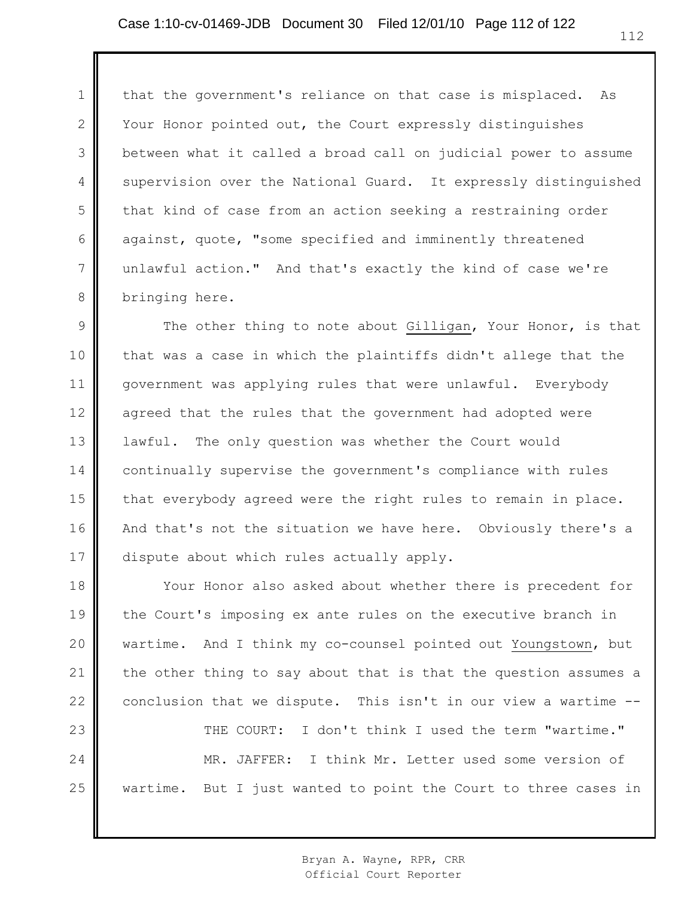1 2 3 4 5 6 7 8 that the government's reliance on that case is misplaced. As Your Honor pointed out, the Court expressly distinguishes between what it called a broad call on judicial power to assume supervision over the National Guard. It expressly distinguished that kind of case from an action seeking a restraining order against, quote, "some specified and imminently threatened unlawful action." And that's exactly the kind of case we're bringing here.

9 10 11 12 13 14 15 16 17 The other thing to note about Gilligan, Your Honor, is that that was a case in which the plaintiffs didn't allege that the government was applying rules that were unlawful. Everybody agreed that the rules that the government had adopted were lawful. The only question was whether the Court would continually supervise the government's compliance with rules that everybody agreed were the right rules to remain in place. And that's not the situation we have here. Obviously there's a dispute about which rules actually apply.

18 19 20 21 22 23 24 25 Your Honor also asked about whether there is precedent for the Court's imposing ex ante rules on the executive branch in wartime. And I think my co-counsel pointed out Youngstown, but the other thing to say about that is that the question assumes a conclusion that we dispute. This isn't in our view a wartime -- THE COURT: I don't think I used the term "wartime." MR. JAFFER: I think Mr. Letter used some version of wartime. But I just wanted to point the Court to three cases in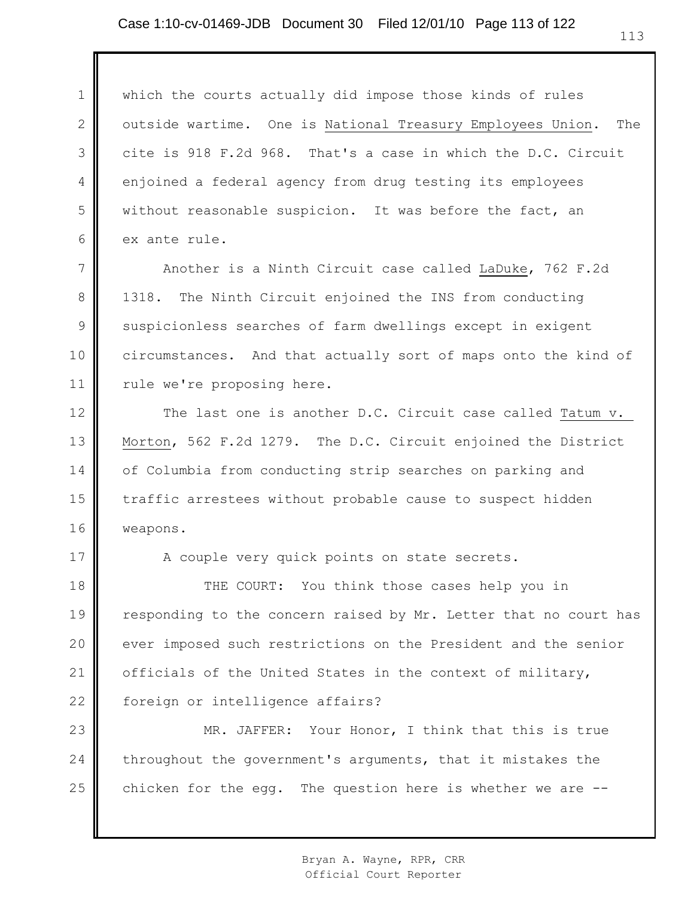1 2 3 4 5 6 which the courts actually did impose those kinds of rules outside wartime. One is National Treasury Employees Union. The cite is 918 F.2d 968. That's a case in which the D.C. Circuit enjoined a federal agency from drug testing its employees without reasonable suspicion. It was before the fact, an ex ante rule.

7 8 9 10 11 Another is a Ninth Circuit case called LaDuke, 762 F.2d 1318. The Ninth Circuit enjoined the INS from conducting suspicionless searches of farm dwellings except in exigent circumstances. And that actually sort of maps onto the kind of rule we're proposing here.

12 13 14 15 16 The last one is another D.C. Circuit case called Tatum v. Morton, 562 F.2d 1279. The D.C. Circuit enjoined the District of Columbia from conducting strip searches on parking and traffic arrestees without probable cause to suspect hidden weapons.

A couple very quick points on state secrets.

17

18 19 20 21 22 THE COURT: You think those cases help you in responding to the concern raised by Mr. Letter that no court has ever imposed such restrictions on the President and the senior officials of the United States in the context of military, foreign or intelligence affairs?

23 24 25 MR. JAFFER: Your Honor, I think that this is true throughout the government's arguments, that it mistakes the chicken for the egg. The question here is whether we are --

> Bryan A. Wayne, RPR, CRR Official Court Reporter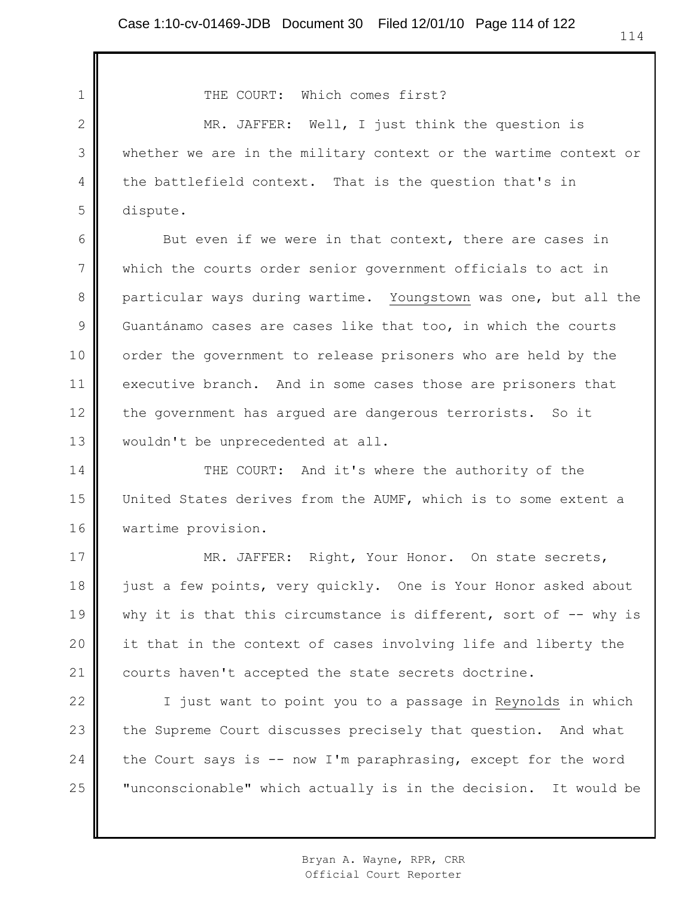THE COURT: Which comes first?

MR. JAFFER: Well, I just think the question is whether we are in the military context or the wartime context or the battlefield context. That is the question that's in dispute.

6 7 8 9 But even if we were in that context, there are cases in which the courts order senior government officials to act in particular ways during wartime. Youngstown was one, but all the Guantánamo cases are cases like that too, in which the courts order the government to release prisoners who are held by the executive branch. And in some cases those are prisoners that the government has argued are dangerous terrorists. So it wouldn't be unprecedented at all.

THE COURT: And it's where the authority of the United States derives from the AUMF, which is to some extent a wartime provision.

18 MR. JAFFER: Right, Your Honor. On state secrets, just a few points, very quickly. One is Your Honor asked about why it is that this circumstance is different, sort of  $-$ - why is it that in the context of cases involving life and liberty the courts haven't accepted the state secrets doctrine.

24 25 I just want to point you to a passage in Reynolds in which the Supreme Court discusses precisely that question. And what the Court says is -- now I'm paraphrasing, except for the word "unconscionable" which actually is in the decision. It would be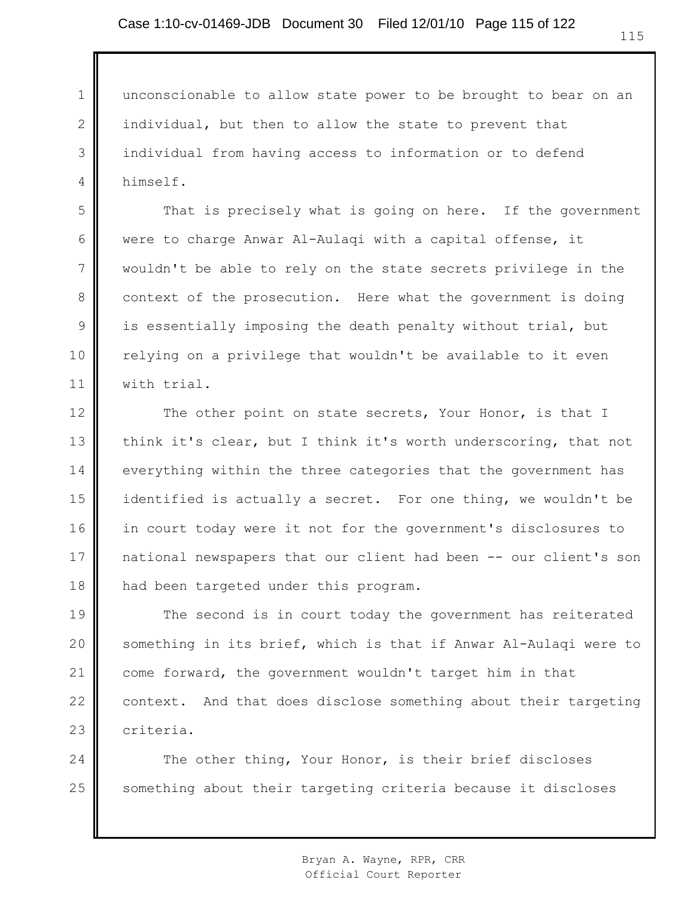2

3

4

5

6

7

8

9

10

11

unconscionable to allow state power to be brought to bear on an individual, but then to allow the state to prevent that individual from having access to information or to defend himself.

That is precisely what is going on here. If the government were to charge Anwar Al-Aulaqi with a capital offense, it wouldn't be able to rely on the state secrets privilege in the context of the prosecution. Here what the government is doing is essentially imposing the death penalty without trial, but relying on a privilege that wouldn't be available to it even with trial.

12 13 14 15 16 17 18 The other point on state secrets, Your Honor, is that I think it's clear, but I think it's worth underscoring, that not everything within the three categories that the government has identified is actually a secret. For one thing, we wouldn't be in court today were it not for the government's disclosures to national newspapers that our client had been -- our client's son had been targeted under this program.

19 20 21 22 23 The second is in court today the government has reiterated something in its brief, which is that if Anwar Al-Aulaqi were to come forward, the government wouldn't target him in that context. And that does disclose something about their targeting criteria.

24 25 The other thing, Your Honor, is their brief discloses something about their targeting criteria because it discloses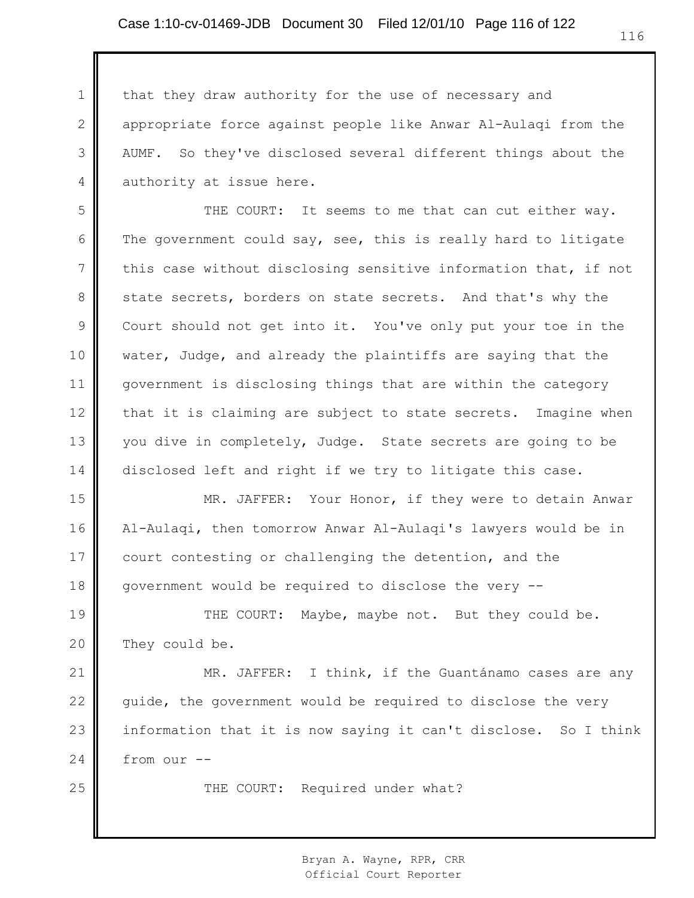2

3

4

25

that they draw authority for the use of necessary and appropriate force against people like Anwar Al-Aulaqi from the AUMF. So they've disclosed several different things about the authority at issue here.

5 6 7 8 9 10 11 12 13 14 THE COURT: It seems to me that can cut either way. The government could say, see, this is really hard to litigate this case without disclosing sensitive information that, if not state secrets, borders on state secrets. And that's why the Court should not get into it. You've only put your toe in the water, Judge, and already the plaintiffs are saying that the government is disclosing things that are within the category that it is claiming are subject to state secrets. Imagine when you dive in completely, Judge. State secrets are going to be disclosed left and right if we try to litigate this case.

15 16 17 18 MR. JAFFER: Your Honor, if they were to detain Anwar Al-Aulaqi, then tomorrow Anwar Al-Aulaqi's lawyers would be in court contesting or challenging the detention, and the government would be required to disclose the very --

19 20 THE COURT: Maybe, maybe not. But they could be. They could be.

21 22 23 24 MR. JAFFER: I think, if the Guantánamo cases are any guide, the government would be required to disclose the very information that it is now saying it can't disclose. So I think from our --

THE COURT: Required under what?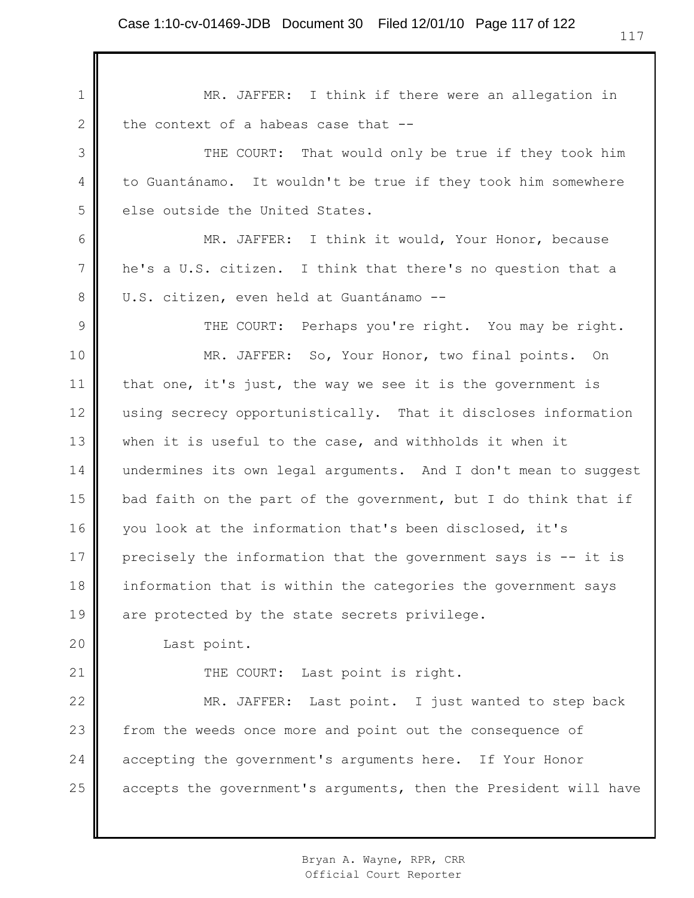1 2 3 4 5 6 7 8 9 10 11 12 13 14 15 16 17 18 19 20 21 22 23 24 25 MR. JAFFER: I think if there were an allegation in the context of a habeas case that -- THE COURT: That would only be true if they took him to Guantánamo. It wouldn't be true if they took him somewhere else outside the United States. MR. JAFFER: I think it would, Your Honor, because he's a U.S. citizen. I think that there's no question that a U.S. citizen, even held at Guantánamo -- THE COURT: Perhaps you're right. You may be right. MR. JAFFER: So, Your Honor, two final points. On that one, it's just, the way we see it is the government is using secrecy opportunistically. That it discloses information when it is useful to the case, and withholds it when it undermines its own legal arguments. And I don't mean to suggest bad faith on the part of the government, but I do think that if you look at the information that's been disclosed, it's precisely the information that the government says is -- it is information that is within the categories the government says are protected by the state secrets privilege. Last point. THE COURT: Last point is right. MR. JAFFER: Last point. I just wanted to step back from the weeds once more and point out the consequence of accepting the government's arguments here. If Your Honor accepts the government's arguments, then the President will have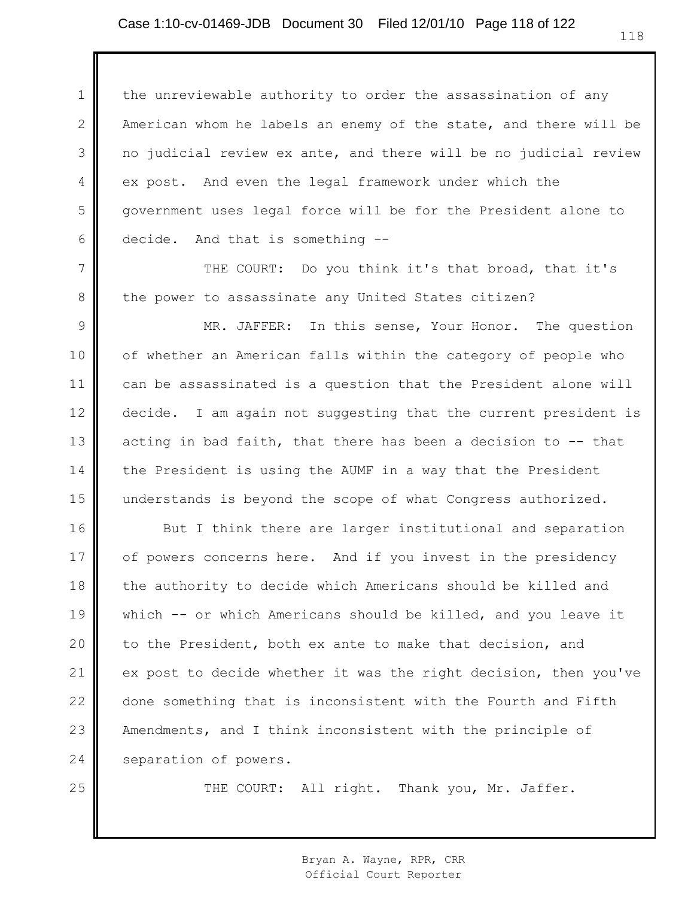1 2 3 4 5 6 the unreviewable authority to order the assassination of any American whom he labels an enemy of the state, and there will be no judicial review ex ante, and there will be no judicial review ex post. And even the legal framework under which the government uses legal force will be for the President alone to decide. And that is something --

THE COURT: Do you think it's that broad, that it's the power to assassinate any United States citizen?

7

8

25

9 10 11 12 13 14 15 MR. JAFFER: In this sense, Your Honor. The question of whether an American falls within the category of people who can be assassinated is a question that the President alone will decide. I am again not suggesting that the current president is acting in bad faith, that there has been a decision to -- that the President is using the AUMF in a way that the President understands is beyond the scope of what Congress authorized.

16 17 18 19 20 21 22 23 24 But I think there are larger institutional and separation of powers concerns here. And if you invest in the presidency the authority to decide which Americans should be killed and which -- or which Americans should be killed, and you leave it to the President, both ex ante to make that decision, and ex post to decide whether it was the right decision, then you've done something that is inconsistent with the Fourth and Fifth Amendments, and I think inconsistent with the principle of separation of powers.

THE COURT: All right. Thank you, Mr. Jaffer.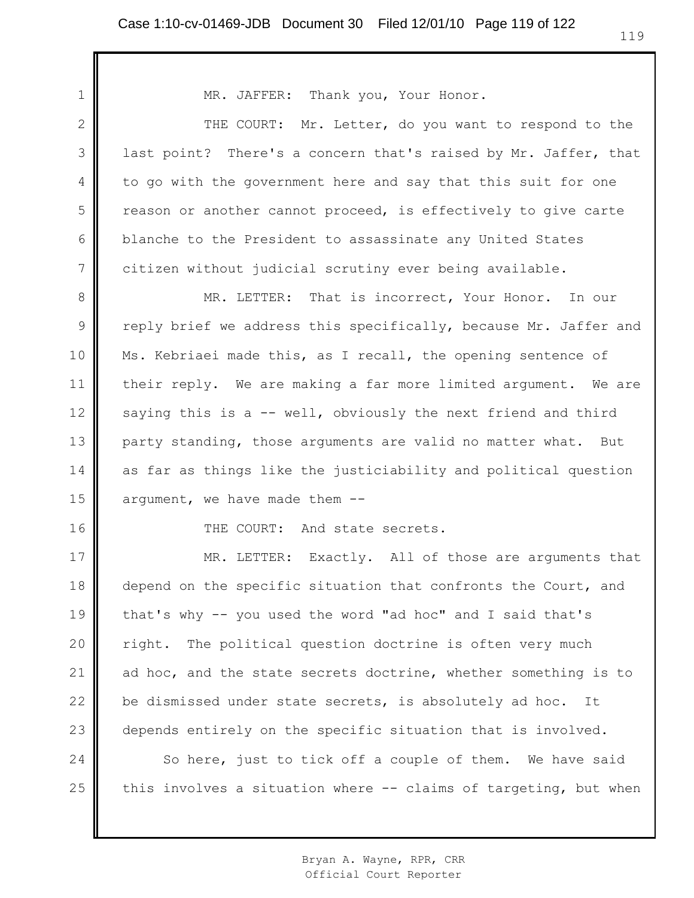| 1              | MR. JAFFER: Thank you, Your Honor.                               |
|----------------|------------------------------------------------------------------|
| $\mathbf{2}$   | THE COURT: Mr. Letter, do you want to respond to the             |
| 3              | last point? There's a concern that's raised by Mr. Jaffer, that  |
| $\overline{4}$ | to go with the government here and say that this suit for one    |
| 5              | reason or another cannot proceed, is effectively to give carte   |
| 6              | blanche to the President to assassinate any United States        |
| $\overline{7}$ | citizen without judicial scrutiny ever being available.          |
| 8              | MR. LETTER: That is incorrect, Your Honor. In our                |
| 9              | reply brief we address this specifically, because Mr. Jaffer and |
| 10             | Ms. Kebriaei made this, as I recall, the opening sentence of     |
| 11             | their reply. We are making a far more limited argument. We are   |
| 12             | saying this is a -- well, obviously the next friend and third    |
| 13             | party standing, those arguments are valid no matter what. But    |
| 14             | as far as things like the justiciability and political question  |
| 15             | argument, we have made them --                                   |
| 16             | THE COURT: And state secrets.                                    |
| 17             | MR. LETTER: Exactly. All of those are arguments that             |
| 18             | depend on the specific situation that confronts the Court, and   |
| 19             | that's why -- you used the word "ad hoc" and I said that's       |
| 20             | The political question doctrine is often very much<br>right.     |
| 21             | ad hoc, and the state secrets doctrine, whether something is to  |
| 22             | be dismissed under state secrets, is absolutely ad hoc. It       |
| 23             | depends entirely on the specific situation that is involved.     |
| 24             | So here, just to tick off a couple of them. We have said         |
| 25             | this involves a situation where -- claims of targeting, but when |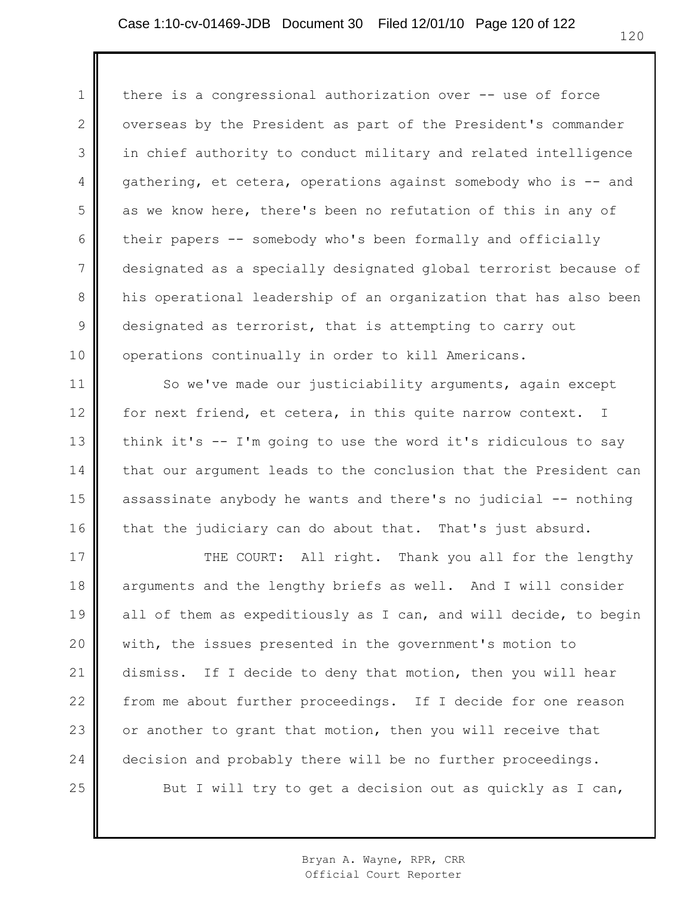1 2 3 4 5 6 7 8 9 10 there is a congressional authorization over -- use of force overseas by the President as part of the President's commander in chief authority to conduct military and related intelligence gathering, et cetera, operations against somebody who is -- and as we know here, there's been no refutation of this in any of their papers -- somebody who's been formally and officially designated as a specially designated global terrorist because of his operational leadership of an organization that has also been designated as terrorist, that is attempting to carry out operations continually in order to kill Americans.

11 12 13 14 15 16 So we've made our justiciability arguments, again except for next friend, et cetera, in this quite narrow context. I think it's -- I'm going to use the word it's ridiculous to say that our argument leads to the conclusion that the President can assassinate anybody he wants and there's no judicial -- nothing that the judiciary can do about that. That's just absurd.

17 18 19 20 21 22 23 24 25 THE COURT: All right. Thank you all for the lengthy arguments and the lengthy briefs as well. And I will consider all of them as expeditiously as I can, and will decide, to begin with, the issues presented in the government's motion to dismiss. If I decide to deny that motion, then you will hear from me about further proceedings. If I decide for one reason or another to grant that motion, then you will receive that decision and probably there will be no further proceedings. But I will try to get a decision out as quickly as I can,

> Bryan A. Wayne, RPR, CRR Official Court Reporter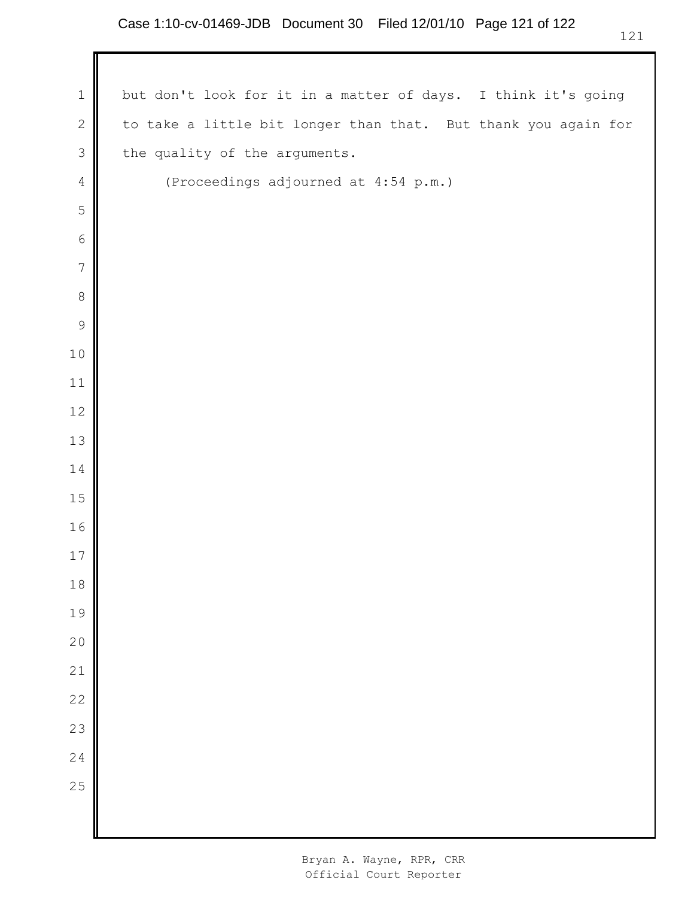| $\mathbf 1$    | but don't look for it in a matter of days. I think it's going  |
|----------------|----------------------------------------------------------------|
| $\mathbf{2}$   | to take a little bit longer than that. But thank you again for |
| $\mathfrak{Z}$ | the quality of the arguments.                                  |
| $\overline{4}$ | (Proceedings adjourned at 4:54 p.m.)                           |
| 5              |                                                                |
| $\sqrt{6}$     |                                                                |
| $\sqrt{ }$     |                                                                |
| $\,8\,$        |                                                                |
| $\mathcal{G}$  |                                                                |
| $10$           |                                                                |
| 11             |                                                                |
| 12             |                                                                |
| 13             |                                                                |
| 14             |                                                                |
| 15             |                                                                |
| 16             |                                                                |
| 17             |                                                                |
| 18             |                                                                |
| 19             |                                                                |
| 20             |                                                                |
| 21             |                                                                |
| 22             |                                                                |
| 23             |                                                                |
| 24             |                                                                |
| 25             |                                                                |
|                |                                                                |